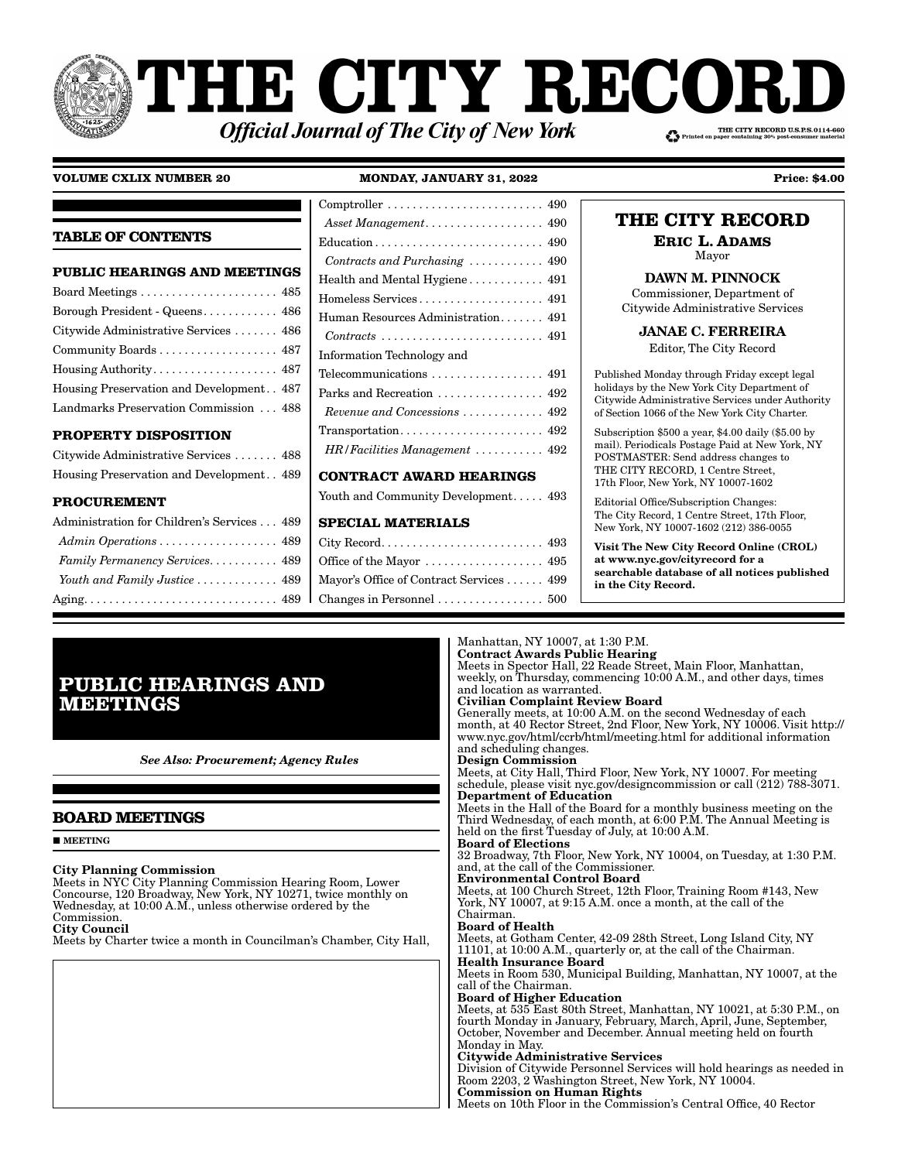# PHE CITY RECOI THE CITY RECORD U.S.P.S.0114-660 **Official Journal of The City of New York**

#### **VOLUME CXLIX NUMBER 20 MONDAY, JANUARY 31, 2022 Price: \$4.00**

|                                             | Asset Management 490                                                        | THE CITY RECORD                                                                                   |
|---------------------------------------------|-----------------------------------------------------------------------------|---------------------------------------------------------------------------------------------------|
| <b>TABLE OF CONTENTS</b>                    |                                                                             | <b>ERIC L. ADAMS</b>                                                                              |
|                                             | Contracts and Purchasing  490                                               | Mayor                                                                                             |
| PUBLIC HEARINGS AND MEETINGS                |                                                                             | <b>DAWN M. PINNOCK</b>                                                                            |
|                                             |                                                                             | Commissioner, Department of                                                                       |
| Borough President - Queens 486              | Human Resources Administration 491                                          | Citywide Administrative Services                                                                  |
| Citywide Administrative Services  486       | $Contracts \ldots \ldots \ldots \ldots \ldots \ldots \ldots \ldots 491$     | <b>JANAE C. FERREIRA</b>                                                                          |
| Community Boards 487                        | Information Technology and                                                  | Editor, The City Record                                                                           |
|                                             | Telecommunications $\dots\dots\dots\dots\dots\dots$ 491                     | Published Monday through Friday except legal                                                      |
| Housing Preservation and Development. . 487 |                                                                             | holidays by the New York City Department of                                                       |
| Landmarks Preservation Commission  488      | Revenue and Concessions $\ldots \ldots \ldots$ 492                          | Citywide Administrative Services under Authority<br>of Section 1066 of the New York City Charter. |
| <b>PROPERTY DISPOSITION</b>                 | $Transportation \ldots \ldots \ldots \ldots \ldots \ldots \ldots \quad 492$ | Subscription $$500$ a year, $$4.00$ daily ( $$5.00$ by                                            |
| Citywide Administrative Services  488       | $HR/Facilities$ Management  492                                             | mail). Periodicals Postage Paid at New York, NY<br>POSTMASTER: Send address changes to            |
| Housing Preservation and Development. 489   | <b>CONTRACT AWARD HEARINGS</b>                                              | THE CITY RECORD, 1 Centre Street,<br>17th Floor, New York, NY 10007-1602                          |
| <b>PROCUREMENT</b>                          | Youth and Community Development 493                                         | Editorial Office/Subscription Changes:                                                            |
| Administration for Children's Services 489  | <b>SPECIAL MATERIALS</b>                                                    | The City Record, 1 Centre Street, 17th Floor,<br>New York, NY 10007-1602 (212) 386-0055           |
|                                             |                                                                             | $V_{\rm tot}^*$ The New $C_{\rm tree}^*$ Becaud Online (CDOL)                                     |

Office of the Mayor . . . . . . . . . . . . . . . . . 495 Mayor's Office of Contract Services . . . . . . 499 Changes in Personnel . . . . . . . . . . . . . . . . . 500 Visit The New City Record Online (CROL) at www.nyc.gov/cityrecord for a searchable database of all notices published in the City Record.

## **PUBLIC HEARINGS AND MEETINGS**

*Family Permanency Services*. . . . . . . . . . . 489 *Youth and Family Justice* . . . . . . . . . . . . . 489 Aging . . . . . . . . . . . . . . . . . . . . . . . . . . . . . . . 489

*See Also: Procurement; Agency Rules*

## **BOARD MEETINGS**

**MEETING** 

#### City Planning Commission

Meets in NYC City Planning Commission Hearing Room, Lower Concourse, 120 Broadway, New York, NY 10271, twice monthly on Wednesday, at 10:00 A.M., unless otherwise ordered by the Commission.

City Council Meets by Charter twice a month in Councilman's Chamber, City Hall,

#### Manhattan, NY 10007, at 1:30 P.M. Contract Awards Public Hearing

Meets in Spector Hall, 22 Reade Street, Main Floor, Manhattan, weekly, on Thursday, commencing 10:00 A.M., and other days, times and location as warranted.

Civilian Complaint Review Board

Generally meets, at 10:00 A.M. on the second Wednesday of each month, at 40 Rector Street, 2nd Floor, New York, NY 10006. Visit http:// www.nyc.gov/html/ccrb/html/meeting.html for additional information and scheduling changes.

Design Commission

Meets, at City Hall, Third Floor, New York, NY 10007. For meeting schedule, please visit nyc.gov/designcommission or call (212) 788-3071. Department of Education

Meets in the Hall of the Board for a monthly business meeting on the Third Wednesday, of each month, at 6:00 P.M. The Annual Meeting is held on the first Tuesday of July, at 10:00 A.M.

## Board of Elections

32 Broadway, 7th Floor, New York, NY 10004, on Tuesday, at 1:30 P.M. and, at the call of the Commissioner.

Environmental Control Board

Meets, at 100 Church Street, 12th Floor, Training Room #143, New York, NY 10007, at 9:15 A.M. once a month, at the call of the Chairman.

#### Board of Health

Meets, at Gotham Center, 42-09 28th Street, Long Island City, NY 11101, at 10:00 A.M., quarterly or, at the call of the Chairman. Health Insurance Board Meets in Room 530, Municipal Building, Manhattan, NY 10007, at the

call of the Chairman.

## Board of Higher Education

Meets, at 535 East 80th Street, Manhattan, NY 10021, at 5:30 P.M., on fourth Monday in January, February, March, April, June, September, October, November and December. Annual meeting held on fourth Monday in May.

#### Citywide Administrative Services

Division of Citywide Personnel Services will hold hearings as needed in Room 2203, 2 Washington Street, New York, NY 10004. Commission on Human Rights

Meets on 10th Floor in the Commission's Central Office, 40 Rector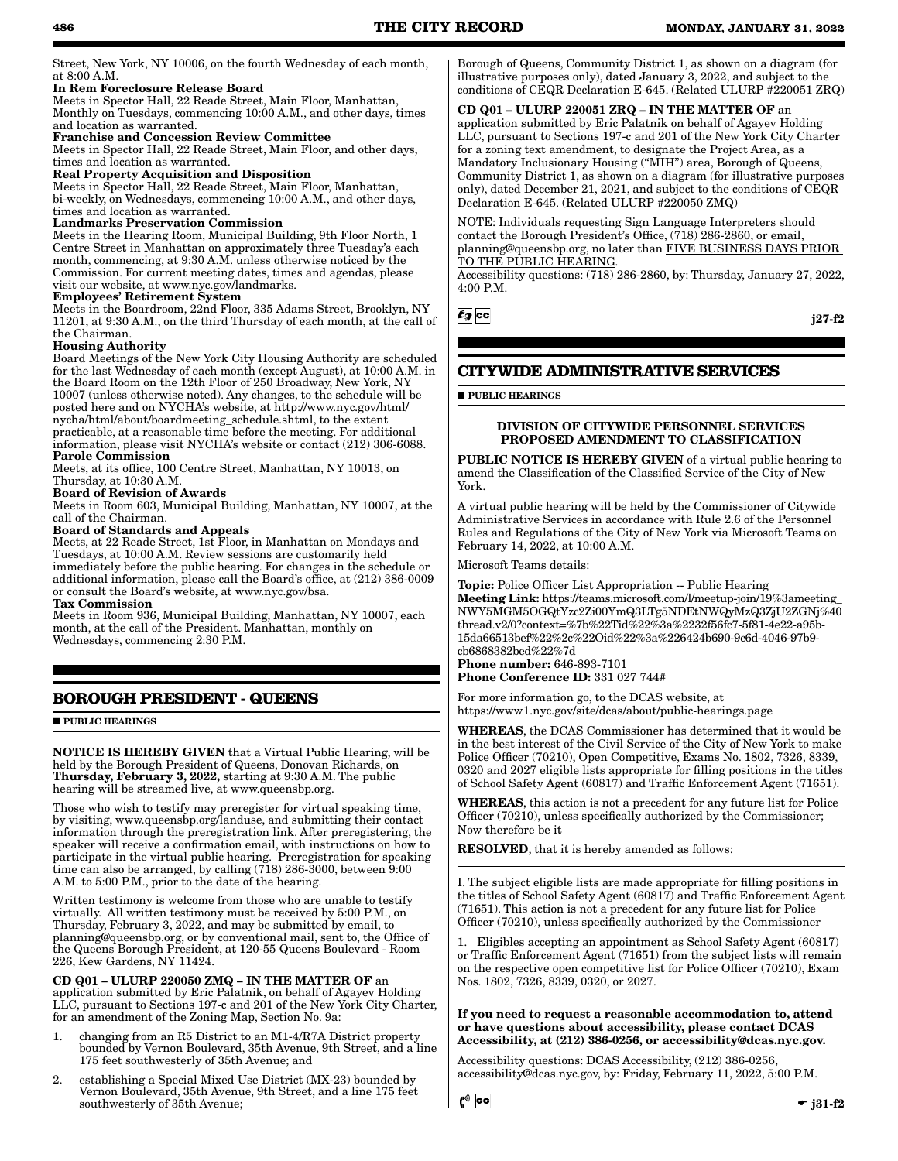Street, New York, NY 10006, on the fourth Wednesday of each month, at 8:00 A.M.

#### In Rem Foreclosure Release Board

Meets in Spector Hall, 22 Reade Street, Main Floor, Manhattan, Monthly on Tuesdays, commencing 10:00 A.M., and other days, times and location as warranted.

#### Franchise and Concession Review Committee

Meets in Spector Hall, 22 Reade Street, Main Floor, and other days, times and location as warranted.

## Real Property Acquisition and Disposition

Meets in Spector Hall, 22 Reade Street, Main Floor, Manhattan, bi-weekly, on Wednesdays, commencing 10:00 A.M., and other days, times and location as warranted.

#### Landmarks Preservation Commission

Meets in the Hearing Room, Municipal Building, 9th Floor North, 1 Centre Street in Manhattan on approximately three Tuesday's each month, commencing, at 9:30 A.M. unless otherwise noticed by the Commission. For current meeting dates, times and agendas, please visit our website, at www.nyc.gov/landmarks.

#### Employees' Retirement System

Meets in the Boardroom, 22nd Floor, 335 Adams Street, Brooklyn, NY 11201, at 9:30 A.M., on the third Thursday of each month, at the call of the Chairman.

#### Housing Authority

Board Meetings of the New York City Housing Authority are scheduled for the last Wednesday of each month (except August), at 10:00 A.M. in the Board Room on the 12th Floor of 250 Broadway, New York, NY 10007 (unless otherwise noted). Any changes, to the schedule will be posted here and on NYCHA's website, at http://www.nyc.gov/html/ nycha/html/about/boardmeeting\_schedule.shtml, to the extent practicable, at a reasonable time before the meeting. For additional information, please visit NYCHA's website or contact (212) 306-6088. Parole Commission

Meets, at its office, 100 Centre Street, Manhattan, NY 10013, on Thursday, at 10:30 A.M.

## Board of Revision of Awards

Meets in Room 603, Municipal Building, Manhattan, NY 10007, at the call of the Chairman.

#### Board of Standards and Appeals

Meets, at 22 Reade Street, 1st Floor, in Manhattan on Mondays and Tuesdays, at 10:00 A.M. Review sessions are customarily held immediately before the public hearing. For changes in the schedule or additional information, please call the Board's office, at (212) 386-0009 or consult the Board's website, at www.nyc.gov/bsa.

#### Tax Commission

Meets in Room 936, Municipal Building, Manhattan, NY 10007, each month, at the call of the President. Manhattan, monthly on Wednesdays, commencing 2:30 P.M.

## **BOROUGH PRESIDENT - QUEENS**

**PUBLIC HEARINGS** 

NOTICE IS HEREBY GIVEN that a Virtual Public Hearing, will be held by the Borough President of Queens, Donovan Richards, on Thursday, February 3, 2022, starting at 9:30 A.M. The public hearing will be streamed live, at www.queensbp.org.

Those who wish to testify may preregister for virtual speaking time, by visiting, www.queensbp.org/landuse, and submitting their contact information through the preregistration link. After preregistering, the speaker will receive a confirmation email, with instructions on how to participate in the virtual public hearing. Preregistration for speaking time can also be arranged, by calling (718) 286-3000, between 9:00 A.M. to 5:00 P.M., prior to the date of the hearing.

Written testimony is welcome from those who are unable to testify virtually. All written testimony must be received by 5:00 P.M., on Thursday, February 3, 2022, and may be submitted by email, to planning@queensbp.org, or by conventional mail, sent to, the Office of the Queens Borough President, at 120-55 Queens Boulevard - Room 226, Kew Gardens, NY 11424.

#### CD Q01 – ULURP 220050 ZMQ – IN THE MATTER OF an

application submitted by Eric Palatnik, on behalf of Agayev Holding LLC, pursuant to Sections 197-c and 201 of the New York City Charter, for an amendment of the Zoning Map, Section No. 9a:

- 1. changing from an R5 District to an M1-4/R7A District property bounded by Vernon Boulevard, 35th Avenue, 9th Street, and a line 175 feet southwesterly of 35th Avenue; and
- 2. establishing a Special Mixed Use District (MX-23) bounded by Vernon Boulevard, 35th Avenue, 9th Street, and a line 175 feet southwesterly of 35th Avenue;

Borough of Queens, Community District 1, as shown on a diagram (for illustrative purposes only), dated January 3, 2022, and subject to the conditions of CEQR Declaration E-645. (Related ULURP #220051 ZRQ)

CD Q01 – ULURP 220051 ZRQ – IN THE MATTER OF an application submitted by Eric Palatnik on behalf of Agayev Holding LLC, pursuant to Sections 197-c and 201 of the New York City Charter for a zoning text amendment, to designate the Project Area, as a Mandatory Inclusionary Housing ("MIH") area, Borough of Queens, Community District 1, as shown on a diagram (for illustrative purposes only), dated December 21, 2021, and subject to the conditions of CEQR Declaration E-645. (Related ULURP #220050 ZMQ)

NOTE: Individuals requesting Sign Language Interpreters should contact the Borough President's Office, (718) 286-2860, or email, planning@queensbp.org, no later than FIVE BUSINESS DAYS PRIOR TO THE PUBLIC HEARING.

Accessibility questions: (718) 286-2860, by: Thursday, January 27, 2022, 4:00 P.M.

 $E_g$  CC

j27-f2

## **CITYWIDE ADMINISTRATIVE SERVICES**

**PUBLIC HEARINGS** 

#### DIVISION OF CITYWIDE PERSONNEL SERVICES PROPOSED AMENDMENT TO CLASSIFICATION

PUBLIC NOTICE IS HEREBY GIVEN of a virtual public hearing to amend the Classification of the Classified Service of the City of New York.

A virtual public hearing will be held by the Commissioner of Citywide Administrative Services in accordance with Rule 2.6 of the Personnel Rules and Regulations of the City of New York via Microsoft Teams on February 14, 2022, at 10:00 A.M.

Microsoft Teams details:

Topic: Police Officer List Appropriation -- Public Hearing Meeting Link: https://teams.microsoft.com/l/meetup-join/19%3ameeting\_ NWY5MGM5OGQtYzc2Zi00YmQ3LTg5NDEtNWQyMzQ3ZjU2ZGNj%40 thread.v2/0?context=%7b%22Tid%22%3a%2232f56fc7-5f81-4e22-a95b-15da66513bef%22%2c%22Oid%22%3a%226424b690-9c6d-4046-97b9 cb6868382bed%22%7d

Phone number: 646-893-7101 Phone Conference ID: 331 027 744#

For more information go, to the DCAS website, at https://www1.nyc.gov/site/dcas/about/public-hearings.page

WHEREAS, the DCAS Commissioner has determined that it would be in the best interest of the Civil Service of the City of New York to make Police Officer (70210), Open Competitive, Exams No. 1802, 7326, 8339, 0320 and 2027 eligible lists appropriate for filling positions in the titles of School Safety Agent (60817) and Traffic Enforcement Agent (71651).

WHEREAS, this action is not a precedent for any future list for Police Officer (70210), unless specifically authorized by the Commissioner; Now therefore be it

RESOLVED, that it is hereby amended as follows:

I. The subject eligible lists are made appropriate for filling positions in the titles of School Safety Agent (60817) and Traffic Enforcement Agent (71651). This action is not a precedent for any future list for Police Officer (70210), unless specifically authorized by the Commissioner

1. Eligibles accepting an appointment as School Safety Agent (60817) or Traffic Enforcement Agent (71651) from the subject lists will remain on the respective open competitive list for Police Officer (70210), Exam Nos. 1802, 7326, 8339, 0320, or 2027.

If you need to request a reasonable accommodation to, attend or have questions about accessibility, please contact DCAS Accessibility, at (212) 386-0256, or accessibility@dcas.nyc.gov.

Accessibility questions: DCAS Accessibility, (212) 386-0256, accessibility@dcas.nyc.gov, by: Friday, February 11, 2022, 5:00 P.M.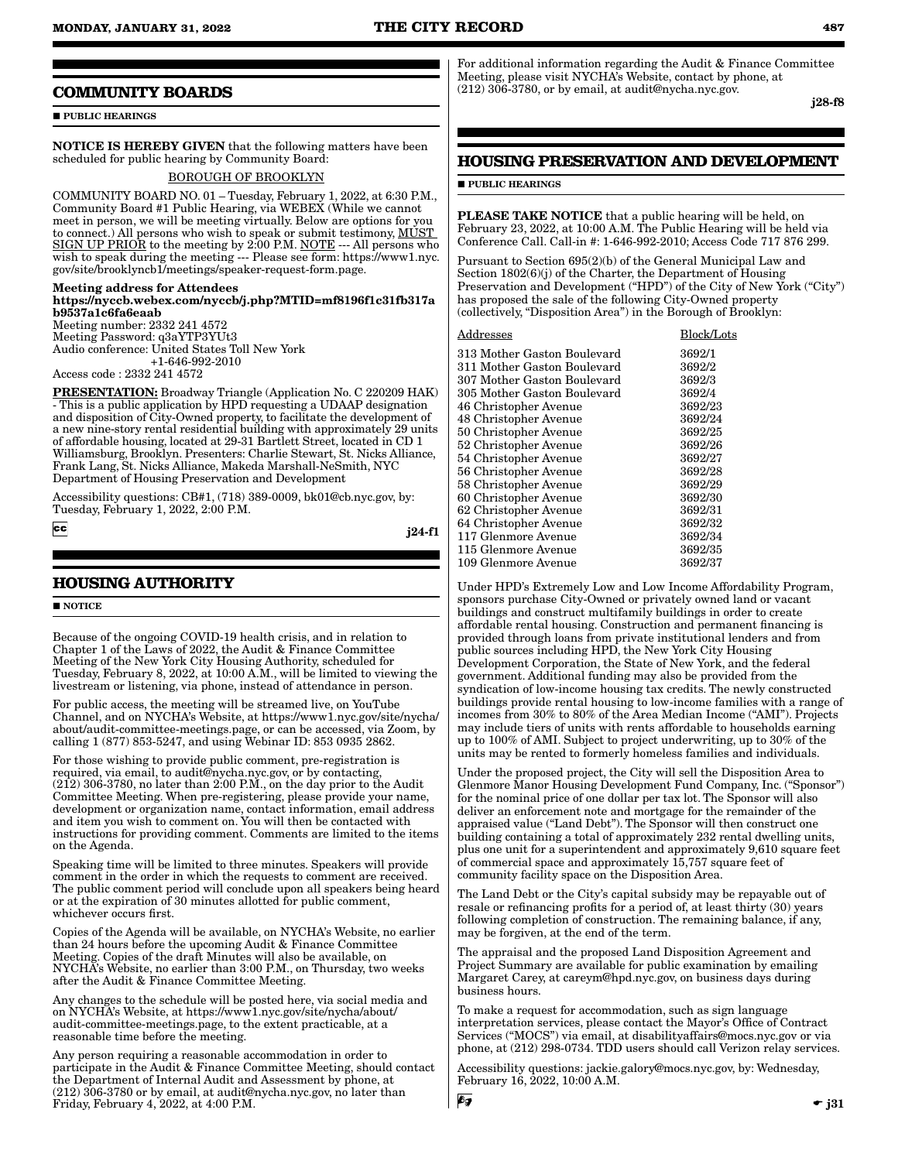## **COMMUNITY BOARDS**

**PUBLIC HEARINGS** 

NOTICE IS HEREBY GIVEN that the following matters have been scheduled for public hearing by Community Board:

#### BOROUGH OF BROOKLYN

COMMUNITY BOARD NO. 01 – Tuesday, February 1, 2022, at 6:30 P.M., Community Board #1 Public Hearing, via WEBEX (While we cannot meet in person, we will be meeting virtually. Below are options for you to connect.) All persons who wish to speak or submit testimony, MUST SIGN UP PRIOR to the meeting by 2:00 P.M. NOTE --- All persons who wish to speak during the meeting --- Please see form: https://www1.nyc. gov/site/brooklyncb1/meetings/speaker-request-form.page.

#### Meeting address for Attendees

https://nyccb.webex.com/nyccb/j.php?MTID=mf8196f1c31fb317a b9537a1c6fa6eaab

Meeting number: 2332 241 4572 Meeting Password: q3aYTP3YUt3 Audio conference: United States Toll New York +1-646-992-2010

Access code : 2332 241 4572

PRESENTATION: Broadway Triangle (Application No. C 220209 HAK) - This is a public application by HPD requesting a UDAAP designation and disposition of City-Owned property, to facilitate the development of a new nine-story rental residential building with approximately 29 units of affordable housing, located at 29-31 Bartlett Street, located in CD 1 Williamsburg, Brooklyn. Presenters: Charlie Stewart, St. Nicks Alliance, Frank Lang, St. Nicks Alliance, Makeda Marshall-NeSmith, NYC Department of Housing Preservation and Development

Accessibility questions: CB#1, (718) 389-0009, bk01@cb.nyc.gov, by: Tuesday, February 1, 2022, 2:00 P.M.

 $|cc|$ 

j24-f1

## **HOUSING AUTHORITY**

#### **NOTICE**

Because of the ongoing COVID-19 health crisis, and in relation to Chapter 1 of the Laws of 2022, the Audit & Finance Committee Meeting of the New York City Housing Authority, scheduled for Tuesday, February 8, 2022, at 10:00 A.M., will be limited to viewing the livestream or listening, via phone, instead of attendance in person.

For public access, the meeting will be streamed live, on YouTube Channel, and on NYCHA's Website, at https://www1.nyc.gov/site/nycha/ about/audit-committee-meetings.page, or can be accessed, via Zoom, by calling 1 (877) 853-5247, and using Webinar ID: 853 0935 2862.

For those wishing to provide public comment, pre-registration is required, via email, to audit@nycha.nyc.gov, or by contacting,  $(212)$  306-3780, no later than 2:00 P.M., on the day prior to the Audit Committee Meeting. When pre-registering, please provide your name, development or organization name, contact information, email address and item you wish to comment on. You will then be contacted with instructions for providing comment. Comments are limited to the items on the Agenda.

Speaking time will be limited to three minutes. Speakers will provide comment in the order in which the requests to comment are received. The public comment period will conclude upon all speakers being heard or at the expiration of 30 minutes allotted for public comment, whichever occurs first.

Copies of the Agenda will be available, on NYCHA's Website, no earlier than 24 hours before the upcoming Audit & Finance Committee Meeting. Copies of the draft Minutes will also be available, on NYCHA's Website, no earlier than 3:00 P.M., on Thursday, two weeks after the Audit & Finance Committee Meeting.

Any changes to the schedule will be posted here, via social media and on NYCHA's Website, at https://www1.nyc.gov/site/nycha/about/ audit-committee-meetings.page, to the extent practicable, at a reasonable time before the meeting.

Any person requiring a reasonable accommodation in order to participate in the Audit & Finance Committee Meeting, should contact the Department of Internal Audit and Assessment by phone, at (212) 306-3780 or by email, at audit@nycha.nyc.gov, no later than Friday, February 4, 2022, at 4:00 P.M.

For additional information regarding the Audit & Finance Committee Meeting, please visit NYCHA's Website, contact by phone, at (212) 306-3780, or by email, at audit@nycha.nyc.gov.

j28-f8

## **HOUSING PRESERVATION AND DEVELOPMENT**

#### **PUBLIC HEARINGS**

PLEASE TAKE NOTICE that a public hearing will be held, on February 23, 2022, at 10:00 A.M. The Public Hearing will be held via Conference Call. Call-in #: 1-646-992-2010; Access Code 717 876 299.

Pursuant to Section 695(2)(b) of the General Municipal Law and Section 1802(6)(j) of the Charter, the Department of Housing Preservation and Development ("HPD") of the City of New York ("City") has proposed the sale of the following City-Owned property (collectively, "Disposition Area") in the Borough of Brooklyn:

| $\operatorname{Address}$    | Block/Lots |
|-----------------------------|------------|
| 313 Mother Gaston Boulevard | 3692/1     |
| 311 Mother Gaston Boulevard | 3692/2     |
| 307 Mother Gaston Boulevard | 3692/3     |
| 305 Mother Gaston Boulevard | 3692/4     |
| 46 Christopher Avenue       | 3692/23    |
| 48 Christopher Avenue       | 3692/24    |
| 50 Christopher Avenue       | 3692/25    |
| 52 Christopher Avenue       | 3692/26    |
| 54 Christopher Avenue       | 3692/27    |
| 56 Christopher Avenue       | 3692/28    |
| 58 Christopher Avenue       | 3692/29    |
| 60 Christopher Avenue       | 3692/30    |
| 62 Christopher Avenue       | 3692/31    |
| 64 Christopher Avenue       | 3692/32    |
| 117 Glenmore Avenue         | 3692/34    |
| 115 Glenmore Avenue         | 3692/35    |
| 109 Glenmore Avenue         | 3692/37    |

Under HPD's Extremely Low and Low Income Affordability Program, sponsors purchase City-Owned or privately owned land or vacant buildings and construct multifamily buildings in order to create affordable rental housing. Construction and permanent financing is provided through loans from private institutional lenders and from public sources including HPD, the New York City Housing Development Corporation, the State of New York, and the federal government. Additional funding may also be provided from the syndication of low-income housing tax credits. The newly constructed buildings provide rental housing to low-income families with a range of incomes from 30% to 80% of the Area Median Income ("AMI"). Projects may include tiers of units with rents affordable to households earning up to 100% of AMI. Subject to project underwriting, up to 30% of the units may be rented to formerly homeless families and individuals.

Under the proposed project, the City will sell the Disposition Area to Glenmore Manor Housing Development Fund Company, Inc. ("Sponsor") for the nominal price of one dollar per tax lot. The Sponsor will also deliver an enforcement note and mortgage for the remainder of the appraised value ("Land Debt"). The Sponsor will then construct one building containing a total of approximately 232 rental dwelling units, plus one unit for a superintendent and approximately 9,610 square feet of commercial space and approximately 15,757 square feet of community facility space on the Disposition Area.

The Land Debt or the City's capital subsidy may be repayable out of resale or refinancing profits for a period of, at least thirty (30) years following completion of construction. The remaining balance, if any, may be forgiven, at the end of the term.

The appraisal and the proposed Land Disposition Agreement and Project Summary are available for public examination by emailing Margaret Carey, at careym@hpd.nyc.gov, on business days during business hours.

To make a request for accommodation, such as sign language interpretation services, please contact the Mayor's Office of Contract Services ("MOCS") via email, at disabilityaffairs@mocs.nyc.gov or via phone, at (212) 298-0734. TDD users should call Verizon relay services.

Accessibility questions: jackie.galory@mocs.nyc.gov, by: Wednesday, February 16, 2022, 10:00 A.M.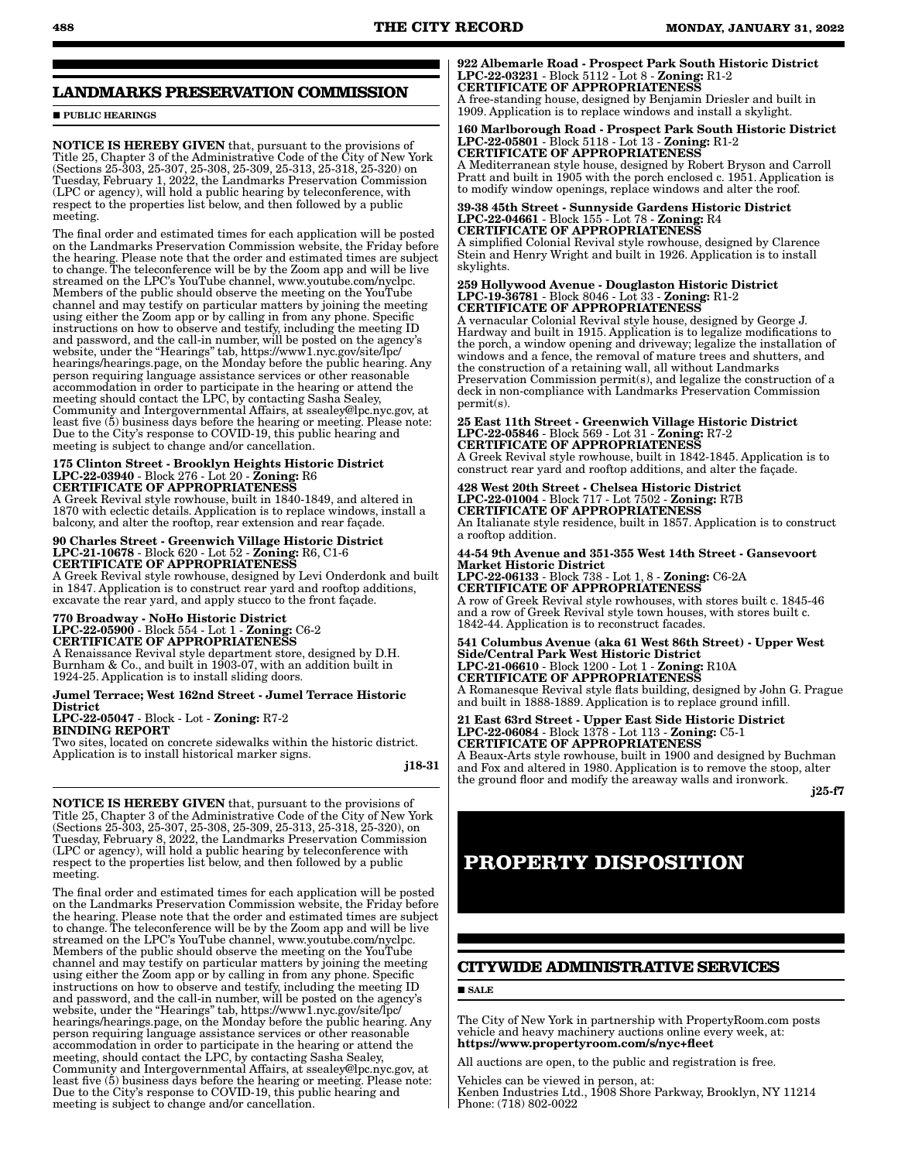## **LANDMARKS PRESERVATION COMMISSION**

**PUBLIC HEARINGS** 

NOTICE IS HEREBY GIVEN that, pursuant to the provisions of Title 25, Chapter 3 of the Administrative Code of the City of New York (Sections 25-303, 25-307, 25-308, 25-309, 25-313, 25-318, 25-320) on Tuesday, February 1, 2022, the Landmarks Preservation Commission (LPC or agency), will hold a public hearing by teleconference, with respect to the properties list below, and then followed by a public meeting.

The final order and estimated times for each application will be posted on the Landmarks Preservation Commission website, the Friday before the hearing. Please note that the order and estimated times are subject to change. The teleconference will be by the Zoom app and will be live streamed on the LPC's YouTube channel, www.youtube.com/nyclpc. Members of the public should observe the meeting on the YouTube channel and may testify on particular matters by joining the meeting using either the Zoom app or by calling in from any phone. Specific instructions on how to observe and testify, including the meeting ID and password, and the call-in number, will be posted on the agency's website, under the "Hearings" tab, https://www1.nyc.gov/site/lpc/ hearings/hearings.page, on the Monday before the public hearing. Any person requiring language assistance services or other reasonable accommodation in order to participate in the hearing or attend the meeting should contact the LPC, by contacting Sasha Sealey, Community and Intergovernmental Affairs, at ssealey@lpc.nyc.gov, at least five (5) business days before the hearing or meeting. Please note: Due to the City's response to COVID-19, this public hearing and meeting is subject to change and/or cancellation.

#### 175 Clinton Street - Brooklyn Heights Historic District LPC-22-03940 - Block 276 - Lot 20 - Zoning: R6 CERTIFICATE OF APPROPRIATENESS

A Greek Revival style rowhouse, built in 1840-1849, and altered in 1870 with eclectic details. Application is to replace windows, install a balcony, and alter the rooftop, rear extension and rear façade.

## 90 Charles Street - Greenwich Village Historic District LPC-21-10678 - Block 620 - Lot 52 - Zoning: R6, C1-6 CERTIFICATE OF APPROPRIATENESS

A Greek Revival style rowhouse, designed by Levi Onderdonk and built in 1847. Application is to construct rear yard and rooftop additions, excavate the rear yard, and apply stucco to the front façade.

## 770 Broadway - NoHo Historic District LPC-22-05900 - Block 554 - Lot 1 - Zoning: C6-2 CERTIFICATE OF APPROPRIATENESS

A Renaissance Revival style department store, designed by D.H. Burnham & Co., and built in 1903-07, with an addition built in 1924-25. Application is to install sliding doors.

#### Jumel Terrace; West 162nd Street - Jumel Terrace Historic District

LPC-22-05047 - Block - Lot - Zoning: R7-2 BINDING REPORT

Two sites, located on concrete sidewalks within the historic district. Application is to install historical marker signs.

j18-31

NOTICE IS HEREBY GIVEN that, pursuant to the provisions of Title 25, Chapter 3 of the Administrative Code of the City of New York (Sections 25-303, 25-307, 25-308, 25-309, 25-313, 25-318, 25-320), on Tuesday, February 8, 2022, the Landmarks Preservation Commission (LPC or agency), will hold a public hearing by teleconference with respect to the properties list below, and then followed by a public meeting.

The final order and estimated times for each application will be posted on the Landmarks Preservation Commission website, the Friday before the hearing. Please note that the order and estimated times are subject to change. The teleconference will be by the Zoom app and will be live streamed on the LPC's YouTube channel, www.youtube.com/nyclpc. Members of the public should observe the meeting on the YouTube channel and may testify on particular matters by joining the meeting using either the Zoom app or by calling in from any phone. Specific instructions on how to observe and testify, including the meeting ID and password, and the call-in number, will be posted on the agency's website, under the "Hearings" tab, https://www1.nyc.gov/site/lpc/ hearings/hearings.page, on the Monday before the public hearing. Any person requiring language assistance services or other reasonable accommodation in order to participate in the hearing or attend the meeting, should contact the LPC, by contacting Sasha Sealey, Community and Intergovernmental Affairs, at ssealey@lpc.nyc.gov, at least five (5) business days before the hearing or meeting. Please note: Due to the City's response to COVID-19, this public hearing and meeting is subject to change and/or cancellation.

922 Albemarle Road - Prospect Park South Historic District LPC-22-03231 - Block 5112 - Lot 8 - Zoning: R1-2 CERTIFICATE OF APPROPRIATENESS

A free-standing house, designed by Benjamin Driesler and built in 1909. Application is to replace windows and install a skylight.

#### 160 Marlborough Road - Prospect Park South Historic District LPC-22-05801 - Block 5118 - Lot 13 - Zoning: R1-2 CERTIFICATE OF APPROPRIATENESS

A Mediterranean style house, designed by Robert Bryson and Carroll Pratt and built in 1905 with the porch enclosed c. 1951. Application is to modify window openings, replace windows and alter the roof.

#### 39-38 45th Street - Sunnyside Gardens Historic District LPC-22-04661 - Block 155 - Lot 78 - Zoning: R4 CERTIFICATE OF APPROPRIATENESS A simplified Colonial Revival style rowhouse, designed by Clarence

Stein and Henry Wright and built in 1926. Application is to install skylights.

#### 259 Hollywood Avenue - Douglaston Historic District LPC-19-36781 - Block 8046 - Lot 33 - Zoning: R1-2 CERTIFICATE OF APPROPRIATENESS

A vernacular Colonial Revival style house, designed by George J. Hardway and built in 1915. Application is to legalize modifications to the porch, a window opening and driveway; legalize the installation of windows and a fence, the removal of mature trees and shutters, and the construction of a retaining wall, all without Landmarks Preservation Commission permit(s), and legalize the construction of a deck in non-compliance with Landmarks Preservation Commission permit(s).

#### 25 East 11th Street - Greenwich Village Historic District LPC-22-05846 - Block 569 - Lot 31 - Zoning: R7-2 CERTIFICATE OF APPROPRIATENESS

A Greek Revival style rowhouse, built in 1842-1845. Application is to construct rear yard and rooftop additions, and alter the façade.

428 West 20th Street - Chelsea Historic District LPC-22-01004 - Block 717 - Lot 7502 - Zoning: R7B CERTIFICATE OF APPROPRIATENESS An Italianate style residence, built in 1857. Application is to construct a rooftop addition.

44-54 9th Avenue and 351-355 West 14th Street - Gansevoort Market Historic District LPC-22-06133 - Block 738 - Lot 1, 8 - Zoning: C6-2A CERTIFICATE OF APPROPRIATENESS A row of Greek Revival style rowhouses, with stores built c. 1845-46 and a row of Greek Revival style town houses, with stores built c. 1842-44. Application is to reconstruct facades.

541 Columbus Avenue (aka 61 West 86th Street) - Upper West Side/Central Park West Historic District LPC-21-06610 - Block 1200 - Lot 1 - Zoning: R10A CERTIFICATE OF APPROPRIATENESS A Romanesque Revival style flats building, designed by John G. Prague and built in 1888-1889. Application is to replace ground infill.

21 East 63rd Street - Upper East Side Historic District LPC-22-06084 - Block 1378 - Lot 113 - Zoning: C5-1 CERTIFICATE OF APPROPRIATENESS

A Beaux-Arts style rowhouse, built in 1900 and designed by Buchman and Fox and altered in 1980. Application is to remove the stoop, alter the ground floor and modify the areaway walls and ironwork.

j25-f7

## **PROPERTY DISPOSITION**

## **CITYWIDE ADMINISTRATIVE SERVICES**

**SALE** 

The City of New York in partnership with PropertyRoom.com posts vehicle and heavy machinery auctions online every week, at: https://www.propertyroom.com/s/nyc+fleet

All auctions are open, to the public and registration is free.

Vehicles can be viewed in person, at:

Kenben Industries Ltd., 1908 Shore Parkway, Brooklyn, NY 11214 Phone: (718) 802-0022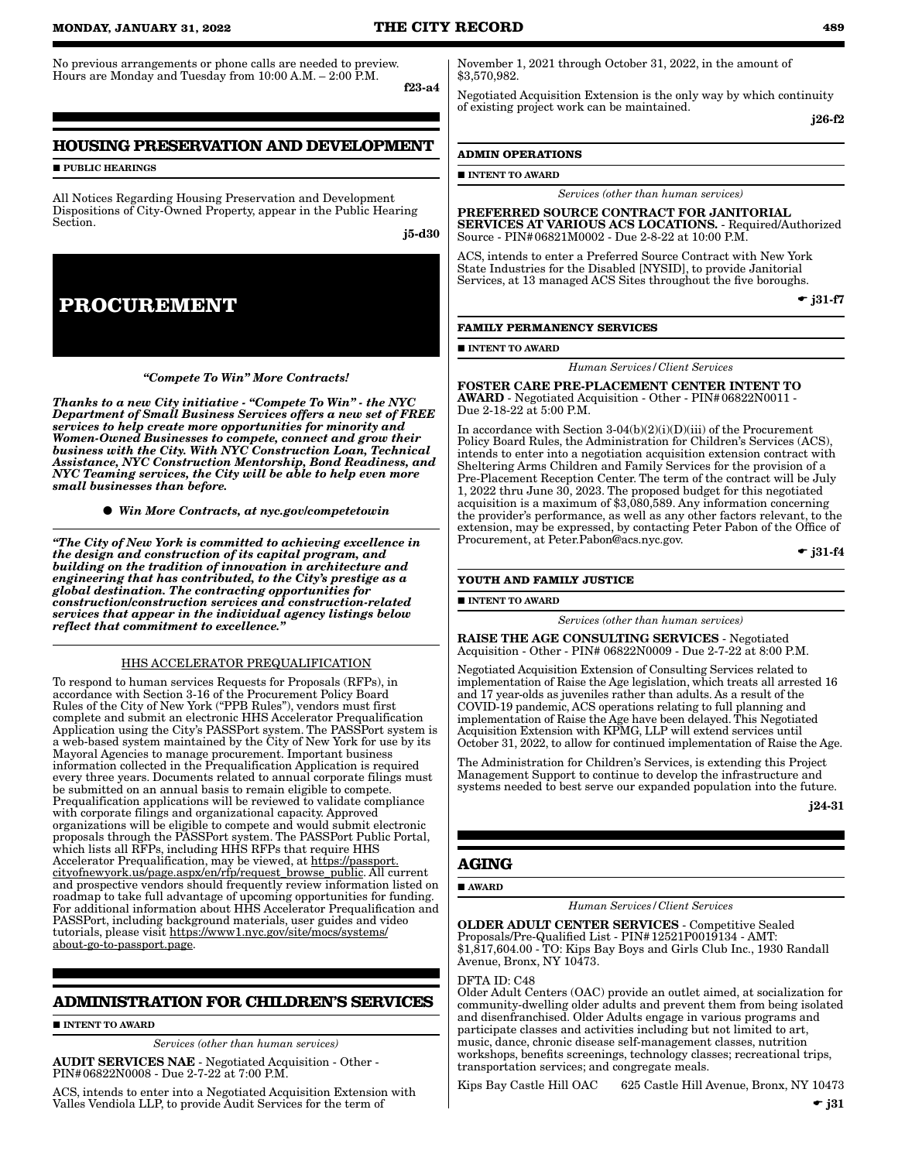No previous arrangements or phone calls are needed to preview. Hours are Monday and Tuesday from 10:00 A.M. – 2:00 P.M.

## **HOUSING PRESERVATION AND DEVELOPMENT**

**PUBLIC HEARINGS** 

All Notices Regarding Housing Preservation and Development Dispositions of City-Owned Property, appear in the Public Hearing Section.

j5-d30

f23-a4

**PROCUREMENT**

#### *"Compete To Win" More Contracts!*

*Thanks to a new City initiative - "Compete To Win" - the NYC Department of Small Business Services offers a new set of FREE services to help create more opportunities for minority and Women-Owned Businesses to compete, connect and grow their business with the City. With NYC Construction Loan, Technical Assistance, NYC Construction Mentorship, Bond Readiness, and NYC Teaming services, the City will be able to help even more small businesses than before.*

*Win More Contracts, at nyc.gov/competetowin*

*"The City of New York is committed to achieving excellence in the design and construction of its capital program, and building on the tradition of innovation in architecture and engineering that has contributed, to the City's prestige as a global destination. The contracting opportunities for construction/construction services and construction-related services that appear in the individual agency listings below reflect that commitment to excellence."*

#### HHS ACCELERATOR PREQUALIFICATION

To respond to human services Requests for Proposals (RFPs), in accordance with Section 3-16 of the Procurement Policy Board Rules of the City of New York ("PPB Rules"), vendors must first complete and submit an electronic HHS Accelerator Prequalification Application using the City's PASSPort system. The PASSPort system is a web-based system maintained by the City of New York for use by its Mayoral Agencies to manage procurement. Important business information collected in the Prequalification Application is required every three years. Documents related to annual corporate filings must be submitted on an annual basis to remain eligible to compete. Prequalification applications will be reviewed to validate compliance with corporate filings and organizational capacity. Approved organizations will be eligible to compete and would submit electronic proposals through the PASSPort system. The PASSPort Public Portal, which lists all RFPs, including HHS RFPs that require HHS Accelerator Prequalification, may be viewed, at https://passport. cityofnewyork.us/page.aspx/en/rfp/request\_browse\_public. All current and prospective vendors should frequently review information listed on roadmap to take full advantage of upcoming opportunities for funding. For additional information about HHS Accelerator Prequalification and PASSPort, including background materials, user guides and video tutorials, please visit https://www1.nyc.gov/site/mocs/systems/ about-go-to-passport.page.

#### **ADMINISTRATION FOR CHILDREN'S SERVICES**

#### **INTENT TO AWARD**

*Services (other than human services)*

AUDIT SERVICES NAE - Negotiated Acquisition - Other - PIN#06822N0008 - Due 2-7-22 at 7:00 P.M.

ACS, intends to enter into a Negotiated Acquisition Extension with Valles Vendiola LLP, to provide Audit Services for the term of

November 1, 2021 through October 31, 2022, in the amount of \$3,570,982.

Negotiated Acquisition Extension is the only way by which continuity of existing project work can be maintained.

j26-f2

#### **ADMIN OPERATIONS**

#### **INTENT TO AWARD**

*Services (other than human services)*

PREFERRED SOURCE CONTRACT FOR JANITORIAL SERVICES AT VARIOUS ACS LOCATIONS. - Required/Authorized Source - PIN#06821M0002 - Due 2-8-22 at 10:00 P.M.

ACS, intends to enter a Preferred Source Contract with New York State Industries for the Disabled [NYSID], to provide Janitorial Services, at 13 managed ACS Sites throughout the five boroughs.

 $\div$  j31-f7

#### **FAMILY PERMANENCY SERVICES**

**INTENT TO AWARD** 

*Human Services/Client Services*

FOSTER CARE PRE-PLACEMENT CENTER INTENT TO AWARD - Negotiated Acquisition - Other - PIN#06822N0011 - Due 2-18-22 at 5:00 P.M.

In accordance with Section 3-04(b)(2)(i)(D)(iii) of the Procurement Policy Board Rules, the Administration for Children's Services (ACS), intends to enter into a negotiation acquisition extension contract with Sheltering Arms Children and Family Services for the provision of a Pre-Placement Reception Center. The term of the contract will be July 1, 2022 thru June 30, 2023. The proposed budget for this negotiated acquisition is a maximum of \$3,080,589. Any information concerning the provider's performance, as well as any other factors relevant, to the extension, may be expressed, by contacting Peter Pabon of the Office of Procurement, at Peter.Pabon@acs.nyc.gov.

 $\bullet$  j31-f4

#### **YOUTH AND FAMILY JUSTICE**

INTENT TO AWARD

*Services (other than human services)*

RAISE THE AGE CONSULTING SERVICES - Negotiated Acquisition - Other - PIN# 06822N0009 - Due 2-7-22 at 8:00 P.M.

Negotiated Acquisition Extension of Consulting Services related to implementation of Raise the Age legislation, which treats all arrested 16 and 17 year-olds as juveniles rather than adults. As a result of the COVID-19 pandemic, ACS operations relating to full planning and implementation of Raise the Age have been delayed. This Negotiated Acquisition Extension with KPMG, LLP will extend services until October 31, 2022, to allow for continued implementation of Raise the Age.

The Administration for Children's Services, is extending this Project Management Support to continue to develop the infrastructure and systems needed to best serve our expanded population into the future.

j24-31

#### **AGING**

#### ■ AWARD

*Human Services/Client Services*

OLDER ADULT CENTER SERVICES - Competitive Sealed Proposals/Pre-Qualified List - PIN#12521P0019134 - AMT: \$1,817,604.00 - TO: Kips Bay Boys and Girls Club Inc., 1930 Randall Avenue, Bronx, NY 10473.

#### DFTA ID: C48

Older Adult Centers (OAC) provide an outlet aimed, at socialization for community-dwelling older adults and prevent them from being isolated and disenfranchised. Older Adults engage in various programs and participate classes and activities including but not limited to art, music, dance, chronic disease self-management classes, nutrition workshops, benefits screenings, technology classes; recreational trips, transportation services; and congregate meals.

Kips Bay Castle Hill OAC 625 Castle Hill Avenue, Bronx, NY 10473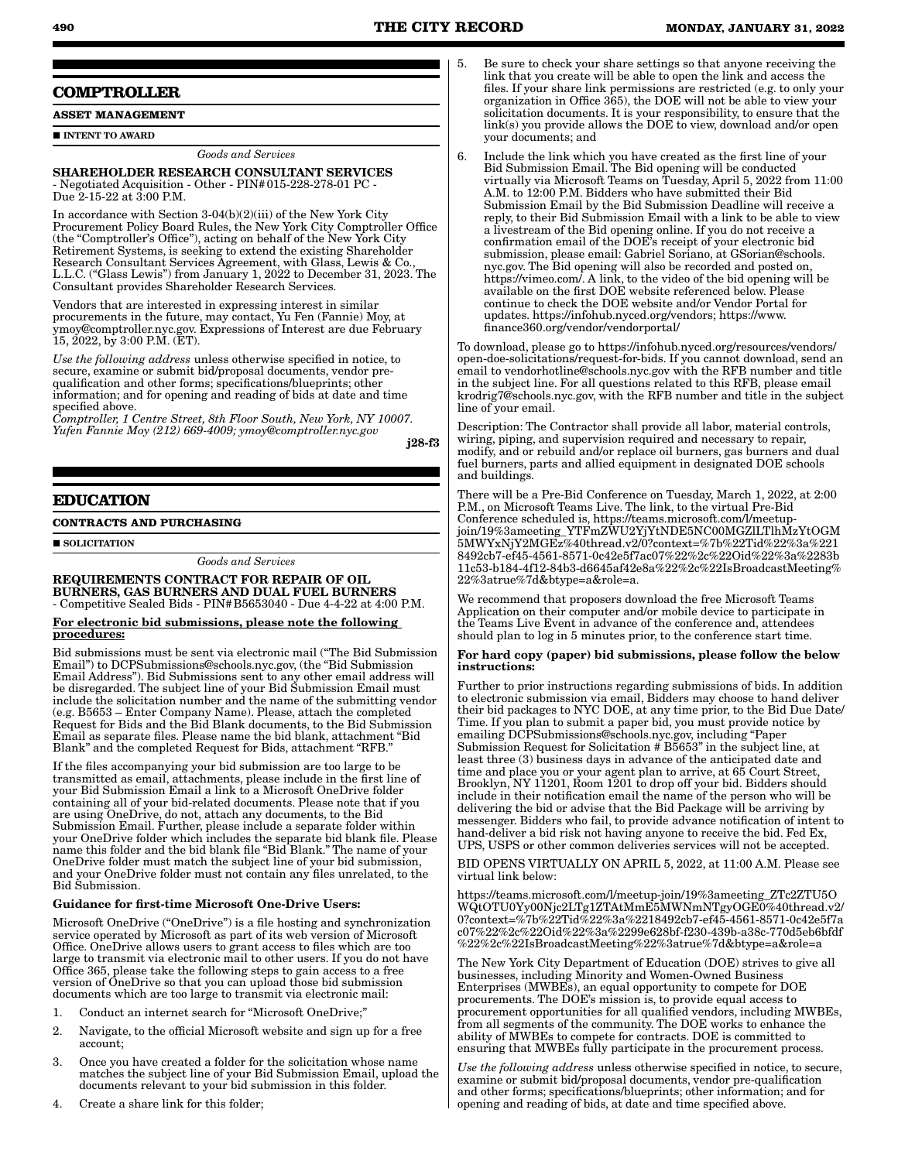## **COMPTROLLER**

**ASSET MANAGEMENT**

#### **INTENT TO AWARD**

*Goods and Services*

#### SHAREHOLDER RESEARCH CONSULTANT SERVICES - Negotiated Acquisition - Other - PIN#015-228-278-01 PC - Due 2-15-22 at 3:00 P.M.

In accordance with Section 3-04(b)(2)(iii) of the New York City Procurement Policy Board Rules, the New York City Comptroller Office (the "Comptroller's Office"), acting on behalf of the New York City Retirement Systems, is seeking to extend the existing Shareholder Research Consultant Services Agreement, with Glass, Lewis & Co., L.L.C. ("Glass Lewis") from January 1, 2022 to December 31, 2023. The Consultant provides Shareholder Research Services.

Vendors that are interested in expressing interest in similar procurements in the future, may contact, Yu Fen (Fannie) Moy, at ymoy@comptroller.nyc.gov. Expressions of Interest are due February 15, 2022, by 3:00 P.M. (ET).

*Use the following address* unless otherwise specified in notice, to secure, examine or submit bid/proposal documents, vendor prequalification and other forms; specifications/blueprints; other information; and for opening and reading of bids at date and time specified above.

*Comptroller, 1 Centre Street, 8th Floor South, New York, NY 10007. Yufen Fannie Moy (212) 669-4009; ymoy@comptroller.nyc.gov*

j28-f3

### **EDUCATION**

#### **CONTRACTS AND PURCHASING**

SOLICITATION

*Goods and Services*

REQUIREMENTS CONTRACT FOR REPAIR OF OIL BURNERS, GAS BURNERS AND DUAL FUEL BURNERS - Competitive Sealed Bids - PIN#B5653040 - Due 4-4-22 at 4:00 P.M.

#### For electronic bid submissions, please note the following procedures:

Bid submissions must be sent via electronic mail ("The Bid Submission Email") to DCPSubmissions@schools.nyc.gov, (the "Bid Submission Email Address"). Bid Submissions sent to any other email address will be disregarded. The subject line of your Bid Submission Email must include the solicitation number and the name of the submitting vendor (e.g. B5653 – Enter Company Name). Please, attach the completed Request for Bids and the Bid Blank documents, to the Bid Submission Email as separate files. Please name the bid blank, attachment "Bid Blank" and the completed Request for Bids, attachment "RFB."

If the files accompanying your bid submission are too large to be transmitted as email, attachments, please include in the first line of your Bid Submission Email a link to a Microsoft OneDrive folder containing all of your bid-related documents. Please note that if you are using OneDrive, do not, attach any documents, to the Bid Submission Email. Further, please include a separate folder within your OneDrive folder which includes the separate bid blank file. Please name this folder and the bid blank file "Bid Blank." The name of your OneDrive folder must match the subject line of your bid submission, and your OneDrive folder must not contain any files unrelated, to the Bid Submission.

#### Guidance for first-time Microsoft One-Drive Users:

Microsoft OneDrive ("OneDrive") is a file hosting and synchronization service operated by Microsoft as part of its web version of Microsoft Office. OneDrive allows users to grant access to files which are too large to transmit via electronic mail to other users. If you do not have Office 365, please take the following steps to gain access to a free version of OneDrive so that you can upload those bid submission documents which are too large to transmit via electronic mail:

- 1. Conduct an internet search for "Microsoft OneDrive;"
- 2. Navigate, to the official Microsoft website and sign up for a free account;
- 3. Once you have created a folder for the solicitation whose name matches the subject line of your Bid Submission Email, upload the documents relevant to your bid submission in this folder.
- 5. Be sure to check your share settings so that anyone receiving the link that you create will be able to open the link and access the files. If your share link permissions are restricted (e.g. to only your organization in Office 365), the DOE will not be able to view your solicitation documents. It is your responsibility, to ensure that the link(s) you provide allows the DOE to view, download and/or open your documents; and
- 6. Include the link which you have created as the first line of your Bid Submission Email. The Bid opening will be conducted virtually via Microsoft Teams on Tuesday, April 5, 2022 from 11:00 A.M. to 12:00 P.M. Bidders who have submitted their Bid Submission Email by the Bid Submission Deadline will receive a reply, to their Bid Submission Email with a link to be able to view a livestream of the Bid opening online. If you do not receive a confirmation email of the DOE's receipt of your electronic bid submission, please email: Gabriel Soriano, at GSorian@schools. nyc.gov. The Bid opening will also be recorded and posted on, https://vimeo.com/. A link, to the video of the bid opening will be available on the first DOE website referenced below. Please continue to check the DOE website and/or Vendor Portal for updates. https://infohub.nyced.org/vendors; https://www. finance360.org/vendor/vendorportal/

To download, please go to https://infohub.nyced.org/resources/vendors/ open-doe-solicitations/request-for-bids. If you cannot download, send an email to vendorhotline@schools.nyc.gov with the RFB number and title in the subject line. For all questions related to this RFB, please email krodrig7@schools.nyc.gov, with the RFB number and title in the subject line of your email.

Description: The Contractor shall provide all labor, material controls, wiring, piping, and supervision required and necessary to repair, modify, and or rebuild and/or replace oil burners, gas burners and dual fuel burners, parts and allied equipment in designated DOE schools and buildings.

There will be a Pre-Bid Conference on Tuesday, March 1, 2022, at 2:00 P.M., on Microsoft Teams Live. The link, to the virtual Pre-Bid Conference scheduled is, https://teams.microsoft.com/l/meetupjoin/19%3ameeting\_YTFmZWU2YjYtNDE5NC00MGZlLTlhMzYtOGM 5MWYxNjY2MGEz%40thread.v2/0?context=%7b%22Tid%22%3a%221 8492cb7-ef45-4561-8571-0c42e5f7ac07%22%2c%22Oid%22%3a%2283b 11c53-b184-4f12-84b3-d6645af42e8a%22%2c%22IsBroadcastMeeting% 22%3atrue%7d&btype=a&role=a.

We recommend that proposers download the free Microsoft Teams Application on their computer and/or mobile device to participate in the Teams Live Event in advance of the conference and, attendees should plan to log in 5 minutes prior, to the conference start time.

#### For hard copy (paper) bid submissions, please follow the below instructions:

Further to prior instructions regarding submissions of bids. In addition to electronic submission via email, Bidders may choose to hand deliver their bid packages to NYC DOE, at any time prior, to the Bid Due Date/ Time. If you plan to submit a paper bid, you must provide notice by emailing DCPSubmissions@schools.nyc.gov, including "Paper Submission Request for Solicitation # B5653" in the subject line, at least three (3) business days in advance of the anticipated date and time and place you or your agent plan to arrive, at 65 Court Street, Brooklyn, NY 11201, Room 1201 to drop off your bid. Bidders should include in their notification email the name of the person who will be delivering the bid or advise that the Bid Package will be arriving by messenger. Bidders who fail, to provide advance notification of intent to hand-deliver a bid risk not having anyone to receive the bid. Fed Ex, UPS, USPS or other common deliveries services will not be accepted.

BID OPENS VIRTUALLY ON APRIL 5, 2022, at 11:00 A.M. Please see virtual link below:

https://teams.microsoft.com/l/meetup-join/19%3ameeting\_ZTc2ZTU5O WQtOTU0Yy00Njc2LTg1ZTAtMmE5MWNmNTgyOGE0%40thread.v2/ 0?context=%7b%22Tid%22%3a%2218492cb7-ef45-4561-8571-0c42e5f7a c07%22%2c%22Oid%22%3a%2299e628bf-f230-439b-a38c-770d5eb6bfdf %22%2c%22IsBroadcastMeeting%22%3atrue%7d&btype=a&role=a

The New York City Department of Education (DOE) strives to give all businesses, including Minority and Women-Owned Business Enterprises (MWBEs), an equal opportunity to compete for DOE procurements. The DOE's mission is, to provide equal access to procurement opportunities for all qualified vendors, including MWBEs, from all segments of the community. The DOE works to enhance the ability of MWBEs to compete for contracts. DOE is committed to ensuring that MWBEs fully participate in the procurement process.

*Use the following address* unless otherwise specified in notice, to secure, examine or submit bid/proposal documents, vendor pre-qualification and other forms; specifications/blueprints; other information; and for opening and reading of bids, at date and time specified above.

4. Create a share link for this folder;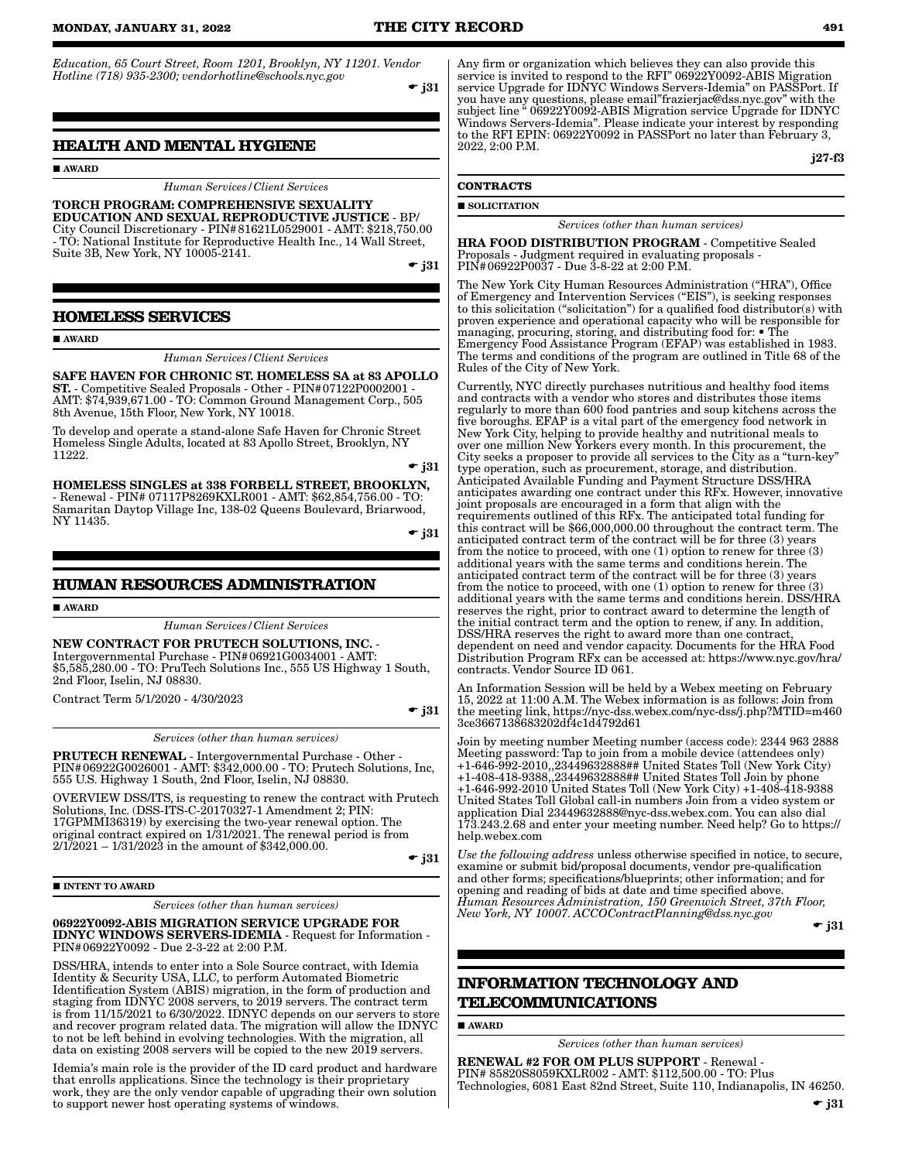*Education, 65 Court Street, Room 1201, Brooklyn, NY 11201. Vendor Hotline (718) 935-2300; vendorhotline@schools.nyc.gov*

 $-$  j31

### **HEALTH AND MENTAL HYGIENE**

**AWARD** 

*Human Services/Client Services*

TORCH PROGRAM: COMPREHENSIVE SEXUALITY EDUCATION AND SEXUAL REPRODUCTIVE JUSTICE - BP/ City Council Discretionary - PIN#81621L0529001 - AMT: \$218,750.00 - TO: National Institute for Reproductive Health Inc., 14 Wall Street, Suite 3B, New York, NY 10005-2141.

 $\div$  i31

### **HOMELESS SERVICES**

#### **AWARD**

*Human Services/Client Services*

SAFE HAVEN FOR CHRONIC ST. HOMELESS SA at 83 APOLLO ST. - Competitive Sealed Proposals - Other - PIN#07122P0002001 - AMT: \$74,939,671.00 - TO: Common Ground Management Corp., 505 8th Avenue, 15th Floor, New York, NY 10018.

To develop and operate a stand-alone Safe Haven for Chronic Street Homeless Single Adults, located at 83 Apollo Street, Brooklyn, NY 11222.  $\div$  j31

HOMELESS SINGLES at 338 FORBELL STREET, BROOKLYN, - Renewal - PIN# 07117P8269KXLR001 - AMT: \$62,854,756.00 - TO: Samaritan Daytop Village Inc, 138-02 Queens Boulevard, Briarwood, NY 11435.

 $\bullet$  j31

#### **HUMAN RESOURCES ADMINISTRATION**

**AWARD** 

*Human Services/Client Services*

NEW CONTRACT FOR PRUTECH SOLUTIONS, INC. - Intergovernmental Purchase - PIN#06921G0034001 - AMT: \$5,585,280.00 - TO: PruTech Solutions Inc., 555 US Highway 1 South, 2nd Floor, Iselin, NJ 08830.

Contract Term 5/1/2020 - 4/30/2023

 $-$  j31

*Services (other than human services)*

PRUTECH RENEWAL - Intergovernmental Purchase - Other - PIN#06922G0026001 - AMT: \$342,000.00 - TO: Prutech Solutions, Inc, 555 U.S. Highway 1 South, 2nd Floor, Iselin, NJ 08830.

OVERVIEW DSS/ITS, is requesting to renew the contract with Prutech Solutions, Inc. (DSS-ITS-C-20170327-1 Amendment 2; PIN: 17GPMMI36319) by exercising the two-year renewal option. The original contract expired on 1/31/2021. The renewal period is from  $2/1/2021 - 1/31/2023$  in the amount of \$342,000.00.

 $\div$  j31

#### **INTENT TO AWARD**

*Services (other than human services)*

06922Y0092-ABIS MIGRATION SERVICE UPGRADE FOR IDNYC WINDOWS SERVERS-IDEMIA - Request for Information - PIN#06922Y0092 - Due 2-3-22 at 2:00 P.M.

DSS/HRA, intends to enter into a Sole Source contract, with Idemia Identity & Security USA, LLC, to perform Automated Biometric Identification System (ABIS) migration, in the form of production and staging from IDNYC 2008 servers, to 2019 servers. The contract term is from 11/15/2021 to 6/30/2022. IDNYC depends on our servers to store and recover program related data. The migration will allow the IDNYC to not be left behind in evolving technologies. With the migration, all data on existing 2008 servers will be copied to the new 2019 servers.

Idemia's main role is the provider of the ID card product and hardware that enrolls applications. Since the technology is their proprietary work, they are the only vendor capable of upgrading their own solution to support newer host operating systems of windows.

Any firm or organization which believes they can also provide this service is invited to respond to the RFI" 06922Y0092-ABIS Migration service Upgrade for IDNYC Windows Servers-Idemia" on PASSPort. If you have any questions, please email"frazierjac@dss.nyc.gov" with the subject line " 06922Y0092-ABIS Migration service Upgrade for IDNYC Windows Servers-Idemia". Please indicate your interest by responding to the RFI EPIN: 06922Y0092 in PASSPort no later than February 3, 2022, 2:00 P.M.

j27-f3

## **CONTRACTS**

**SOLICITATION** 

#### *Services (other than human services)*

HRA FOOD DISTRIBUTION PROGRAM - Competitive Sealed Proposals - Judgment required in evaluating proposals - PIN#06922P0037 - Due 3-8-22 at 2:00 P.M.

The New York City Human Resources Administration ("HRA"), Office of Emergency and Intervention Services ("EIS"), is seeking responses to this solicitation ("solicitation") for a qualified food distributor(s) with proven experience and operational capacity who will be responsible for managing, procuring, storing, and distributing food for: • The Emergency Food Assistance Program (EFAP) was established in 1983. The terms and conditions of the program are outlined in Title 68 of the Rules of the City of New York.

Currently, NYC directly purchases nutritious and healthy food items and contracts with a vendor who stores and distributes those items regularly to more than 600 food pantries and soup kitchens across the five boroughs. EFAP is a vital part of the emergency food network in New York City, helping to provide healthy and nutritional meals to over one million New Yorkers every month. In this procurement, the City seeks a proposer to provide all services to the City as a "turn-key" type operation, such as procurement, storage, and distribution. Anticipated Available Funding and Payment Structure DSS/HRA anticipates awarding one contract under this RFx. However, innovative joint proposals are encouraged in a form that align with the requirements outlined of this RFx. The anticipated total funding for this contract will be \$66,000,000.00 throughout the contract term. The anticipated contract term of the contract will be for three (3) years from the notice to proceed, with one (1) option to renew for three (3) additional years with the same terms and conditions herein. The anticipated contract term of the contract will be for three (3) years from the notice to proceed, with one (1) option to renew for three (3) additional years with the same terms and conditions herein. DSS/HRA reserves the right, prior to contract award to determine the length of the initial contract term and the option to renew, if any. In addition, DSS/HRA reserves the right to award more than one contract, dependent on need and vendor capacity. Documents for the HRA Food Distribution Program RFx can be accessed at: https://www.nyc.gov/hra/ contracts. Vendor Source ID 061.

An Information Session will be held by a Webex meeting on February 15, 2022 at 11:00 A.M. The Webex information is as follows: Join from the meeting link, https://nyc-dss.webex.com/nyc-dss/j.php?MTID=m460 3ce3667138683202df4c1d4792d61

Join by meeting number Meeting number (access code): 2344 963 2888 Meeting password: Tap to join from a mobile device (attendees only) +1-646-992-2010,,23449632888## United States Toll (New York City) +1-408-418-9388,,23449632888## United States Toll Join by phone +1-646-992-2010 United States Toll (New York City) +1-408-418-9388 United States Toll Global call-in numbers Join from a video system or application Dial 23449632888@nyc-dss.webex.com. You can also dial 173.243.2.68 and enter your meeting number. Need help? Go to https:// help.webex.com

*Use the following address* unless otherwise specified in notice, to secure, examine or submit bid/proposal documents, vendor pre-qualification and other forms; specifications/blueprints; other information; and for opening and reading of bids at date and time specified above. *Human Resources Administration, 150 Greenwich Street, 37th Floor, New York, NY 10007. ACCOContractPlanning@dss.nyc.gov*

 $\bullet$  j31

## **INFORMATION TECHNOLOGY AND TELECOMMUNICATIONS**

AWARD

*Services (other than human services)*

RENEWAL #2 FOR OM PLUS SUPPORT - Renewal - PIN# 85820S8059KXLR002 - AMT: \$112,500.00 - TO: Plus Technologies, 6081 East 82nd Street, Suite 110, Indianapolis, IN 46250.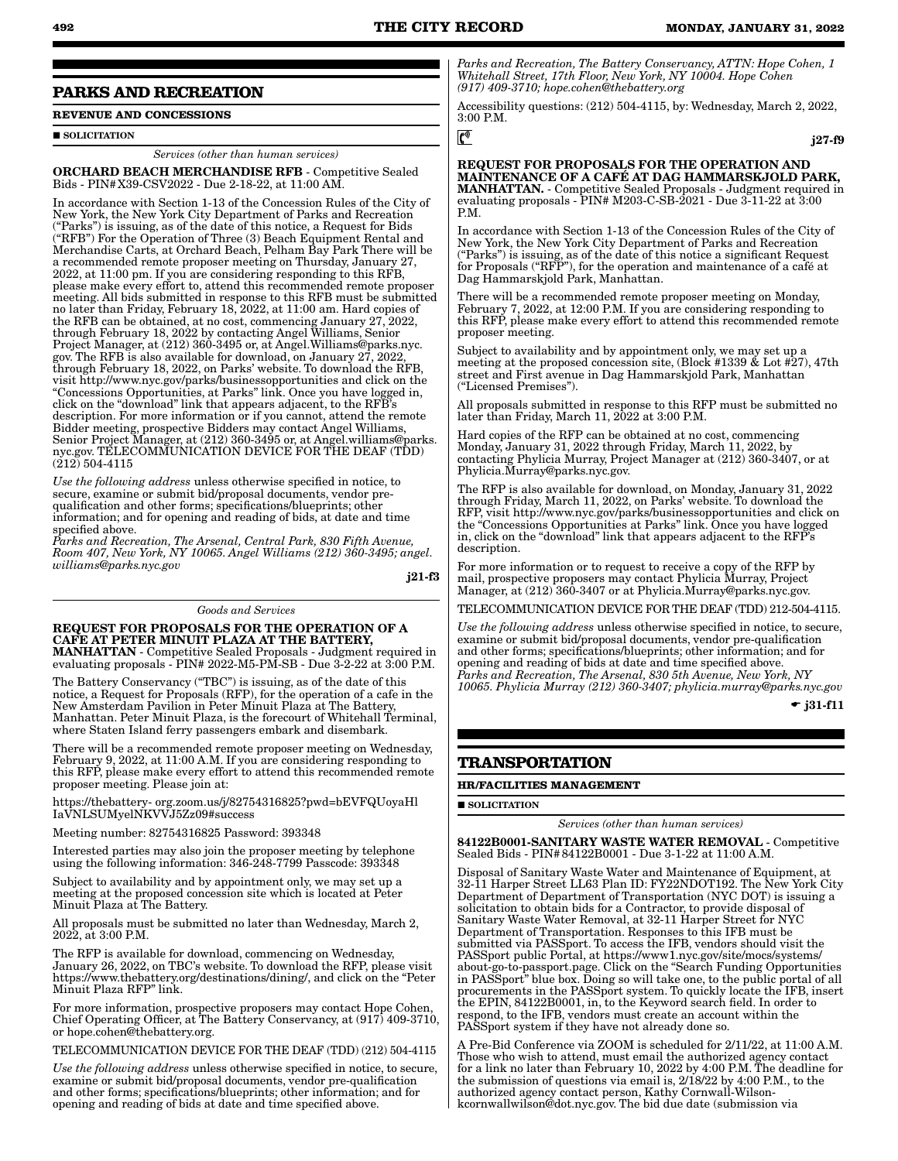j27-f9

#### **PARKS AND RECREATION**

## **REVENUE AND CONCESSIONS**

#### SOLICITATION

*Services (other than human services)*

ORCHARD BEACH MERCHANDISE RFB - Competitive Sealed Bids - PIN#X39-CSV2022 - Due 2-18-22, at 11:00 AM.

In accordance with Section 1-13 of the Concession Rules of the City of New York, the New York City Department of Parks and Recreation ("Parks") is issuing, as of the date of this notice, a Request for Bids ("RFB") For the Operation of Three (3) Beach Equipment Rental and Merchandise Carts, at Orchard Beach, Pelham Bay Park There will be a recommended remote proposer meeting on Thursday, January 27, 2022, at 11:00 pm. If you are considering responding to this RFB, please make every effort to, attend this recommended remote proposer meeting. All bids submitted in response to this RFB must be submitted no later than Friday, February 18, 2022, at 11:00 am. Hard copies of the RFB can be obtained, at no cost, commencing January 27, 2022, through February 18, 2022 by contacting Angel Williams, Senior Project Manager, at (212) 360-3495 or, at Angel.Williams@parks.nyc. gov. The RFB is also available for download, on January 27, 2022, through February 18, 2022, on Parks' website. To download the RFB, visit http://www.nyc.gov/parks/businessopportunities and click on the "Concessions Opportunities, at Parks" link. Once you have logged in, click on the "download" link that appears adjacent, to the RFB's description. For more information or if you cannot, attend the remote Bidder meeting, prospective Bidders may contact Angel Williams, Senior Project Manager, at (212) 360-3495 or, at Angel.williams@parks. nyc.gov. TELECOMMUNICATION DEVICE FOR THE DEAF (TDD) (212) 504-4115

*Use the following address* unless otherwise specified in notice, to secure, examine or submit bid/proposal documents, vendor prequalification and other forms; specifications/blueprints; other information; and for opening and reading of bids, at date and time specified above.

*Parks and Recreation, The Arsenal, Central Park, 830 Fifth Avenue, Room 407, New York, NY 10065. Angel Williams (212) 360-3495; angel. williams@parks.nyc.gov*

j21-f3

#### *Goods and Services*

REQUEST FOR PROPOSALS FOR THE OPERATION OF A CAFE AT PETER MINUIT PLAZA AT THE BATTERY, MANHATTAN - Competitive Sealed Proposals - Judgment required in evaluating proposals - PIN# 2022-M5-PM-SB - Due 3-2-22 at 3:00 P.M.

The Battery Conservancy ("TBC") is issuing, as of the date of this notice, a Request for Proposals (RFP), for the operation of a cafe in the New Amsterdam Pavilion in Peter Minuit Plaza at The Battery, Manhattan. Peter Minuit Plaza, is the forecourt of Whitehall Terminal, where Staten Island ferry passengers embark and disembark.

There will be a recommended remote proposer meeting on Wednesday, February 9, 2022, at 11:00 A.M. If you are considering responding to this RFP, please make every effort to attend this recommended remote proposer meeting. Please join at:

https://thebattery- org.zoom.us/j/82754316825?pwd=bEVFQUoyaHl IaVNLSUMyelNKVVJ5Zz09#success

Meeting number: 82754316825 Password: 393348

Interested parties may also join the proposer meeting by telephone using the following information: 346-248-7799 Passcode: 393348

Subject to availability and by appointment only, we may set up a meeting at the proposed concession site which is located at Peter Minuit Plaza at The Battery.

All proposals must be submitted no later than Wednesday, March 2, 2022, at 3:00 P.M.

The RFP is available for download, commencing on Wednesday, January 26, 2022, on TBC's website. To download the RFP, please visit https://www.thebattery.org/destinations/dining/, and click on the "Peter Minuit Plaza RFP" link.

For more information, prospective proposers may contact Hope Cohen, Chief Operating Officer, at The Battery Conservancy, at (917) 409-3710, or hope.cohen@thebattery.org.

TELECOMMUNICATION DEVICE FOR THE DEAF (TDD) (212) 504-4115

*Use the following address* unless otherwise specified in notice, to secure, examine or submit bid/proposal documents, vendor pre-qualification and other forms; specifications/blueprints; other information; and for opening and reading of bids at date and time specified above.

*Parks and Recreation, The Battery Conservancy, ATTN: Hope Cohen, 1 Whitehall Street, 17th Floor, New York, NY 10004. Hope Cohen (917) 409-3710; hope.cohen@thebattery.org*

Accessibility questions: (212) 504-4115, by: Wednesday, March 2, 2022, 3:00 P.M.

REQUEST FOR PROPOSALS FOR THE OPERATION AND MAINTENANCE OF A CAFÉ AT DAG HAMMARSKJOLD PARK, MANHATTAN. - Competitive Sealed Proposals - Judgment required in evaluating proposals - PIN# M203-C-SB-2021 - Due 3-11-22 at 3:00 P.M.

In accordance with Section 1-13 of the Concession Rules of the City of New York, the New York City Department of Parks and Recreation ("Parks") is issuing, as of the date of this notice a significant Request for Proposals ("RFP"), for the operation and maintenance of a café at Dag Hammarskjold Park, Manhattan.

There will be a recommended remote proposer meeting on Monday, February 7, 2022, at 12:00 P.M. If you are considering responding to this RFP, please make every effort to attend this recommended remote proposer meeting.

Subject to availability and by appointment only, we may set up a meeting at the proposed concession site, (Block #1339 & Lot #27), 47th street and First avenue in Dag Hammarskjold Park, Manhattan ("Licensed Premises").

All proposals submitted in response to this RFP must be submitted no later than Friday, March 11, 2022 at 3:00 P.M.

Hard copies of the RFP can be obtained at no cost, commencing Monday, January 31, 2022 through Friday, March 11, 2022, by contacting Phylicia Murray, Project Manager at (212) 360-3407, or at Phylicia.Murray@parks.nyc.gov.

The RFP is also available for download, on Monday, January 31, 2022 through Friday, March 11, 2022, on Parks' website. To download the RFP, visit http://www.nyc.gov/parks/businessopportunities and click on the "Concessions Opportunities at Parks" link. Once you have logged in, click on the "download" link that appears adjacent to the RFP's description.

For more information or to request to receive a copy of the RFP by mail, prospective proposers may contact Phylicia Murray, Project Manager, at (212) 360-3407 or at Phylicia.Murray@parks.nyc.gov.

TELECOMMUNICATION DEVICE FOR THE DEAF (TDD) 212-504-4115.

*Use the following address* unless otherwise specified in notice, to secure, examine or submit bid/proposal documents, vendor pre-qualification and other forms; specifications/blueprints; other information; and for opening and reading of bids at date and time specified above. *Parks and Recreation, The Arsenal, 830 5th Avenue, New York, NY 10065. Phylicia Murray (212) 360-3407; phylicia.murray@parks.nyc.gov*

 $\div$  i31-f11

#### **TRANSPORTATION**

#### **HR/FACILITIES MANAGEMENT**

 $\blacksquare$  SOLICITATION

*Services (other than human services)*

84122B0001-SANITARY WASTE WATER REMOVAL - Competitive Sealed Bids - PIN#84122B0001 - Due 3-1-22 at 11:00 A.M.

Disposal of Sanitary Waste Water and Maintenance of Equipment, at 32-11 Harper Street LL63 Plan ID: FY22NDOT192. The New York City Department of Department of Transportation (NYC DOT) is issuing a solicitation to obtain bids for a Contractor, to provide disposal of Sanitary Waste Water Removal, at 32-11 Harper Street for NYC Department of Transportation. Responses to this IFB must be submitted via PASSport. To access the IFB, vendors should visit the PASSport public Portal, at https://www1.nyc.gov/site/mocs/systems/ about-go-to-passport.page. Click on the "Search Funding Opportunities in PASSport" blue box. Doing so will take one, to the public portal of all procurements in the PASSport system. To quickly locate the IFB, insert the EPIN, 84122B0001, in, to the Keyword search field. In order to respond, to the IFB, vendors must create an account within the PASSport system if they have not already done so.

A Pre-Bid Conference via ZOOM is scheduled for 2/11/22, at 11:00 A.M. Those who wish to attend, must email the authorized agency contact for a link no later than February 10, 2022 by 4:00 P.M. The deadline for the submission of questions via email is, 2/18/22 by 4:00 P.M., to the authorized agency contact person, Kathy Cornwall-Wilsonkcornwallwilson@dot.nyc.gov. The bid due date (submission via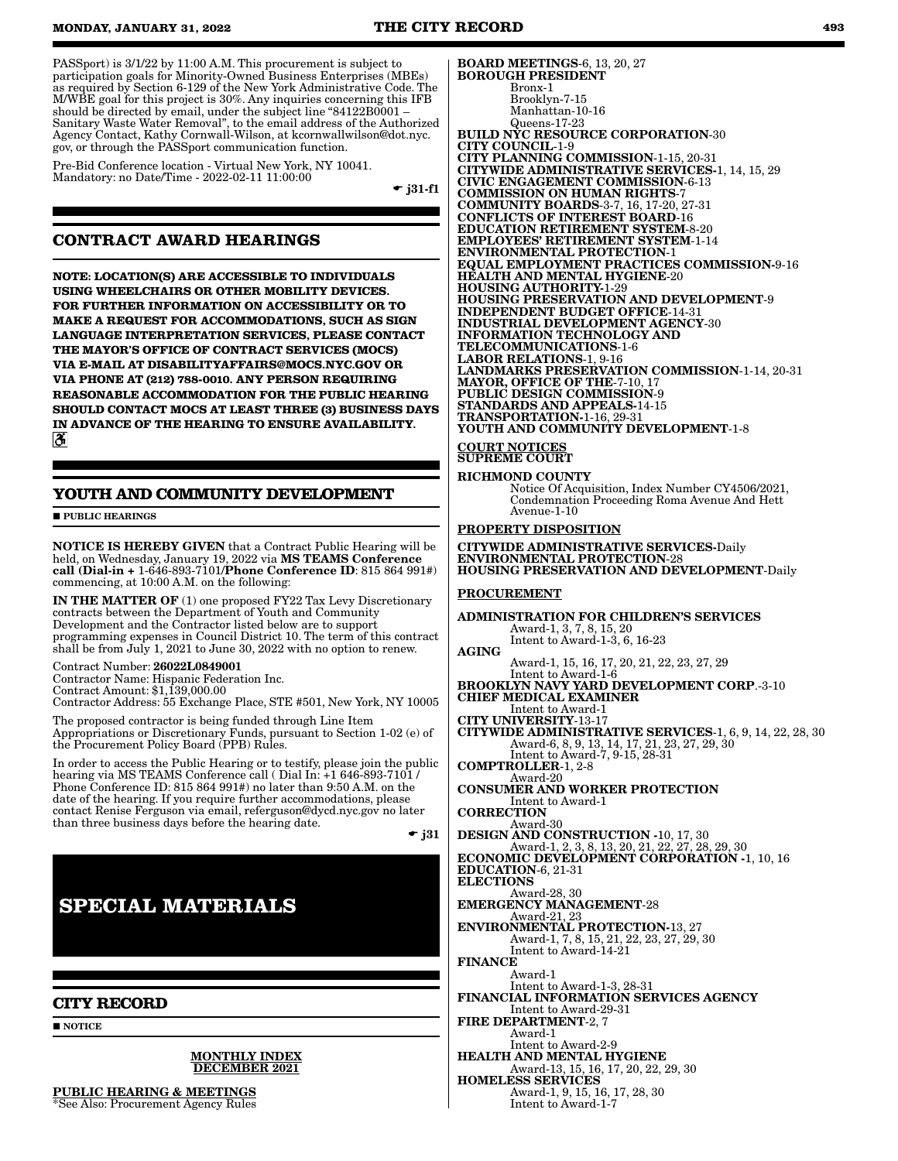PASSport) is 3/1/22 by 11:00 A.M. This procurement is subject to participation goals for Minority-Owned Business Enterprises (MBEs) as required by Section 6-129 of the New York Administrative Code. The M/WBE goal for this project is 30%. Any inquiries concerning this IFB should be directed by email, under the subject line "84122B0001 -Sanitary Waste Water Removal", to the email address of the Authorized Agency Contact, Kathy Cornwall-Wilson, at kcornwallwilson@dot.nyc. gov, or through the PASSport communication function.

Pre-Bid Conference location - Virtual New York, NY 10041. Mandatory: no Date/Time - 2022-02-11 11:00:00

 $\div$  i31-f1

## **CONTRACT AWARD HEARINGS**

**NOTE: LOCATION(S) ARE ACCESSIBLE TO INDIVIDUALS USING WHEELCHAIRS OR OTHER MOBILITY DEVICES. FOR FURTHER INFORMATION ON ACCESSIBILITY OR TO MAKE A REQUEST FOR ACCOMMODATIONS, SUCH AS SIGN LANGUAGE INTERPRETATION SERVICES, PLEASE CONTACT THE MAYOR'S OFFICE OF CONTRACT SERVICES (MOCS) VIA E-MAIL AT DISABILITYAFFAIRS@MOCS.NYC.GOV OR VIA PHONE AT (212) 788-0010. ANY PERSON REQUIRING REASONABLE ACCOMMODATION FOR THE PUBLIC HEARING SHOULD CONTACT MOCS AT LEAST THREE (3) BUSINESS DAYS IN ADVANCE OF THE HEARING TO ENSURE AVAILABILITY.**  $\mathbf{a}$ 

## **YOUTH AND COMMUNITY DEVELOPMENT**

**PUBLIC HEARINGS** 

NOTICE IS HEREBY GIVEN that a Contract Public Hearing will be held, on Wednesday, January 19, 2022 via MS TEAMS Conference call (Dial-in + 1-646-893-7101/Phone Conference ID: 815 864 991#) commencing, at 10:00 A.M. on the following:

IN THE MATTER OF (1) one proposed FY22 Tax Levy Discretionary contracts between the Department of Youth and Community Development and the Contractor listed below are to support programming expenses in Council District 10. The term of this contract shall be from July 1, 2021 to June 30, 2022 with no option to renew.

#### Contract Number: 26022L0849001

Contractor Name: Hispanic Federation Inc.

Contract Amount: \$1,139,000.00 Contractor Address: 55 Exchange Place, STE #501, New York, NY 10005

The proposed contractor is being funded through Line Item Appropriations or Discretionary Funds, pursuant to Section 1-02 (e) of the Procurement Policy Board (PPB) Rules.

In order to access the Public Hearing or to testify, please join the public hearing via MS TEAMS Conference call ( Dial In: +1 646-893-7101 / Phone Conference ID: 815 864 991#) no later than 9:50 A.M. on the date of the hearing. If you require further accommodations, please contact Renise Ferguson via email, referguson@dycd.nyc.gov no later than three business days before the hearing date.

 $\bullet$  j31

# **SPECIAL MATERIALS**

## **CITY RECORD**

**NOTICE** 

#### MONTHLY INDEX DECEMBER 2021

PUBLIC HEARING & MEETINGS \*See Also: Procurement Agency Rules

BOARD MEETINGS-6, 13, 20, 27 BOROUGH PRESIDENT Bronx-1 Brooklyn-7-15 Manhattan-10-16 Queens-17-23 BUILD NYC RESOURCE CORPORATION-30 CITY COUNCIL-1-9 CITY PLANNING COMMISSION-1-15, 20-31 CITYWIDE ADMINISTRATIVE SERVICES-1, 14, 15, 29 CIVIC ENGAGEMENT COMMISSION-6-13 COMMISSION ON HUMAN RIGHTS-7 COMMUNITY BOARDS-3-7, 16, 17-20, 27-31 CONFLICTS OF INTEREST BOARD-16 EDUCATION RETIREMENT SYSTEM-8-20 EMPLOYEES' RETIREMENT SYSTEM-1-14 ENVIRONMENTAL PROTECTION-1 EQUAL EMPLOYMENT PRACTICES COMMISSION-9-16 HEALTH AND MENTAL HYGIENE-20 HOUSING AUTHORITY-1-29 HOUSING PRESERVATION AND DEVELOPMENT-9 INDEPENDENT BUDGET OFFICE-14-31 INDUSTRIAL DEVELOPMENT AGENCY-30 INFORMATION TECHNOLOGY AND TELECOMMUNICATIONS-1-6 LABOR RELATIONS-1, 9-16 LANDMARKS PRESERVATION COMMISSION-1-14, 20-31 MAYOR, OFFICE OF THE-7-10, 17 PUBLIC DESIGN COMMISSION-9 STANDARDS AND APPEALS-14-15 TRANSPORTATION-1-16, 29-31 YOUTH AND COMMUNITY DEVELOPMENT-1-8 COURT NOTICES SUPREME COURT

#### RICHMOND COUNTY

Notice Of Acquisition, Index Number CY4506/2021, Condemnation Proceeding Roma Avenue And Hett Avenue-1-10

#### PROPERTY DISPOSITION

CITYWIDE ADMINISTRATIVE SERVICES-Daily ENVIRONMENTAL PROTECTION-28 HOUSING PRESERVATION AND DEVELOPMENT-Daily

#### PROCUREMENT

ADMINISTRATION FOR CHILDREN'S SERVICES Award-1, 3, 7, 8, 15, 20 Intent to Award-1-3, 6, 16-23 AGING Award-1, 15, 16, 17, 20, 21, 22, 23, 27, 29<br>Intent to Award-1-6<br>BROOKLYN NAVY YARD DEVELOPMENT CORP.-3-10<br>CHIEF MEDICAL EXAMINER Intent to Award-1 CITY UNIVERSITY-13-17 CITYWIDE ADMINISTRATIVE SERVICES-1, 6, 9, 14, 22, 28, 30 Award-6, 8, 9, 13, 14, 17, 21, 23, 27, 29, 30 Intent to Award-7, 9-15, 28-31 COMPTROLLER-1, 2-8 Award-20 CONSUMER AND WORKER PROTECTION Intent to Award-1 **CORRECTION** Award-30 DESIGN AND CONSTRUCTION -10, 17, 30 Award-1, 2, 3, 8, 13, 20, 21, 22, 27, 28, 29, 30 ECONOMIC DEVELOPMENT CORPORATION -1, 10, 16 EDUCATION-6, 21-31 ELECTIONS Award-28, 30 EMERGENCY MANAGEMENT-28 Award-21, 23 ENVIRONMENTAL PROTECTION-13, 27 Award-1, 7, 8, 15, 21, 22, 23, 27, 29, 30 Intent to Award-14-21 FINANCE Award-1 Intent to Award-1-3, 28-31 FINANCIAL INFORMATION SERVICES AGENCY Intent to Award-29-31 FIRE DEPARTMENT-2, 7 Award-1 Intent to Award-2-9 HEALTH AND MENTAL HYGIENE Award-13, 15, 16, 17, 20, 22, 29, 30 HOMELESS SERVICES Award-1, 9, 15, 16, 17, 28, 30 Intent to Award-1-7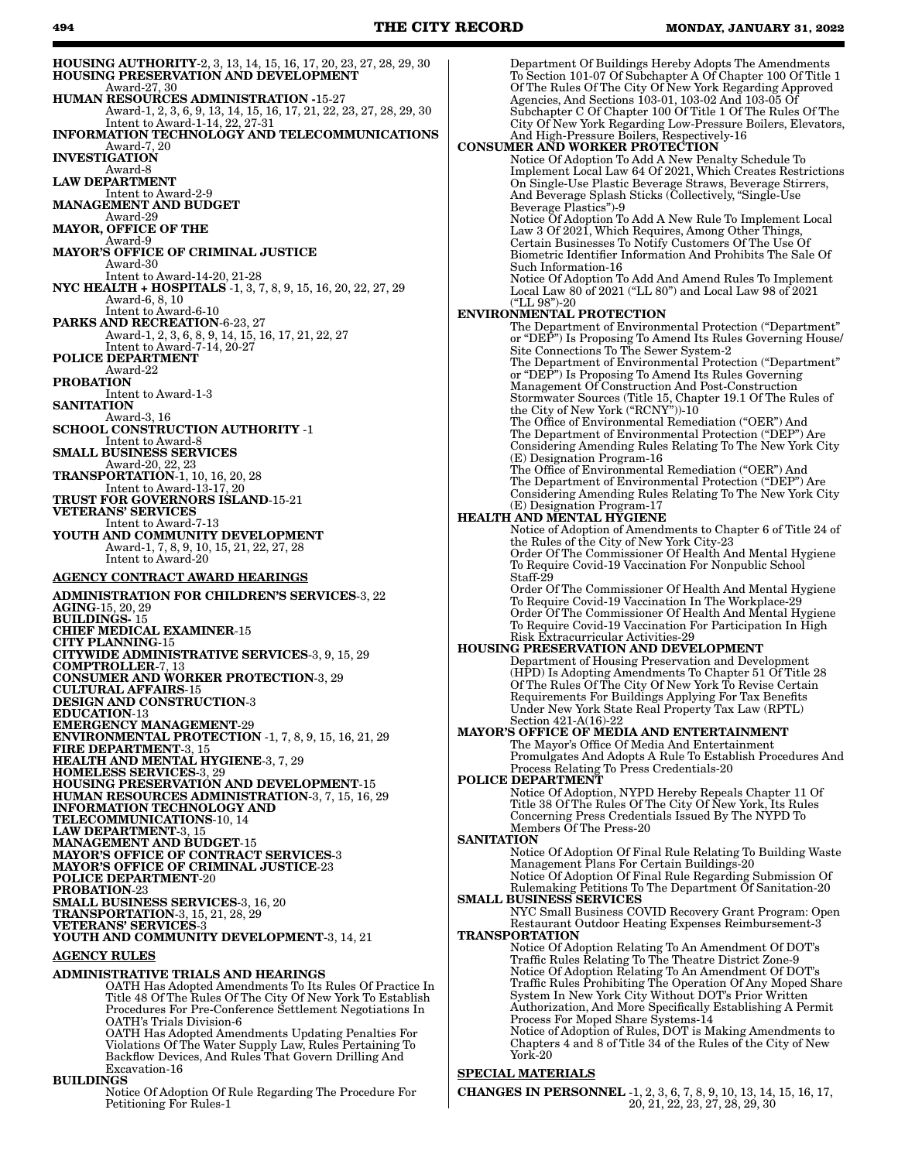HOUSING AUTHORITY-2, 3, 13, 14, 15, 16, 17, 20, 23, 27, 28, 29, 30 HOUSING PRESERVATION AND DEVELOPMENT Award-27, 30 HUMAN RESOURCES ADMINISTRATION -15-27 Award-1, 2, 3, 6, 9, 13, 14, 15, 16, 17, 21, 22, 23, 27, 28, 29, 30 Intent to Award-1-14, 22, 27-31 INFORMATION TECHNOLOGY AND TELECOMMUNICATIONS Award-7, 20 INVESTIGATION Award-8 LAW DEPARTMENT Intent to Award-2-9 MANAGEMENT AND BUDGET Award-29 MAYOR, OFFICE OF THE Award-9 MAYOR'S OFFICE OF CRIMINAL JUSTICE Award-30 Intent to Award-14-20, 21-28 NYC HEALTH + HOSPITALS -1, 3, 7, 8, 9, 15, 16, 20, 22, 27, 29 Award-6, 8, 10 Intent to Award-6-10 PARKS AND RECREATION-6-23, 27 Award-1, 2, 3, 6, 8, 9, 14, 15, 16, 17, 21, 22, 27 Intent to Award-7-14, 20-27 POLICE DEPARTMENT Award-22 PROBATION Intent to Award-1-3 **SANITATION** Award-3, 16 SCHOOL CONSTRUCTION AUTHORITY -1 Intent to Award-8 SMALL BUSINESS SERVICES Award-20, 22, 23 TRANSPORTATION-1, 10, 16, 20, 28 Intent to Award-13-17, 20 TRUST FOR GOVERNORS ISLAND-15-21 VETERANS' SERVICES Intent to Award-7-13 YOUTH AND COMMUNITY DEVELOPMENT Award-1, 7, 8, 9, 10, 15, 21, 22, 27, 28 Intent to Award-20 AGENCY CONTRACT AWARD HEARINGS ADMINISTRATION FOR CHILDREN'S SERVICES-3, 22 AGING-15, 20, 29 BUILDINGS- 15 CHIEF MEDICAL EXAMINER-15 CITY PLANNING-15 CITYWIDE ADMINISTRATIVE SERVICES-3, 9, 15, 29 COMPTROLLER-7, 13 CONSUMER AND WORKER PROTECTION-3, 29 CULTURAL AFFAIRS-15 DESIGN AND CONSTRUCTION-3 EDUCATION-13 EMERGENCY MANAGEMENT-29 ENVIRONMENTAL PROTECTION -1, 7, 8, 9, 15, 16, 21, 29 FIRE DEPARTMENT-3, 15 HEALTH AND MENTAL HYGIENE-3, 7, 29 HOMELESS SERVICES-3, 29 HOUSING PRESERVATION AND DEVELOPMENT-15 HUMAN RESOURCES ADMINISTRATION-3, 7, 15, 16, 29 INFORMATION TECHNOLOGY AND TELECOMMUNICATIONS-10, 14 LAW DEPARTMENT-3, 15 MANAGEMENT AND BUDGET-15 MAYOR'S OFFICE OF CONTRACT SERVICES-3 MAYOR'S OFFICE OF CRIMINAL JUSTICE-23 POLICE DEPARTMENT-20 PROBATION-23 SMALL BUSINESS SERVICES-3, 16, 20 TRANSPORTATION-3, 15, 21, 28, 29 VETERANS' SERVICES-3 YOUTH AND COMMUNITY DEVELOPMENT-3, 14, 21 AGENCY RULES ADMINISTRATIVE TRIALS AND HEARINGS OATH Has Adopted Amendments To Its Rules Of Practice In Title 48 Of The Rules Of The City Of New York To Establish Procedures For Pre-Conference Settlement Negotiations In OATH's Trials Division-6 OATH Has Adopted Amendments Updating Penalties For Violations Of The Water Supply Law, Rules Pertaining To Department Of Buildings Hereby Adopts The Amendments To Section 101-07 Of Subchapter A Of Chapter 100 Of Title 1 Of The Rules Of The City Of New York Regarding Approved Agencies, And Sections 103-01, 103-02 And 103-05 Of Subchapter C Of Chapter 100 Of Title 1 Of The Rules Of The City Of New York Regarding Low-Pressure Boilers, Elevators, And High-Pressure Boilers, Respectively-16 CONSUMER AND WORKER PROTECTION Notice Of Adoption To Add A New Penalty Schedule To Implement Local Law 64 Of 2021, Which Creates Restrictions On Single-Use Plastic Beverage Straws, Beverage Stirrers, And Beverage Splash Sticks (Collectively, "Single-Use Beverage Plastics")-9 Notice Of Adoption To Add A New Rule To Implement Local Law 3 Of 2021, Which Requires, Among Other Things, Certain Businesses To Notify Customers Of The Use Of Biometric Identifier Information And Prohibits The Sale Of Such Information-16 Notice Of Adoption To Add And Amend Rules To Implement Local Law 80 of 2021 ("LL 80") and Local Law 98 of 2021 ("LL 98")-20 ENVIRONMENTAL PROTECTION The Department of Environmental Protection ("Department" or "DEP") Is Proposing To Amend Its Rules Governing House/ Site Connections To The Sewer System-2 The Department of Environmental Protection ("Department" or "DEP") Is Proposing To Amend Its Rules Governing Management Of Construction And Post-Construction Stormwater Sources (Title 15, Chapter 19.1 Of The Rules of the City of New York ("RCNY"))-10 The Office of Environmental Remediation ("OER") And The Department of Environmental Protection ("DEP") Are Considering Amending Rules Relating To The New York City (E) Designation Program-16 The Office of Environmental Remediation ("OER") And The Department of Environmental Protection ("DEP") Are Considering Amending Rules Relating To The New York City (E) Designation Program-17 HEALTH AND MENTAL HYGIENE Notice of Adoption of Amendments to Chapter 6 of Title 24 of the Rules of the City of New York City-23 Order Of The Commissioner Of Health And Mental Hygiene To Require Covid-19 Vaccination For Nonpublic School Staff-29 Order Of The Commissioner Of Health And Mental Hygiene To Require Covid-19 Vaccination In The Workplace-29 Order Of The Commissioner Of Health And Mental Hygiene To Require Covid-19 Vaccination For Participation In High Risk Extracurricular Activities-29 HOUSING PRESERVATION AND DEVELOPMENT Department of Housing Preservation and Development (HPD) Is Adopting Amendments To Chapter 51 Of Title 28 Of The Rules Of The City Of New York To Revise Certain Requirements For Buildings Applying For Tax Benefits Under New York State Real Property Tax Law (RPTL) Section 421-A(16)-22 MAYOR'S OFFICE OF MEDIA AND ENTERTAINMENT The Mayor's Office Of Media And Entertainment Promulgates And Adopts A Rule To Establish Procedures And Process Relating To Press Credentials-20 POLICE DEPARTMENT Notice Of Adoption, NYPD Hereby Repeals Chapter 11 Of Title 38 Of The Rules Of The City Of New York, Its Rules Concerning Press Credentials Issued By The NYPD To Members Of The Press-20 **SANITATION** Notice Of Adoption Of Final Rule Relating To Building Waste Management Plans For Certain Buildings-20 Notice Of Adoption Of Final Rule Regarding Submission Of Rulemaking Petitions To The Department Of Sanitation-20 SMALL BUSINESS SERVICES NYC Small Business COVID Recovery Grant Program: Open Restaurant Outdoor Heating Expenses Reimbursement-3 TRANSPORTATION Notice Of Adoption Relating To An Amendment Of DOT's Traffic Rules Relating To The Theatre District Zone-9 Notice Of Adoption Relating To An Amendment Of DOT's Traffic Rules Prohibiting The Operation Of Any Moped Share System In New York City Without DOT's Prior Written Authorization, And More Specifically Establishing A Permit Process For Moped Share Systems-14 Notice of Adoption of Rules, DOT is Making Amendments to Chapters 4 and 8 of Title 34 of the Rules of the City of New York-20

#### SPECIAL MATERIALS

CHANGES IN PERSONNEL -1, 2, 3, 6, 7, 8, 9, 10, 13, 14, 15, 16, 17, 20, 21, 22, 23, 27, 28, 29, 30

Backflow Devices, And Rules That Govern Drilling And Excavation-16

#### BUILDINGS

Notice Of Adoption Of Rule Regarding The Procedure For Petitioning For Rules-1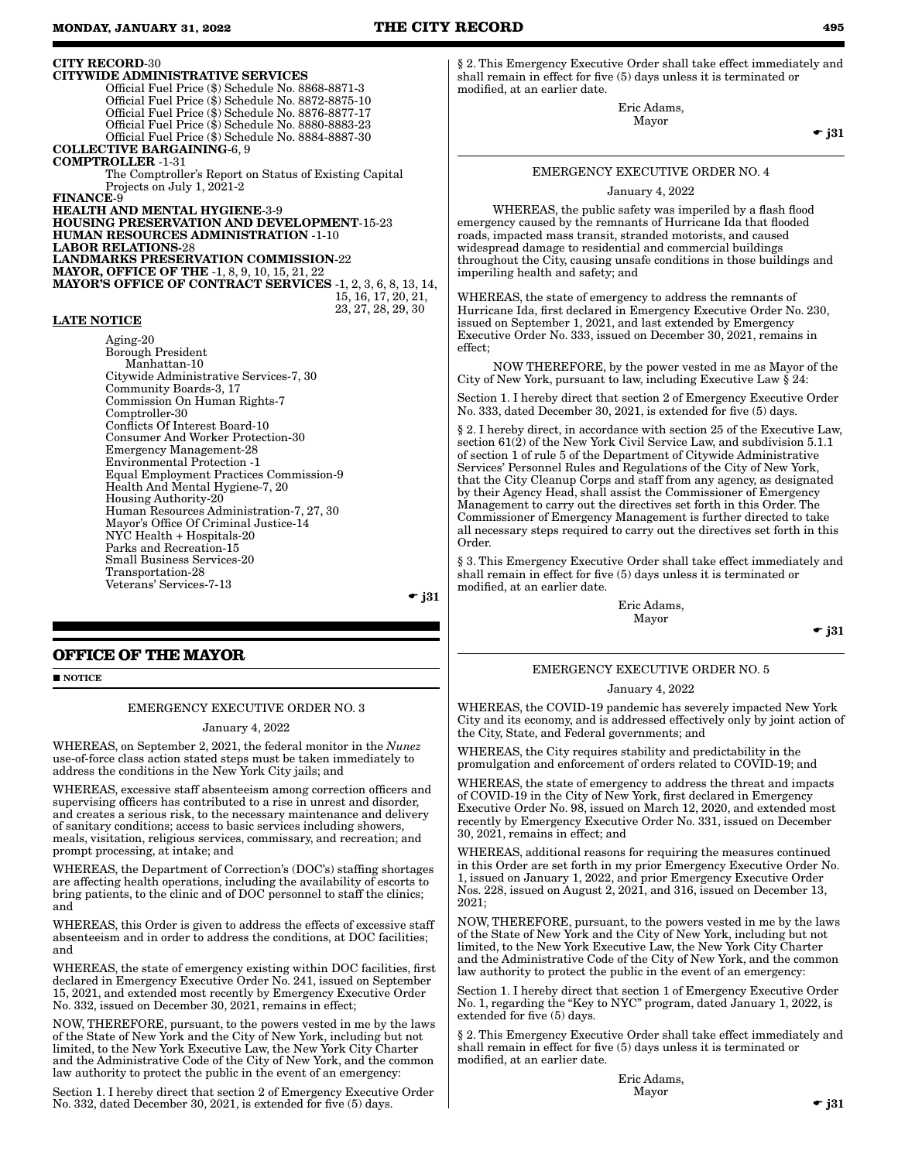CITY RECORD-30

CITYWIDE ADMINISTRATIVE SERVICES Official Fuel Price (\$) Schedule No. 8868-8871-3 Official Fuel Price (\$) Schedule No. 8872-8875-10 Official Fuel Price (\$) Schedule No. 8876-8877-17 Official Fuel Price (\$) Schedule No. 8880-8883-23 Official Fuel Price (\$) Schedule No. 8884-8887-30 COLLECTIVE BARGAINING-6, 9 COMPTROLLER -1-31 The Comptroller's Report on Status of Existing Capital Projects on July 1, 2021-2 FINANCE-9 HEALTH AND MENTAL HYGIENE-3-9 HOUSING PRESERVATION AND DEVELOPMENT-15-23 HUMAN RESOURCES ADMINISTRATION -1-10 LABOR RELATIONS-28 LANDMARKS PRESERVATION COMMISSION-22 MAYOR, OFFICE OF THE -1, 8, 9, 10, 15, 21, 22 MAYOR'S OFFICE OF CONTRACT SERVICES -1, 2, 3, 6, 8, 13, 14, 15, 16, 17, 20, 21,

#### LATE NOTICE

Aging-20 Borough President Manhattan-10 Citywide Administrative Services-7, 30 Community Boards-3, 17 Commission On Human Rights-7 Comptroller-30 Conflicts Of Interest Board-10 Consumer And Worker Protection-30 Emergency Management-28 Environmental Protection -1 Equal Employment Practices Commission-9 Health And Mental Hygiene-7, 20 Housing Authority-20 Human Resources Administration-7, 27, 30 Mayor's Office Of Criminal Justice-14 NYC Health + Hospitals-20 Parks and Recreation-15 Small Business Services-20 Transportation-28 Veterans' Services-7-13

 $\bullet$  j31

23, 27, 28, 29, 30

## **OFFICE OF THE MAYOR**

**NOTICE** 

#### EMERGENCY EXECUTIVE ORDER NO. 3

January 4, 2022

WHEREAS, on September 2, 2021, the federal monitor in the *Nunez* use-of-force class action stated steps must be taken immediately to address the conditions in the New York City jails; and

WHEREAS, excessive staff absenteeism among correction officers and supervising officers has contributed to a rise in unrest and disorder, and creates a serious risk, to the necessary maintenance and delivery of sanitary conditions; access to basic services including showers, meals, visitation, religious services, commissary, and recreation; and prompt processing, at intake; and

WHEREAS, the Department of Correction's (DOC's) staffing shortages are affecting health operations, including the availability of escorts to bring patients, to the clinic and of DOC personnel to staff the clinics; and

WHEREAS, this Order is given to address the effects of excessive staff absenteeism and in order to address the conditions, at DOC facilities; and

WHEREAS, the state of emergency existing within DOC facilities, first declared in Emergency Executive Order No. 241, issued on September 15, 2021, and extended most recently by Emergency Executive Order No. 332, issued on December 30, 2021, remains in effect;

NOW, THEREFORE, pursuant, to the powers vested in me by the laws of the State of New York and the City of New York, including but not limited, to the New York Executive Law, the New York City Charter and the Administrative Code of the City of New York, and the common law authority to protect the public in the event of an emergency:

Section 1. I hereby direct that section 2 of Emergency Executive Order No. 332, dated December 30, 2021, is extended for five (5) days.

§ 2. This Emergency Executive Order shall take effect immediately and shall remain in effect for five (5) days unless it is terminated or modified, at an earlier date.

> Eric Adams, Mayor

> > $\bullet$  j31

## EMERGENCY EXECUTIVE ORDER NO. 4

January 4, 2022

 WHEREAS, the public safety was imperiled by a flash flood emergency caused by the remnants of Hurricane Ida that flooded roads, impacted mass transit, stranded motorists, and caused widespread damage to residential and commercial buildings throughout the City, causing unsafe conditions in those buildings and imperiling health and safety; and

WHEREAS, the state of emergency to address the remnants of Hurricane Ida, first declared in Emergency Executive Order No. 230, issued on September 1, 2021, and last extended by Emergency Executive Order No. 333, issued on December 30, 2021, remains in effect;

 NOW THEREFORE, by the power vested in me as Mayor of the City of New York, pursuant to law, including Executive Law § 24:

Section 1. I hereby direct that section 2 of Emergency Executive Order No. 333, dated December 30, 2021, is extended for five (5) days.

§ 2. I hereby direct, in accordance with section 25 of the Executive Law, section  $61(2)$  of the New York Civil Service Law, and subdivision 5.1.1 of section 1 of rule 5 of the Department of Citywide Administrative Services' Personnel Rules and Regulations of the City of New York, that the City Cleanup Corps and staff from any agency, as designated by their Agency Head, shall assist the Commissioner of Emergency Management to carry out the directives set forth in this Order. The Commissioner of Emergency Management is further directed to take all necessary steps required to carry out the directives set forth in this Order.

§ 3. This Emergency Executive Order shall take effect immediately and shall remain in effect for five (5) days unless it is terminated or modified, at an earlier date.

> Eric Adams, Mayor

 $\div$  j31

## EMERGENCY EXECUTIVE ORDER NO. 5

January 4, 2022

WHEREAS, the COVID-19 pandemic has severely impacted New York City and its economy, and is addressed effectively only by joint action of the City, State, and Federal governments; and

WHEREAS, the City requires stability and predictability in the promulgation and enforcement of orders related to COVID-19; and

WHEREAS, the state of emergency to address the threat and impacts of COVID-19 in the City of New York, first declared in Emergency Executive Order No. 98, issued on March 12, 2020, and extended most recently by Emergency Executive Order No. 331, issued on December 30, 2021, remains in effect; and

WHEREAS, additional reasons for requiring the measures continued in this Order are set forth in my prior Emergency Executive Order No. 1, issued on January 1, 2022, and prior Emergency Executive Order Nos. 228, issued on August 2, 2021, and 316, issued on December 13, 2021;

NOW, THEREFORE, pursuant, to the powers vested in me by the laws of the State of New York and the City of New York, including but not limited, to the New York Executive Law, the New York City Charter and the Administrative Code of the City of New York, and the common law authority to protect the public in the event of an emergency:

Section 1. I hereby direct that section 1 of Emergency Executive Order No. 1, regarding the "Key to NYC" program, dated January 1, 2022, is extended for five (5) days.

§ 2. This Emergency Executive Order shall take effect immediately and shall remain in effect for five (5) days unless it is terminated or modified, at an earlier date.

> Eric Adams, Mayor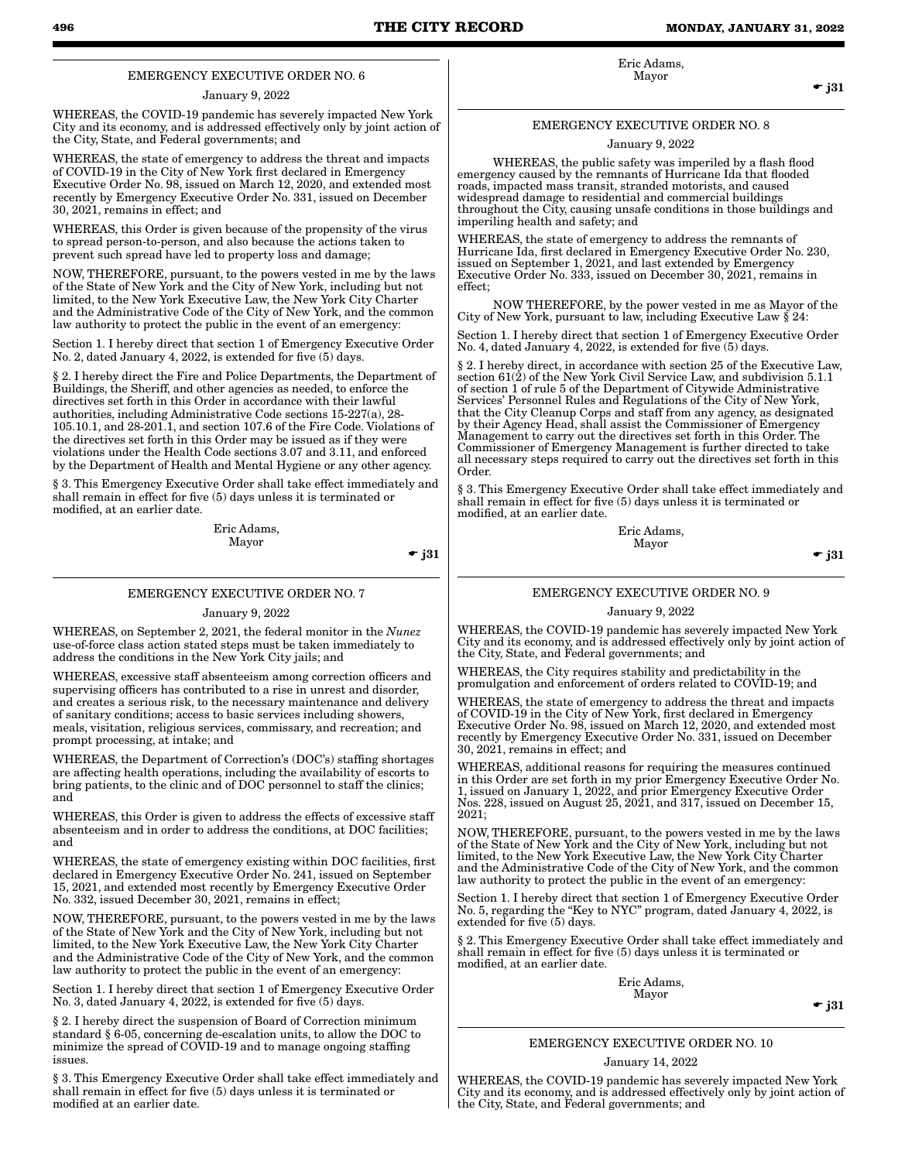Eric Adams, Mayor

 $\bullet$  j31

## EMERGENCY EXECUTIVE ORDER NO. 6

#### January 9, 2022

WHEREAS, the COVID-19 pandemic has severely impacted New York City and its economy, and is addressed effectively only by joint action of the City, State, and Federal governments; and

WHEREAS, the state of emergency to address the threat and impacts of COVID-19 in the City of New York first declared in Emergency Executive Order No. 98, issued on March 12, 2020, and extended most recently by Emergency Executive Order No. 331, issued on December 30, 2021, remains in effect; and

WHEREAS, this Order is given because of the propensity of the virus to spread person-to-person, and also because the actions taken to prevent such spread have led to property loss and damage;

NOW, THEREFORE, pursuant, to the powers vested in me by the laws of the State of New York and the City of New York, including but not limited, to the New York Executive Law, the New York City Charter and the Administrative Code of the City of New York, and the common law authority to protect the public in the event of an emergency:

Section 1. I hereby direct that section 1 of Emergency Executive Order No. 2, dated January 4, 2022, is extended for five (5) days.

§ 2. I hereby direct the Fire and Police Departments, the Department of Buildings, the Sheriff, and other agencies as needed, to enforce the directives set forth in this Order in accordance with their lawful authorities, including Administrative Code sections 15-227(a), 28- 105.10.1, and 28-201.1, and section 107.6 of the Fire Code. Violations of the directives set forth in this Order may be issued as if they were violations under the Health Code sections 3.07 and 3.11, and enforced by the Department of Health and Mental Hygiene or any other agency.

§ 3. This Emergency Executive Order shall take effect immediately and shall remain in effect for five (5) days unless it is terminated or modified, at an earlier date.

> Eric Adams, Mayor

 $\div$  j31

#### EMERGENCY EXECUTIVE ORDER NO. 7

#### January 9, 2022

WHEREAS, on September 2, 2021, the federal monitor in the *Nunez* use-of-force class action stated steps must be taken immediately to address the conditions in the New York City jails; and

WHEREAS, excessive staff absenteeism among correction officers and supervising officers has contributed to a rise in unrest and disorder, and creates a serious risk, to the necessary maintenance and delivery of sanitary conditions; access to basic services including showers, meals, visitation, religious services, commissary, and recreation; and prompt processing, at intake; and

WHEREAS, the Department of Correction's (DOC's) staffing shortages are affecting health operations, including the availability of escorts to bring patients, to the clinic and of DOC personnel to staff the clinics; and

WHEREAS, this Order is given to address the effects of excessive staff absenteeism and in order to address the conditions, at DOC facilities; and

WHEREAS, the state of emergency existing within DOC facilities, first declared in Emergency Executive Order No. 241, issued on September 15, 2021, and extended most recently by Emergency Executive Order No. 332, issued December 30, 2021, remains in effect;

NOW, THEREFORE, pursuant, to the powers vested in me by the laws of the State of New York and the City of New York, including but not limited, to the New York Executive Law, the New York City Charter and the Administrative Code of the City of New York, and the common law authority to protect the public in the event of an emergency:

Section 1. I hereby direct that section 1 of Emergency Executive Order No. 3, dated January 4, 2022, is extended for five (5) days.

§ 2. I hereby direct the suspension of Board of Correction minimum standard § 6-05, concerning de-escalation units, to allow the DOC to minimize the spread of COVID-19 and to manage ongoing staffing issues.

§ 3. This Emergency Executive Order shall take effect immediately and shall remain in effect for five (5) days unless it is terminated or modified at an earlier date.

#### EMERGENCY EXECUTIVE ORDER NO. 8

#### January 9, 2022

 WHEREAS, the public safety was imperiled by a flash flood emergency caused by the remnants of Hurricane Ida that flooded roads, impacted mass transit, stranded motorists, and caused widespread damage to residential and commercial buildings throughout the City, causing unsafe conditions in those buildings and imperiling health and safety; and

WHEREAS, the state of emergency to address the remnants of Hurricane Ida, first declared in Emergency Executive Order No. 230, issued on September 1, 2021, and last extended by Emergency Executive Order No. 333, issued on December 30, 2021, remains in effect;

 NOW THEREFORE, by the power vested in me as Mayor of the City of New York, pursuant to law, including Executive Law § 24:

Section 1. I hereby direct that section 1 of Emergency Executive Order No. 4, dated January 4, 2022, is extended for five (5) days.

§ 2. I hereby direct, in accordance with section 25 of the Executive Law, section 61(2) of the New York Civil Service Law, and subdivision 5.1.1 of section 1 of rule 5 of the Department of Citywide Administrative Services' Personnel Rules and Regulations of the City of New York, that the City Cleanup Corps and staff from any agency, as designated by their Agency Head, shall assist the Commissioner of Emergency Management to carry out the directives set forth in this Order. The Commissioner of Emergency Management is further directed to take all necessary steps required to carry out the directives set forth in this Order.

§ 3. This Emergency Executive Order shall take effect immediately and shall remain in effect for five (5) days unless it is terminated or modified, at an earlier date.

> Eric Adams, Mayor

 $\bullet$  j31

#### EMERGENCY EXECUTIVE ORDER NO. 9

#### January 9, 2022

WHEREAS, the COVID-19 pandemic has severely impacted New York City and its economy, and is addressed effectively only by joint action of the City, State, and Federal governments; and

WHEREAS, the City requires stability and predictability in the promulgation and enforcement of orders related to COVID-19; and

WHEREAS, the state of emergency to address the threat and impacts of COVID-19 in the City of New York, first declared in Emergency Executive Order No. 98, issued on March 12, 2020, and extended most recently by Emergency Executive Order No. 331, issued on December 30, 2021, remains in effect; and

WHEREAS, additional reasons for requiring the measures continued in this Order are set forth in my prior Emergency Executive Order No. 1, issued on January 1, 2022, and prior Emergency Executive Order Nos. 228, issued on August 25, 2021, and 317, issued on December 15, 2021;

NOW, THEREFORE, pursuant, to the powers vested in me by the laws of the State of New York and the City of New York, including but not limited, to the New York Executive Law, the New York City Charter and the Administrative Code of the City of New York, and the common law authority to protect the public in the event of an emergency:

Section 1. I hereby direct that section 1 of Emergency Executive Order No. 5, regarding the "Key to NYC" program, dated January 4, 2022, is extended for five (5) days.

§ 2. This Emergency Executive Order shall take effect immediately and shall remain in effect for five (5) days unless it is terminated or modified, at an earlier date.

> Eric Adams, Mayor

 $\div$  j31

#### EMERGENCY EXECUTIVE ORDER NO. 10

#### January 14, 2022

WHEREAS, the COVID-19 pandemic has severely impacted New York City and its economy, and is addressed effectively only by joint action of the City, State, and Federal governments; and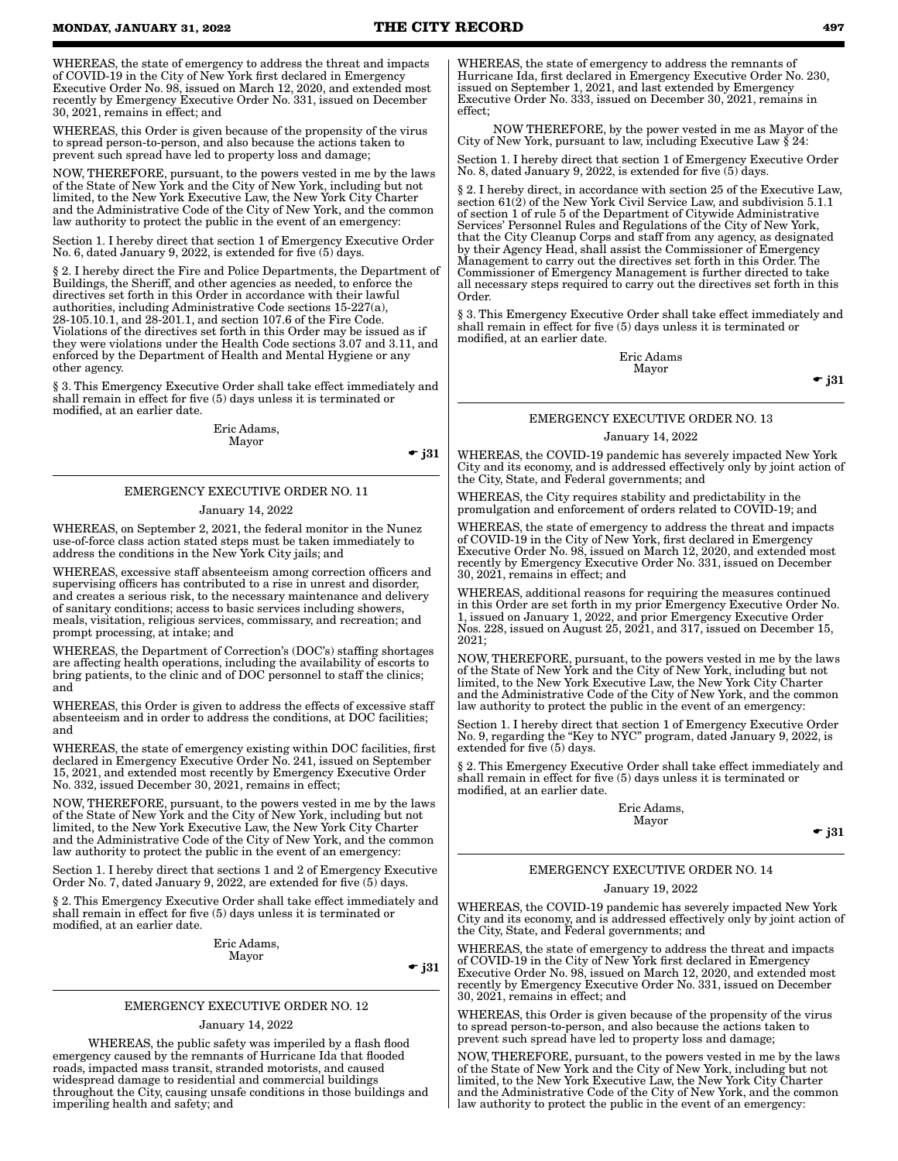WHEREAS, the state of emergency to address the threat and impacts of COVID-19 in the City of New York first declared in Emergency Executive Order No. 98, issued on March 12, 2020, and extended most recently by Emergency Executive Order No. 331, issued on December 30, 2021, remains in effect; and

WHEREAS, this Order is given because of the propensity of the virus to spread person-to-person, and also because the actions taken to prevent such spread have led to property loss and damage;

NOW, THEREFORE, pursuant, to the powers vested in me by the laws of the State of New York and the City of New York, including but not limited, to the New York Executive Law, the New York City Charter and the Administrative Code of the City of New York, and the common law authority to protect the public in the event of an emergency:

Section 1. I hereby direct that section 1 of Emergency Executive Order No. 6, dated January 9, 2022, is extended for five (5) days.

§ 2. I hereby direct the Fire and Police Departments, the Department of Buildings, the Sheriff, and other agencies as needed, to enforce the directives set forth in this Order in accordance with their lawful authorities, including Administrative Code sections 15-227(a), 28-105.10.1, and 28-201.1, and section 107.6 of the Fire Code. Violations of the directives set forth in this Order may be issued as if they were violations under the Health Code sections 3.07 and 3.11, and enforced by the Department of Health and Mental Hygiene or any other agency.

§ 3. This Emergency Executive Order shall take effect immediately and shall remain in effect for five (5) days unless it is terminated or modified, at an earlier date.

> Eric Adams, Mayor

 $\bullet$  j31

## EMERGENCY EXECUTIVE ORDER NO. 11

#### January 14, 2022

WHEREAS, on September 2, 2021, the federal monitor in the Nunez use-of-force class action stated steps must be taken immediately to address the conditions in the New York City jails; and

WHEREAS, excessive staff absenteeism among correction officers and supervising officers has contributed to a rise in unrest and disorder, and creates a serious risk, to the necessary maintenance and delivery of sanitary conditions; access to basic services including showers, meals, visitation, religious services, commissary, and recreation; and prompt processing, at intake; and

WHEREAS, the Department of Correction's (DOC's) staffing shortages are affecting health operations, including the availability of escorts to bring patients, to the clinic and of DOC personnel to staff the clinics; and

WHEREAS, this Order is given to address the effects of excessive staff absenteeism and in order to address the conditions, at DOC facilities; and

WHEREAS, the state of emergency existing within DOC facilities, first declared in Emergency Executive Order No. 241, issued on September 15, 2021, and extended most recently by Emergency Executive Order No. 332, issued December 30, 2021, remains in effect;

NOW, THEREFORE, pursuant, to the powers vested in me by the laws of the State of New York and the City of New York, including but not limited, to the New York Executive Law, the New York City Charter and the Administrative Code of the City of New York, and the common law authority to protect the public in the event of an emergency:

Section 1. I hereby direct that sections 1 and 2 of Emergency Executive Order No. 7, dated January 9, 2022, are extended for five (5) days.

§ 2. This Emergency Executive Order shall take effect immediately and shall remain in effect for five (5) days unless it is terminated or modified, at an earlier date.

> Eric Adams, Mayor

 $\bullet$  j31

#### EMERGENCY EXECUTIVE ORDER NO. 12

#### January 14, 2022

 WHEREAS, the public safety was imperiled by a flash flood emergency caused by the remnants of Hurricane Ida that flooded roads, impacted mass transit, stranded motorists, and caused widespread damage to residential and commercial buildings throughout the City, causing unsafe conditions in those buildings and imperiling health and safety; and

WHEREAS, the state of emergency to address the remnants of Hurricane Ida, first declared in Emergency Executive Order No. 230, issued on September 1, 2021, and last extended by Emergency Executive Order No. 333, issued on December 30, 2021, remains in effect;

 NOW THEREFORE, by the power vested in me as Mayor of the City of New York, pursuant to law, including Executive Law § 24:

Section 1. I hereby direct that section 1 of Emergency Executive Order No. 8, dated January 9, 2022, is extended for five (5) days.

§ 2. I hereby direct, in accordance with section 25 of the Executive Law, section 61(2) of the New York Civil Service Law, and subdivision 5.1.1 of section 1 of rule 5 of the Department of Citywide Administrative Services' Personnel Rules and Regulations of the City of New York, that the City Cleanup Corps and staff from any agency, as designated by their Agency Head, shall assist the Commissioner of Emergency Management to carry out the directives set forth in this Order. The Commissioner of Emergency Management is further directed to take all necessary steps required to carry out the directives set forth in this Order.

§ 3. This Emergency Executive Order shall take effect immediately and shall remain in effect for five (5) days unless it is terminated or modified, at an earlier date.

> Eric Adams Mayor

 $\bullet$  j31

## EMERGENCY EXECUTIVE ORDER NO. 13

#### January 14, 2022

WHEREAS, the COVID-19 pandemic has severely impacted New York City and its economy, and is addressed effectively only by joint action of the City, State, and Federal governments; and

WHEREAS, the City requires stability and predictability in the promulgation and enforcement of orders related to COVID-19; and

WHEREAS, the state of emergency to address the threat and impacts of COVID-19 in the City of New York, first declared in Emergency Executive Order No. 98, issued on March 12, 2020, and extended most recently by Emergency Executive Order No. 331, issued on December 30, 2021, remains in effect; and

WHEREAS, additional reasons for requiring the measures continued in this Order are set forth in my prior Emergency Executive Order No. 1, issued on January 1, 2022, and prior Emergency Executive Order Nos. 228, issued on August 25, 2021, and 317, issued on December 15, 2021;

NOW, THEREFORE, pursuant, to the powers vested in me by the laws of the State of New York and the City of New York, including but not limited, to the New York Executive Law, the New York City Charter and the Administrative Code of the City of New York, and the common law authority to protect the public in the event of an emergency:

Section 1. I hereby direct that section 1 of Emergency Executive Order No. 9, regarding the "Key to NYC" program, dated January 9, 2022, is extended for five (5) days.

§ 2. This Emergency Executive Order shall take effect immediately and shall remain in effect for five (5) days unless it is terminated or modified, at an earlier date.

> Eric Adams, Mayor

> > $\bullet$  j31

#### EMERGENCY EXECUTIVE ORDER NO. 14

#### January 19, 2022

WHEREAS, the COVID-19 pandemic has severely impacted New York City and its economy, and is addressed effectively only by joint action of the City, State, and Federal governments; and

WHEREAS, the state of emergency to address the threat and impacts of COVID-19 in the City of New York first declared in Emergency Executive Order No. 98, issued on March 12, 2020, and extended most recently by Emergency Executive Order No. 331, issued on December 30, 2021, remains in effect; and

WHEREAS, this Order is given because of the propensity of the virus to spread person-to-person, and also because the actions taken to prevent such spread have led to property loss and damage;

NOW, THEREFORE, pursuant, to the powers vested in me by the laws of the State of New York and the City of New York, including but not limited, to the New York Executive Law, the New York City Charter and the Administrative Code of the City of New York, and the common law authority to protect the public in the event of an emergency: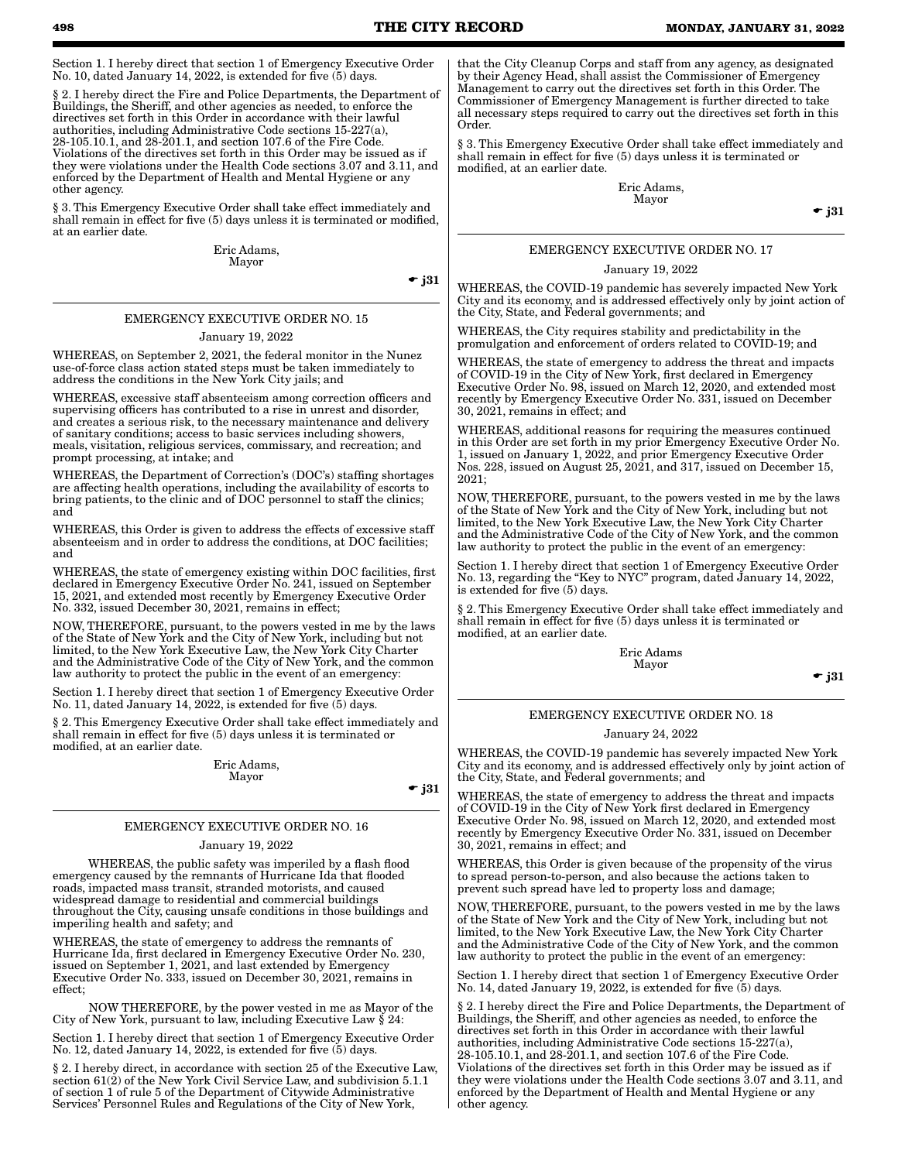Section 1. I hereby direct that section 1 of Emergency Executive Order No. 10, dated January 14, 2022, is extended for five (5) days.

§ 2. I hereby direct the Fire and Police Departments, the Department of Buildings, the Sheriff, and other agencies as needed, to enforce the directives set forth in this Order in accordance with their lawful authorities, including Administrative Code sections 15-227(a), 28-105.10.1, and 28-201.1, and section 107.6 of the Fire Code. Violations of the directives set forth in this Order may be issued as if they were violations under the Health Code sections 3.07 and 3.11, and enforced by the Department of Health and Mental Hygiene or any other agency.

§ 3. This Emergency Executive Order shall take effect immediately and shall remain in effect for five (5) days unless it is terminated or modified, at an earlier date.

> Eric Adams, Mayor

> > $\bullet$  j31

#### EMERGENCY EXECUTIVE ORDER NO. 15

#### January 19, 2022

WHEREAS, on September 2, 2021, the federal monitor in the Nunez use-of-force class action stated steps must be taken immediately to address the conditions in the New York City jails; and

WHEREAS, excessive staff absenteeism among correction officers and supervising officers has contributed to a rise in unrest and disorder, and creates a serious risk, to the necessary maintenance and delivery of sanitary conditions; access to basic services including showers, meals, visitation, religious services, commissary, and recreation; and prompt processing, at intake; and

WHEREAS, the Department of Correction's (DOC's) staffing shortages are affecting health operations, including the availability of escorts to bring patients, to the clinic and of DOC personnel to staff the clinics; and

WHEREAS, this Order is given to address the effects of excessive staff absenteeism and in order to address the conditions, at DOC facilities; and

WHEREAS, the state of emergency existing within DOC facilities, first declared in Emergency Executive Order No. 241, issued on September 15, 2021, and extended most recently by Emergency Executive Order No. 332, issued December 30, 2021, remains in effect;

NOW, THEREFORE, pursuant, to the powers vested in me by the laws of the State of New York and the City of New York, including but not limited, to the New York Executive Law, the New York City Charter and the Administrative Code of the City of New York, and the common law authority to protect the public in the event of an emergency:

Section 1. I hereby direct that section 1 of Emergency Executive Order No. 11, dated January 14, 2022, is extended for five (5) days.

§ 2. This Emergency Executive Order shall take effect immediately and shall remain in effect for five (5) days unless it is terminated or modified, at an earlier date.

> Eric Adams, Mayor

 $\bullet$  j31

#### EMERGENCY EXECUTIVE ORDER NO. 16

#### January 19, 2022

 WHEREAS, the public safety was imperiled by a flash flood emergency caused by the remnants of Hurricane Ida that flooded roads, impacted mass transit, stranded motorists, and caused widespread damage to residential and commercial buildings throughout the City, causing unsafe conditions in those buildings and imperiling health and safety; and

WHEREAS, the state of emergency to address the remnants of Hurricane Ida, first declared in Emergency Executive Order No. 230, issued on September 1, 2021, and last extended by Emergency Executive Order No. 333, issued on December 30, 2021, remains in effect;

 NOW THEREFORE, by the power vested in me as Mayor of the City of New York, pursuant to law, including Executive Law § 24:

Section 1. I hereby direct that section 1 of Emergency Executive Order No. 12, dated January 14, 2022, is extended for five (5) days.

§ 2. I hereby direct, in accordance with section 25 of the Executive Law, section 61(2) of the New York Civil Service Law, and subdivision 5.1.1 of section 1 of rule 5 of the Department of Citywide Administrative Services' Personnel Rules and Regulations of the City of New York,

that the City Cleanup Corps and staff from any agency, as designated by their Agency Head, shall assist the Commissioner of Emergency Management to carry out the directives set forth in this Order. The Commissioner of Emergency Management is further directed to take all necessary steps required to carry out the directives set forth in this Order.

§ 3. This Emergency Executive Order shall take effect immediately and shall remain in effect for five (5) days unless it is terminated or modified, at an earlier date.

> Eric Adams, Mayor

 $\bullet$  j31

#### EMERGENCY EXECUTIVE ORDER NO. 17

#### January 19, 2022

WHEREAS, the COVID-19 pandemic has severely impacted New York City and its economy, and is addressed effectively only by joint action of the City, State, and Federal governments; and

WHEREAS, the City requires stability and predictability in the promulgation and enforcement of orders related to COVID-19; and

WHEREAS, the state of emergency to address the threat and impacts of COVID-19 in the City of New York, first declared in Emergency Executive Order No. 98, issued on March 12, 2020, and extended most recently by Emergency Executive Order No. 331, issued on December 30, 2021, remains in effect; and

WHEREAS, additional reasons for requiring the measures continued in this Order are set forth in my prior Emergency Executive Order No. 1, issued on January 1, 2022, and prior Emergency Executive Order Nos. 228, issued on August 25, 2021, and 317, issued on December 15, 2021;

NOW, THEREFORE, pursuant, to the powers vested in me by the laws of the State of New York and the City of New York, including but not limited, to the New York Executive Law, the New York City Charter and the Administrative Code of the City of New York, and the common law authority to protect the public in the event of an emergency:

Section 1. I hereby direct that section 1 of Emergency Executive Order No. 13, regarding the "Key to NYC" program, dated January 14, 2022, is extended for five (5) days.

§ 2. This Emergency Executive Order shall take effect immediately and shall remain in effect for five (5) days unless it is terminated or modified, at an earlier date.

> Eric Adams Mayor

 $\div$  j31

#### EMERGENCY EXECUTIVE ORDER NO. 18

#### January 24, 2022

WHEREAS, the COVID-19 pandemic has severely impacted New York City and its economy, and is addressed effectively only by joint action of the City, State, and Federal governments; and

WHEREAS, the state of emergency to address the threat and impacts of COVID-19 in the City of New York first declared in Emergency Executive Order No. 98, issued on March 12, 2020, and extended most recently by Emergency Executive Order No. 331, issued on December 30, 2021, remains in effect; and

WHEREAS, this Order is given because of the propensity of the virus to spread person-to-person, and also because the actions taken to prevent such spread have led to property loss and damage;

NOW, THEREFORE, pursuant, to the powers vested in me by the laws of the State of New York and the City of New York, including but not limited, to the New York Executive Law, the New York City Charter and the Administrative Code of the City of New York, and the common law authority to protect the public in the event of an emergency:

Section 1. I hereby direct that section 1 of Emergency Executive Order No. 14, dated January 19, 2022, is extended for five (5) days.

§ 2. I hereby direct the Fire and Police Departments, the Department of Buildings, the Sheriff, and other agencies as needed, to enforce the directives set forth in this Order in accordance with their lawful authorities, including Administrative Code sections 15-227(a), 28-105.10.1, and 28-201.1, and section 107.6 of the Fire Code. Violations of the directives set forth in this Order may be issued as if they were violations under the Health Code sections 3.07 and 3.11, and enforced by the Department of Health and Mental Hygiene or any other agency.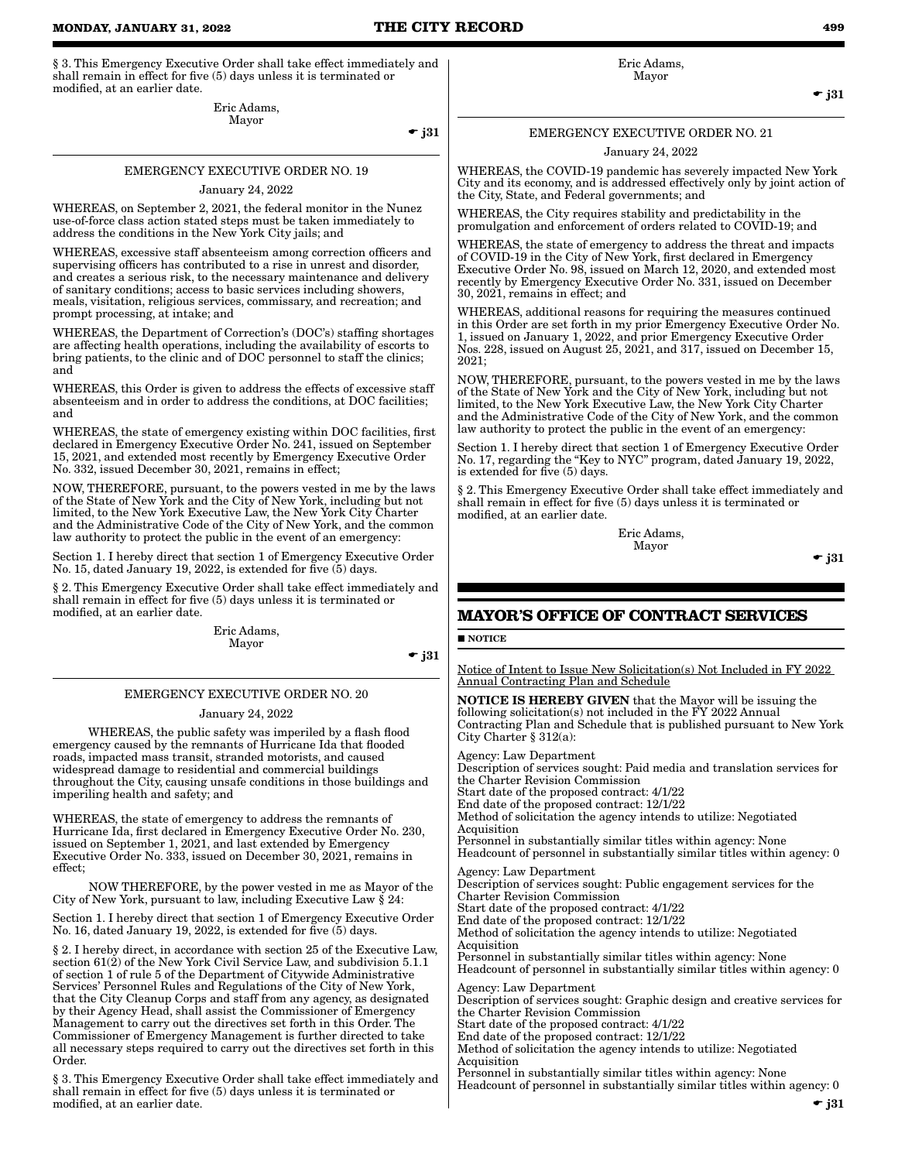§ 3. This Emergency Executive Order shall take effect immediately and shall remain in effect for five (5) days unless it is terminated or modified, at an earlier date.

> Eric Adams, Mayor

 $\div$  j31

## EMERGENCY EXECUTIVE ORDER NO. 19

January 24, 2022

WHEREAS, on September 2, 2021, the federal monitor in the Nunez use-of-force class action stated steps must be taken immediately to address the conditions in the New York City jails; and

WHEREAS, excessive staff absenteeism among correction officers and supervising officers has contributed to a rise in unrest and disorder, and creates a serious risk, to the necessary maintenance and delivery of sanitary conditions; access to basic services including showers, meals, visitation, religious services, commissary, and recreation; and prompt processing, at intake; and

WHEREAS, the Department of Correction's (DOC's) staffing shortages are affecting health operations, including the availability of escorts to bring patients, to the clinic and of DOC personnel to staff the clinics; and

WHEREAS, this Order is given to address the effects of excessive staff absenteeism and in order to address the conditions, at DOC facilities; and

WHEREAS, the state of emergency existing within DOC facilities, first declared in Emergency Executive Order No. 241, issued on September 15, 2021, and extended most recently by Emergency Executive Order No. 332, issued December 30, 2021, remains in effect;

NOW, THEREFORE, pursuant, to the powers vested in me by the laws of the State of New York and the City of New York, including but not limited, to the New York Executive Law, the New York City Charter and the Administrative Code of the City of New York, and the common law authority to protect the public in the event of an emergency:

Section 1. I hereby direct that section 1 of Emergency Executive Order No. 15, dated January 19, 2022, is extended for five (5) days.

§ 2. This Emergency Executive Order shall take effect immediately and shall remain in effect for five (5) days unless it is terminated or modified, at an earlier date.

> Eric Adams, Mayor

 $\bullet$  j31

## EMERGENCY EXECUTIVE ORDER NO. 20

January 24, 2022

 WHEREAS, the public safety was imperiled by a flash flood emergency caused by the remnants of Hurricane Ida that flooded roads, impacted mass transit, stranded motorists, and caused widespread damage to residential and commercial buildings throughout the City, causing unsafe conditions in those buildings and imperiling health and safety; and

WHEREAS, the state of emergency to address the remnants of Hurricane Ida, first declared in Emergency Executive Order No. 230, issued on September 1, 2021, and last extended by Emergency Executive Order No. 333, issued on December 30, 2021, remains in effect;

 NOW THEREFORE, by the power vested in me as Mayor of the City of New York, pursuant to law, including Executive Law § 24:

Section 1. I hereby direct that section 1 of Emergency Executive Order No. 16, dated January 19, 2022, is extended for five (5) days.

§ 2. I hereby direct, in accordance with section 25 of the Executive Law, section 61(2) of the New York Civil Service Law, and subdivision 5.1.1 of section 1 of rule 5 of the Department of Citywide Administrative Services' Personnel Rules and Regulations of the City of New York, that the City Cleanup Corps and staff from any agency, as designated by their Agency Head, shall assist the Commissioner of Emergency Management to carry out the directives set forth in this Order. The Commissioner of Emergency Management is further directed to take all necessary steps required to carry out the directives set forth in this Order.

§ 3. This Emergency Executive Order shall take effect immediately and shall remain in effect for five (5) days unless it is terminated or modified, at an earlier date.

Eric Adams, Mayor

 $-$  j31

## EMERGENCY EXECUTIVE ORDER NO. 21

January 24, 2022

WHEREAS, the COVID-19 pandemic has severely impacted New York City and its economy, and is addressed effectively only by joint action of the City, State, and Federal governments; and

WHEREAS, the City requires stability and predictability in the promulgation and enforcement of orders related to COVID-19; and

WHEREAS, the state of emergency to address the threat and impacts of COVID-19 in the City of New York, first declared in Emergency Executive Order No. 98, issued on March 12, 2020, and extended most recently by Emergency Executive Order No. 331, issued on December 30, 2021, remains in effect; and

WHEREAS, additional reasons for requiring the measures continued in this Order are set forth in my prior Emergency Executive Order No. 1, issued on January 1, 2022, and prior Emergency Executive Order Nos. 228, issued on August 25, 2021, and 317, issued on December 15, 2021;

NOW, THEREFORE, pursuant, to the powers vested in me by the laws of the State of New York and the City of New York, including but not limited, to the New York Executive Law, the New York City Charter and the Administrative Code of the City of New York, and the common law authority to protect the public in the event of an emergency:

Section 1. I hereby direct that section 1 of Emergency Executive Order No. 17, regarding the "Key to NYC" program, dated January 19, 2022, is extended for five (5) days.

§ 2. This Emergency Executive Order shall take effect immediately and shall remain in effect for five (5) days unless it is terminated or modified, at an earlier date.

> Eric Adams, Mayor

 $\bullet$  j31

## **MAYOR'S OFFICE OF CONTRACT SERVICES**

**NOTICE** 

Notice of Intent to Issue New Solicitation(s) Not Included in FY 2022 Annual Contracting Plan and Schedule

NOTICE IS HEREBY GIVEN that the Mayor will be issuing the following solicitation(s) not included in the FY 2022 Annual Contracting Plan and Schedule that is published pursuant to New York City Charter § 312(a):

Agency: Law Department

Description of services sought: Paid media and translation services for the Charter Revision Commission Start date of the proposed contract: 4/1/22 End date of the proposed contract: 12/1/22

Method of solicitation the agency intends to utilize: Negotiated **Acquisition** 

Personnel in substantially similar titles within agency: None Headcount of personnel in substantially similar titles within agency: 0

Agency: Law Department Description of services sought: Public engagement services for the Charter Revision Commission Start date of the proposed contract: 4/1/22 End date of the proposed contract: 12/1/22 Method of solicitation the agency intends to utilize: Negotiated Acquisition Personnel in substantially similar titles within agency: None Headcount of personnel in substantially similar titles within agency: 0 Agency: Law Department Description of services sought: Graphic design and creative services for the Charter Revision Commission Start date of the proposed contract: 4/1/22 End date of the proposed contract: 12/1/22 Method of solicitation the agency intends to utilize: Negotiated **Acquisition** Personnel in substantially similar titles within agency: None Headcount of personnel in substantially similar titles within agency: 0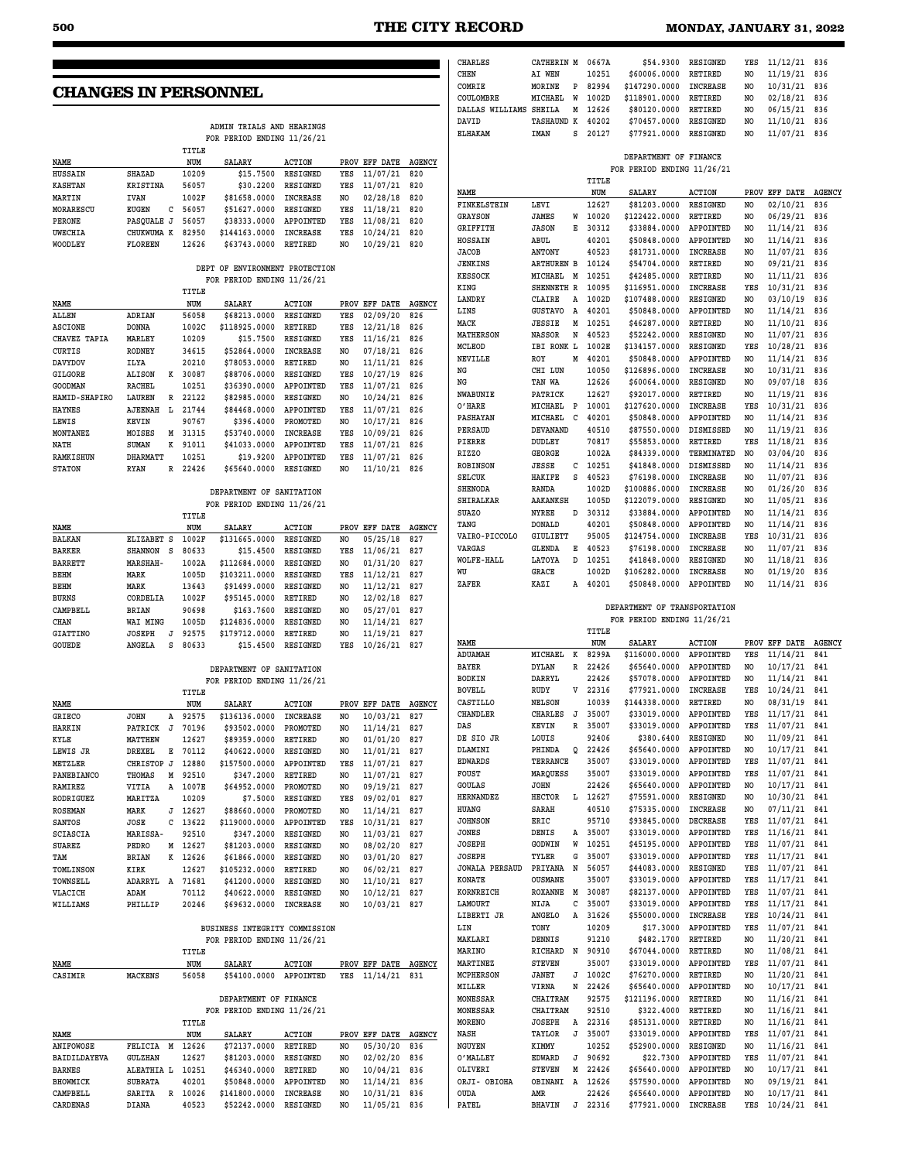## **CHANGES IN PERSONNEL**

|                |                   | ADMIN TRIALS AND HEARINGS |                            |                 |                |               |               |  |  |  |  |
|----------------|-------------------|---------------------------|----------------------------|-----------------|----------------|---------------|---------------|--|--|--|--|
|                |                   |                           | FOR PERIOD ENDING 11/26/21 |                 |                |               |               |  |  |  |  |
|                |                   | TITLE                     |                            |                 |                |               |               |  |  |  |  |
| <b>NAME</b>    |                   | NUM                       | <b>SALARY</b>              | ACTION          |                | PROV EFF DATE | <b>AGENCY</b> |  |  |  |  |
| <b>HUSSAIN</b> | SHAZAD            | 10209                     | \$15,7500                  | RESIGNED        | YES            | 11/07/21      | 820           |  |  |  |  |
| KASHTAN        | KRISTINA          | 56057                     | \$30,2200                  | <b>RESIGNED</b> | YES            | 11/07/21      | 820           |  |  |  |  |
| MARTIN         | <b>IVAN</b>       | 1002F                     | \$81658.0000               | <b>INCREASE</b> | NO.            | 02/28/18      | 820           |  |  |  |  |
| MORARESCU      | <b>EUGEN</b><br>c | 56057                     | \$51627,0000               | <b>RESIGNED</b> | YES            | 11/18/21      | 820           |  |  |  |  |
| PERONE         | PASOUALE J        | 56057                     | \$38333,0000               | APPOINTED       | YES            | 11/08/21      | 820           |  |  |  |  |
| <b>UWECHIA</b> | CHUKWUMA K        | 82950                     | \$144163.0000              | <b>INCREASE</b> | YES            | 10/24/21      | 820           |  |  |  |  |
| WOODLEY        | FLOREEN           | 12626                     | \$63743.0000               | <b>RETIRED</b>  | N <sub>O</sub> | 10/29/21      | 820           |  |  |  |  |

#### **DEPT OF ENVIRONMENT PROTECTION FOR PERIOD ENDING 11/26/21**

|                  |                 |    | TITLE |               |                  |      |             |               |
|------------------|-----------------|----|-------|---------------|------------------|------|-------------|---------------|
| NAME             |                 |    | NUM   | <b>SALARY</b> | <b>ACTION</b>    | PROV | DATE<br>EFF | <b>AGENCY</b> |
| ALLEN            | ADRIAN          |    | 56058 | \$68213.0000  | <b>RESIGNED</b>  | YES  | 02/09/20    | 826           |
| <b>ASCIONE</b>   | <b>DONNA</b>    |    | 1002C | \$118925.0000 | <b>RETIRED</b>   | YES  | 12/21/18    | 826           |
| CHAVEZ TAPIA     | MARLEY          |    | 10209 | \$15,7500     | RESIGNED         | YES  | 11/16/21    | 826           |
| <b>CURTIS</b>    | <b>RODNEY</b>   |    | 34615 | \$52864.0000  | <b>INCREASE</b>  | NO   | 07/18/21    | 826           |
| <b>DAVYDOV</b>   | ILYA            |    | 20210 | \$78053.0000  | <b>RETIRED</b>   | NO   | 11/11/21    | 826           |
| <b>GILGORE</b>   | ALISON          | K  | 30087 | \$88706.0000  | <b>RESIGNED</b>  | YES  | 10/27/19    | 826           |
| <b>GOODMAN</b>   | RACHEL          |    | 10251 | \$36390.0000  | APPOINTED        | YES  | 11/07/21    | 826           |
| HAMID-SHAPIRO    | LAUREN          | R  | 22122 | \$82985.0000  | RESIGNED         | NO   | 10/24/21    | 826           |
| <b>HAYNES</b>    | <b>AJEENAH</b>  | т. | 21744 | \$84468.0000  | <b>APPOINTED</b> | YES  | 11/07/21    | 826           |
| LEWIS            | KEVIN           |    | 90767 | \$396.4000    | PROMOTED         | NO   | 10/17/21    | 826           |
| <b>MONTANEZ</b>  | MOISES          | М  | 31315 | \$53740.0000  | <b>INCREASE</b>  | YES  | 10/09/21    | 826           |
| NATH             | <b>SUMAN</b>    | K  | 91011 | \$41033.0000  | APPOINTED        | YES  | 11/07/21    | 826           |
| <b>RAMKISHUN</b> | <b>DHARMATT</b> |    | 10251 | \$19,9200     | APPOINTED        | YES  | 11/07/21    | 826           |
| <b>STATON</b>    | RYAN            | R  | 22426 | \$65640.0000  | <b>RESIGNED</b>  | NO   | 11/10/21    | 826           |
|                  |                 |    |       |               |                  |      |             |               |

#### **DEPARTMENT OF SANITATION FOR PERIOD ENDING 11/26/21**

|                 |                 |   | TITLE |               |                 |      |          |        |
|-----------------|-----------------|---|-------|---------------|-----------------|------|----------|--------|
| <b>NAME</b>     |                 |   | NUM   | <b>SALARY</b> | <b>ACTION</b>   | PROV | EFF DATE | AGENCY |
| <b>BALKAN</b>   | <b>ELIZABET</b> | s | 1002F | \$131665.0000 | <b>RESIGNED</b> | NO.  | 05/25/18 | 827    |
| <b>BARKER</b>   | <b>SHANNON</b>  | s | 80633 | \$15,4500     | <b>RESIGNED</b> | YES  | 11/06/21 | 827    |
| <b>BARRETT</b>  | <b>MARSHAH-</b> |   | 1002A | \$112684.0000 | RESIGNED        | NO   | 01/31/20 | 827    |
| <b>BEHM</b>     | MARK            |   | 1005D | \$103211.0000 | <b>RESIGNED</b> | YES  | 11/12/21 | 827    |
| <b>BEHM</b>     | MARK            |   | 13643 | \$91499.0000  | RESIGNED        | NO   | 11/12/21 | 827    |
| <b>BURNS</b>    | CORDELIA        |   | 1002F | \$95145.0000  | <b>RETIRED</b>  | NO.  | 12/02/18 | 827    |
| CAMPBELL        | <b>BRIAN</b>    |   | 90698 | \$163,7600    | <b>RESIGNED</b> | NO.  | 05/27/01 | 827    |
| CHAN            | WAI MING        |   | 1005D | \$124836.0000 | RESIGNED        | NO.  | 11/14/21 | 827    |
| <b>GIATTINO</b> | <b>JOSEPH</b>   | J | 92575 | \$179712.0000 | <b>RETIRED</b>  | NO.  | 11/19/21 | 827    |
| <b>GOUEDE</b>   | <b>ANGELA</b>   | s | 80633 | \$15,4500     | <b>RESIGNED</b> | YES  | 10/26/21 | 827    |

#### **DEPARTMENT OF SANITATION FOR PERIOD ENDING 11/26/21**

|                   |                 |    | TITLE |               |                 |      |          |               |
|-------------------|-----------------|----|-------|---------------|-----------------|------|----------|---------------|
| NAME              |                 |    | NUM   | SALARY        | <b>ACTION</b>   | PROV | EFF DATE | <b>AGENCY</b> |
| <b>GRIECO</b>     | <b>JOHN</b>     | A  | 92575 | \$136136.0000 | <b>INCREASE</b> | NO   | 10/03/21 | 827           |
| <b>HARKIN</b>     | PATRICK         | л. | 70196 | \$93502.0000  | PROMOTED        | NO   | 11/14/21 | 827           |
| KYLE              | MATTHEW         |    | 12627 | \$89359.0000  | <b>RETIRED</b>  | NO   | 01/01/20 | 827           |
| LEWIS JR          | <b>DREXEL</b>   | Е  | 70112 | \$40622,0000  | <b>RESIGNED</b> | NO   | 11/01/21 | 827           |
| <b>METZLER</b>    | <b>CHRISTOP</b> | J  | 12880 | \$157500.0000 | APPOINTED       | YES  | 11/07/21 | 827           |
| <b>PANEBIANCO</b> | THOMAS          | М  | 92510 | \$347.2000    | <b>RETIRED</b>  | NO   | 11/07/21 | 827           |
| <b>RAMIREZ</b>    | VITIA           | А  | 1007E | \$64952.0000  | PROMOTED        | NO   | 09/19/21 | 827           |
| <b>RODRIGUEZ</b>  | MARITZA         |    | 10209 | \$7.5000      | <b>RESIGNED</b> | YES  | 09/02/01 | 827           |
| <b>ROSEMAN</b>    | MARK            | J  | 12627 | \$88660.0000  | PROMOTED        | NO   | 11/14/21 | 827           |
| <b>SANTOS</b>     | JOSE            | C  | 13622 | \$119000.0000 | APPOINTED       | YES  | 10/31/21 | 827           |
| <b>SCIASCIA</b>   | MARISSA-        |    | 92510 | \$347.2000    | <b>RESIGNED</b> | NO   | 11/03/21 | 827           |
| <b>SUAREZ</b>     | PEDRO           | М  | 12627 | \$81203.0000  | <b>RESIGNED</b> | NO   | 08/02/20 | 827           |
| TAM               | <b>BRIAN</b>    | K  | 12626 | \$61866,0000  | <b>RESIGNED</b> | NO   | 03/01/20 | 827           |
| TOMLINSON         | KIRK            |    | 12627 | \$105232.0000 | <b>RETIRED</b>  | NO   | 06/02/21 | 827           |
| TOWNSELL          | <b>ADARRYL</b>  | A  | 71681 | \$41200.0000  | <b>RESIGNED</b> | NO   | 11/10/21 | 827           |
| <b>VLACICH</b>    | ADAM            |    | 70112 | \$40622.0000  | <b>RESIGNED</b> | NO   | 10/12/21 | 827           |
| WILLIAMS          | PHILLIP         |    | 20246 | \$69632,0000  | <b>INCREASE</b> | NO   | 10/03/21 | 827           |
|                   |                 |    |       |               |                 |      |          |               |

#### **BUSINESS INTEGRITY COMMISSION FOR PERIOD ENDING 11/26/21**

|         |         | TITLE |                        |        |                      |  |
|---------|---------|-------|------------------------|--------|----------------------|--|
| NAME    |         | NUM   | SALARY                 | ACTION | PROV EFF DATE AGENCY |  |
| CASIMIR | MACKENS | 56058 | \$54100.0000 APPOINTED |        | YES 11/14/21 831     |  |

#### **DEPARTMENT OF FINANCE FOR PERIOD ENDING 11/26/21**

|                     |                |   | TITLE |               |                 |      |          |        |
|---------------------|----------------|---|-------|---------------|-----------------|------|----------|--------|
| NAME                |                |   | NUM   | SALARY        | ACTION          | PROV | EFF DATE | AGENCY |
| ANIFOWOSE           | FELICIA        | M | 12626 | \$72137.0000  | <b>RETIRED</b>  | NO.  | 05/30/20 | 836    |
| <b>BAIDILDAYEVA</b> | <b>GULZHAN</b> |   | 12627 | \$81203.0000  | RESIGNED        | NO.  | 02/02/20 | 836    |
| <b>BARNES</b>       | ALEATHIA L     |   | 10251 | \$46340.0000  | RETIRED         | NO   | 10/04/21 | 836    |
| BHOWMICK            | <b>SUBRATA</b> |   | 40201 | \$50848,0000  | APPOINTED       | NO.  | 11/14/21 | 836    |
| CAMPBELL            | <b>SARITA</b>  | R | 10026 | \$141800.0000 | <b>INCREASE</b> | NO   | 10/31/21 | 836    |
| <b>CARDENAS</b>     | <b>DIANA</b>   |   | 40523 | \$52242.0000  | RESIGNED        | NO   | 11/05/21 | 836    |

| CHEN                   | <b>AI WEN</b>     |   | 10251 | \$60006.0000               | RETIRED          | NO  | 11/19/21      | 836           |
|------------------------|-------------------|---|-------|----------------------------|------------------|-----|---------------|---------------|
| COMRIE                 | MORINE            | P | 82994 | \$147290.0000              | <b>INCREASE</b>  | NO. | 10/31/21      | 836           |
| COULOMBRE              | MICHAEL           | W | 1002D | \$118901.0000              | <b>RETIRED</b>   | NO. | 02/18/21      | 836           |
| DALLAS WILLIAMS SHEILA |                   | М | 12626 | \$80120.0000               | RETIRED          | NO  | 06/15/21      | 836           |
| DAVID                  | TASHAUND K        |   | 40202 | \$70457.0000               | RESIGNED         | NO  | 11/10/21      | 836           |
| <b>ELHAKAM</b>         | IMAN              | S | 20127 | \$77921.0000               | RESIGNED         | NO  | 11/07/21      | 836           |
|                        |                   |   |       |                            |                  |     |               |               |
|                        |                   |   |       | DEPARTMENT OF FINANCE      |                  |     |               |               |
|                        |                   |   |       | FOR PERIOD ENDING 11/26/21 |                  |     |               |               |
|                        |                   |   | TITLE |                            |                  |     |               |               |
| NAME                   |                   |   | NUM   | <b>SALARY</b>              | <b>ACTION</b>    |     | PROV EFF DATE | <b>AGENCY</b> |
| FINKELSTEIN            | LEVI              |   | 12627 | \$81203.0000               | RESIGNED         | NO  | 02/10/21      | 836           |
| <b>GRAYSON</b>         | <b>JAMES</b>      | W | 10020 | \$122422.0000              | <b>RETIRED</b>   | NO  | 06/29/21      | 836           |
| GRIFFITH               | <b>JASON</b>      | E | 30312 | \$33884.0000               | APPOINTED        | NO  | 11/14/21      | 836           |
| HOSSAIN                | ABUL              |   | 40201 | \$50848.0000               | APPOINTED        | NO. | 11/14/21      | 836           |
| <b>JACOB</b>           | <b>ANTONY</b>     |   | 40523 | \$81731.0000               | <b>INCREASE</b>  | NO  | 11/07/21      | 836           |
| <b>JENKINS</b>         | <b>ARTHUREN B</b> |   | 10124 | \$54704.0000               | RETIRED          | NO  | 09/21/21      | 836           |
| <b>KESSOCK</b>         | MICHAEL           | M | 10251 | \$42485.0000               | <b>RETIRED</b>   | NO. | 11/11/21      | 836           |
| KING                   | SHENNETH R        |   | 10095 | \$116951.0000              | <b>INCREASE</b>  | YES | 10/31/21      | 836           |
| <b>LANDRY</b>          | CLAIRE            | A | 1002D | \$107488.0000              | <b>RESIGNED</b>  | NO  | 03/10/19      | 836           |
| LINS                   | <b>GUSTAVO</b>    | Α | 40201 | \$50848.0000               | APPOINTED        | NO  | 11/14/21      | 836           |
| MACK                   | <b>JESSIE</b>     | М | 10251 | \$46287.0000               | RETIRED          | NO  | 11/10/21      | 836           |
| <b>MATHERSON</b>       | <b>NASSOR</b>     | N | 40523 | \$52242.0000               | RESIGNED         | NO  | 11/07/21      | 836           |
| <b>MCLEOD</b>          | IBI RONK L        |   | 1002E | \$134157.0000              | RESIGNED         | YES | 10/28/21      | 836           |
| <b>NEVILLE</b>         | ROY               | М | 40201 | \$50848.0000               | APPOINTED        | NO  | 11/14/21      | 836           |
| ΝG                     | CHI LUN           |   | 10050 | \$126896.0000              | <b>INCREASE</b>  | NO  | 10/31/21      | 836           |
| ΝG                     | TAN WA            |   | 12626 | \$60064.0000               | RESIGNED         | NO  | 09/07/18      | 836           |
| <b>NWABUNIE</b>        | PATRICK           |   | 12627 | \$92017.0000               | RETIRED          | NO  | 11/19/21      | 836           |
| O'HARE                 | MICHAEL           | P | 10001 | \$127620.0000              | <b>INCREASE</b>  | YES | 10/31/21      | 836           |
| PASHAYAN               | MICHAEL           | C | 40201 | \$50848.0000               | APPOINTED        | NO  | 11/14/21      | 836           |
| <b>PERSAUD</b>         | <b>DEVANAND</b>   |   | 40510 | \$87550.0000               | <b>DISMISSED</b> | NO. | 11/19/21      | 836           |
| PIERRE                 | <b>DUDLEY</b>     |   | 70817 | \$55853.0000               | RETIRED          | YES | 11/18/21      | 836           |
| RIZZO                  | GEORGE            |   | 1002A | \$84339.0000               | TERMINATED       | NO  | 03/04/20      | 836           |
| <b>ROBINSON</b>        | JESSE             | с | 10251 | \$41848.0000               | DISMISSED        | NO  | 11/14/21      | 836           |
| <b>SELCUK</b>          | <b>HAKIFE</b>     | s | 40523 | \$76198.0000               | <b>INCREASE</b>  | NO  | 11/07/21      | 836           |
| SHENODA                | RANDA             |   | 1002D | \$100886.0000              | <b>INCREASE</b>  | NO  | 01/26/20      | 836           |
| <b>SHIRALKAR</b>       | <b>AAKANKSH</b>   |   | 1005D | \$122079.0000              | RESIGNED         | NO  | 11/05/21      | 836           |
| <b>SUAZO</b>           | NYREE             | D | 30312 | \$33884.0000               | APPOINTED        | NO  | 11/14/21      | 836           |
| TANG                   | <b>DONALD</b>     |   | 40201 | \$50848.0000               | <b>APPOINTED</b> | NO  | 11/14/21      | 836           |
| VAIRO-PICCOLO          | GIULIETT          |   | 95005 | \$124754.0000              | <b>INCREASE</b>  | YES | 10/31/21      | 836           |
| <b>VARGAS</b>          | <b>GLENDA</b>     | E | 40523 | \$76198.0000               | <b>INCREASE</b>  | NO  | 11/07/21      | 836           |
| <b>WOLFE-HALL</b>      | LATOYA            | D | 10251 | \$41848.0000               | RESIGNED         | NO  | 11/18/21      | 836           |
| WU                     | <b>GRACE</b>      |   | 1002D | \$106282.0000              | <b>INCREASE</b>  | NO. | 01/19/20      | 836           |
| ZAFER                  | KAZI              | A | 40201 | \$50848.0000               | APPOINTED        | NO. | 11/14/21      | 836           |

**CHARLES CATHERIN M 0667A \$54.9300 RESIGNED YES 11/12/21 836**

#### **DEPARTMENT OF TRANSPORTATION FOR PERIOD ENDING 11/26/21**

|                       |                 |   | TITLE      |               |                  |     |               |               |
|-----------------------|-----------------|---|------------|---------------|------------------|-----|---------------|---------------|
| <b>NAME</b>           |                 |   | <b>NUM</b> | <b>SALARY</b> | <b>ACTION</b>    |     | PROV EFF DATE | <b>AGENCY</b> |
| <b>ADUAMAH</b>        | MICHAEL         | к | 8299A      | \$116000.0000 | APPOINTED        | YES | 11/14/21      | 841           |
| <b>BAYER</b>          | <b>DYLAN</b>    | R | 22426      | \$65640.0000  | APPOINTED        | NO  | 10/17/21      | 841           |
| <b>BODKIN</b>         | <b>DARRYL</b>   |   | 22426      | \$57078.0000  | APPOINTED        | NO. | 11/14/21      | 841           |
| <b>BOVELL</b>         | RUDY            | v | 22316      | \$77921.0000  | <b>INCREASE</b>  | YES | 10/24/21      | 841           |
| CASTILLO              | <b>NELSON</b>   |   | 10039      | \$144338.0000 | <b>RETIRED</b>   | NO  | 08/31/19      | 841           |
| CHANDLER              | <b>CHARLES</b>  | J | 35007      | \$33019.0000  | APPOINTED        | YES | 11/17/21      | 841           |
| DAS                   | KEVIN           | R | 35007      | \$33019.0000  | <b>APPOINTED</b> | YES | 11/07/21      | 841           |
| DE SIO JR             | LOUIS           |   | 92406      | \$380.6400    | <b>RESIGNED</b>  | NO. | 11/09/21      | 841           |
| DLAMINI               | PHINDA          | Q | 22426      | \$65640.0000  | APPOINTED        | NO  | 10/17/21      | 841           |
| <b>EDWARDS</b>        | <b>TERRANCE</b> |   | 35007      | \$33019.0000  | <b>APPOINTED</b> | YES | 11/07/21      | 841           |
| FOUST                 | <b>MAROUESS</b> |   | 35007      | \$33019.0000  | APPOINTED        | YES | 11/07/21      | 841           |
| <b>GOULAS</b>         | <b>JOHN</b>     |   | 22426      | \$65640.0000  | APPOINTED        | NO. | 10/17/21      | 841           |
| <b>HERNANDEZ</b>      | <b>HECTOR</b>   | L | 12627      | \$75591.0000  | <b>RESIGNED</b>  | NO  | 10/30/21      | 841           |
| HUANG                 | SARAH           |   | 40510      | \$75335.0000  | <b>INCREASE</b>  | NO  | 07/11/21      | 841           |
| <b>JOHNSON</b>        | ERIC            |   | 95710      | \$93845.0000  | <b>DECREASE</b>  | YES | 11/07/21      | 841           |
| <b>JONES</b>          | DENIS           | A | 35007      | \$33019.0000  | APPOINTED        | YES | 11/16/21      | 841           |
| <b>JOSEPH</b>         | GODWIN          | W | 10251      | \$45195.0000  | APPOINTED        | YES | 11/07/21      | 841           |
| <b>JOSEPH</b>         | TYLER           | G | 35007      | \$33019.0000  | APPOINTED        | YES | 11/17/21      | 841           |
| <b>JOWALA PERSAUD</b> | PRIYANA         | N | 56057      | \$44083.0000  | <b>RESIGNED</b>  | YES | 11/07/21      | 841           |
| <b>KONATE</b>         | <b>OUSMANE</b>  |   | 35007      | \$33019.0000  | APPOINTED        | YES | 11/17/21      | 841           |
| KORNREICH             | <b>ROXANNE</b>  | M | 30087      | \$82137.0000  | APPOINTED        | YES | 11/07/21      | 841           |
| LAMOURT               | NIJA            | C | 35007      | \$33019.0000  | APPOINTED        | YES | 11/17/21      | 841           |
| LIBERTI JR            | <b>ANGELO</b>   | Α | 31626      | \$55000.0000  | <b>INCREASE</b>  | YES | 10/24/21      | 841           |
| LIN                   | TONY            |   | 10209      | \$17,3000     | APPOINTED        | YES | 11/07/21      | 841           |
| MAKLARI               | <b>DENNIS</b>   |   | 91210      | \$482.1700    | <b>RETIRED</b>   | NO. | 11/20/21      | 841           |
| <b>MARINO</b>         | <b>RICHARD</b>  | N | 90910      | \$67044.0000  | <b>RETIRED</b>   | NO. | 11/08/21      | 841           |
| <b>MARTINEZ</b>       | <b>STEVEN</b>   |   | 35007      | \$33019.0000  | APPOINTED        | YES | 11/07/21      | 841           |
| <b>MCPHERSON</b>      | <b>JANET</b>    | J | 1002C      | \$76270.0000  | <b>RETIRED</b>   | NO. | 11/20/21      | 841           |
| MILLER                | VIRNA           | N | 22426      | \$65640.0000  | APPOINTED        | NO. | 10/17/21      | 841           |
| <b>MONESSAR</b>       | <b>CHAITRAM</b> |   | 92575      | \$121196.0000 | <b>RETIRED</b>   | NO. | 11/16/21      | 841           |
| <b>MONESSAR</b>       | <b>CHAITRAM</b> |   | 92510      | \$322.4000    | <b>RETIRED</b>   | NO  | 11/16/21      | 841           |
| MORENO                | <b>JOSEPH</b>   | Α | 22316      | \$85131.0000  | <b>RETIRED</b>   | NO  | 11/16/21      | 841           |
| <b>NASH</b>           | <b>TAYLOR</b>   | J | 35007      | \$33019.0000  | APPOINTED        | YES | 11/07/21      | 841           |
| NGUYEN                | KIMMY           |   | 10252      | \$52900.0000  | <b>RESIGNED</b>  | NO  | 11/16/21      | 841           |
| O'MALLEY              | EDWARD          | J | 90692      | \$22.7300     | APPOINTED        | YES | 11/07/21      | 841           |
| OLIVERI               | <b>STEVEN</b>   | M | 22426      | \$65640.0000  | APPOINTED        | NO  | 10/17/21      | 841           |
| ORJI- OBIOHA          | OBINANI         | A | 12626      | \$57590.0000  | APPOINTED        | NO. | 09/19/21      | 841           |
| <b>OUDA</b>           | AMR             |   | 22426      | \$65640.0000  | <b>APPOINTED</b> | NO. | 10/17/21      | 841           |
| PATEL                 | <b>BHAVIN</b>   | J | 22316      | \$77921.0000  | <b>INCREASE</b>  | YES | 10/24/21      | 841           |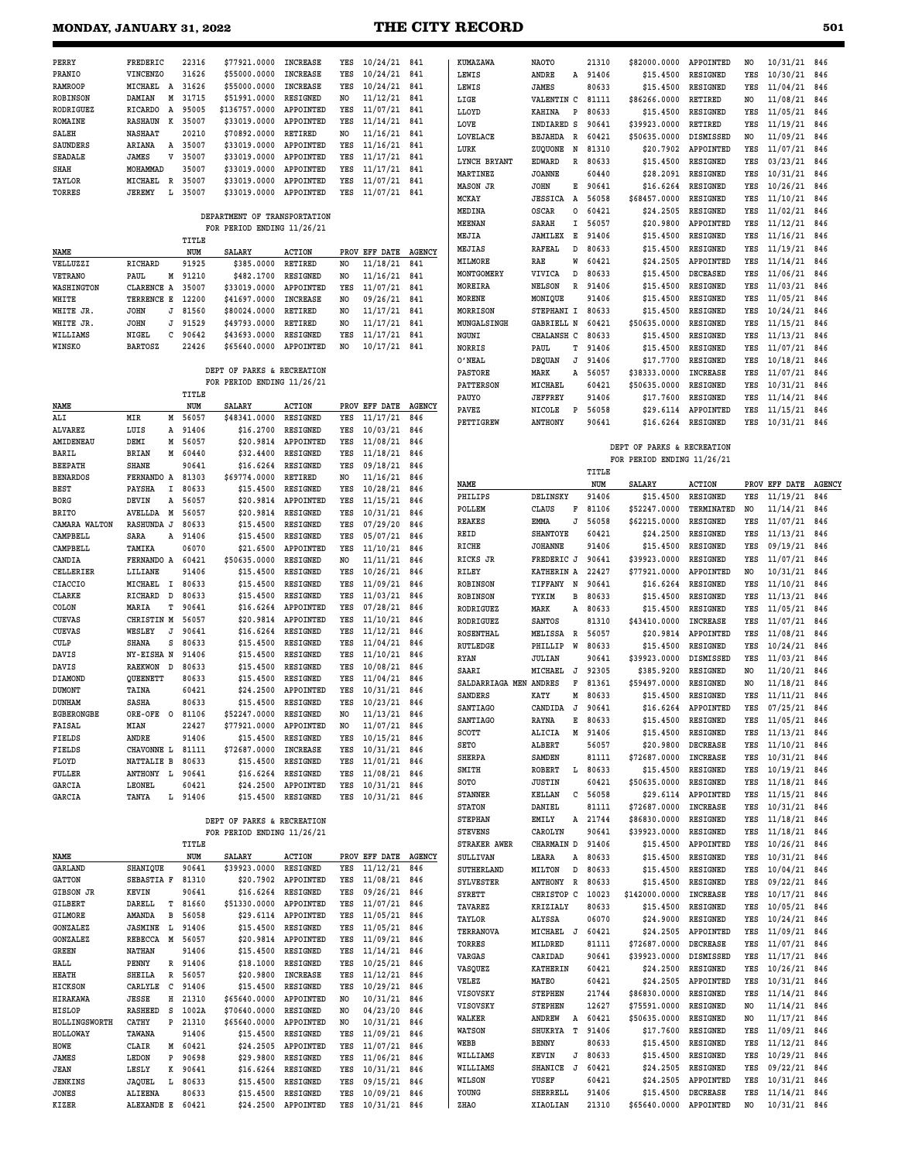| <b>MONDAY, JANUARY 31, 2022</b> |                                    |                |                                                          |                          |                |                                  |                      | <b>THE CITY RECORD</b>             |                                 |                |                            |                             |            |                              | 501        |
|---------------------------------|------------------------------------|----------------|----------------------------------------------------------|--------------------------|----------------|----------------------------------|----------------------|------------------------------------|---------------------------------|----------------|----------------------------|-----------------------------|------------|------------------------------|------------|
|                                 |                                    |                |                                                          |                          |                |                                  |                      |                                    |                                 |                |                            |                             |            |                              |            |
| PERRY                           | FREDERIC                           | 22316          | \$77921.0000                                             | <b>INCREASE</b>          | YES            | 10/24/21                         | 841                  | KUMAZAWA                           | <b>NAOTO</b>                    | 21310          | \$82000.0000               | APPOINTED                   | NO.        | 10/31/21 846                 |            |
| PRANIO                          | VINCENZO                           | 31626          | \$55000.0000                                             | <b>INCREASE</b>          | YES            | 10/24/21                         | 841                  | LEWIS                              | ANDRE<br>А                      | 91406          | \$15.4500                  | RESIGNED                    | YES        | 10/30/21                     | 846        |
| <b>RAMROOP</b>                  | MICHAEL A                          | 31626          | \$55000.0000                                             | <b>INCREASE</b>          | YES            | 10/24/21                         | 841                  | LEWIS                              | JAMES                           | 80633          | \$15.4500                  | RESIGNED                    | YES        | 11/04/21                     | 846        |
| <b>ROBINSON</b>                 | DAMIAN<br>Μ                        | 31715          | \$51991.0000                                             | RESIGNED                 | NO             | 11/12/21                         | 841                  | LIGE                               | VALENTIN C                      | 81111          | \$86266.0000               | RETIRED                     | NO         | 11/08/21                     | 846        |
| RODRIGUEZ                       | RICARDO<br>A                       | 95005          | \$136757.0000                                            | APPOINTED                | YES            | 11/07/21                         | 841                  | LLOYD                              | KAHINA<br>P                     | 80633          | \$15,4500                  | RESIGNED                    | YES        | 11/05/21                     | 846        |
| ROMAINE                         | к<br><b>RASHAUN</b>                | 35007          | \$33019.0000                                             | APPOINTED                | YES            | 11/14/21                         | 841                  | LOVE                               | INDIARED S                      | 90641          | \$39923.0000               | RETIRED                     | YES        | 11/19/21                     | 846        |
| SALEH                           | <b>NASHAAT</b>                     | 20210<br>35007 | \$70892.0000                                             | RETIRED                  | NO<br>YES      | 11/16/21                         | 841                  | LOVELACE                           | BEJAHDA<br>R                    | 60421          | \$50635.0000               | DISMISSED                   | NO.        | 11/09/21                     | 846        |
| <b>SAUNDERS</b><br>SEADALE      | ARIANA<br>A<br>JAMES<br>v          | 35007          | \$33019.0000<br>\$33019.0000                             | APPOINTED<br>APPOINTED   | YES            | 11/16/21<br>11/17/21             | 841<br>841           | LURK                               | ZUQUONE<br>N                    | 81310          | \$20.7902                  | APPOINTED                   | YES        | 11/07/21                     | 846        |
| SHAH                            | MOHAMMAD                           | 35007          | \$33019.0000                                             | APPOINTED                | YES            | 11/17/21                         | 841                  | LYNCH BRYANT                       | <b>EDWARD</b><br>R              | 80633          | \$15.4500                  | RESIGNED                    | YES        | 03/23/21                     | 846        |
| TAYLOR                          | MICHAEL<br>R                       | 35007          | \$33019.0000                                             | APPOINTED                | YES            | 11/07/21                         | 841                  | MARTINEZ                           | <b>JOANNE</b>                   | 60440          | \$28.2091                  | RESIGNED                    | YES        | 10/31/21                     | 846        |
| TORRES                          | JEREMY<br>Ŀ                        | 35007          | \$33019.0000                                             | APPOINTED                | YES            | 11/07/21                         | 841                  | <b>MASON JR</b>                    | JOHN<br>Е                       | 90641          | \$16.6264                  | RESIGNED                    | YES        | 10/26/21                     | 846        |
|                                 |                                    |                |                                                          |                          |                |                                  |                      | MCKAY                              | <b>JESSICA</b><br>Α<br>$\Omega$ | 56058<br>60421 | \$68457.0000               | RESIGNED<br>RESIGNED        | YES<br>YES | 11/10/21                     | 846        |
|                                 |                                    |                | DEPARTMENT OF TRANSPORTATION                             |                          |                |                                  |                      | MEDINA<br>MEENAN                   | OSCAR<br>I<br>SARAH             | 56057          | \$24.2505<br>\$20.9800     | APPOINTED                   | YES        | 11/02/21<br>11/12/21         | 846<br>846 |
|                                 |                                    |                | FOR PERIOD ENDING 11/26/21                               |                          |                |                                  |                      | MEJIA                              | Е<br><b>JAMILEX</b>             | 91406          | \$15.4500                  | RESIGNED                    | YES        | 11/16/21                     | 846        |
|                                 |                                    | TITLE          |                                                          |                          |                |                                  |                      | MEJIAS                             | <b>RAFEAL</b><br>D              | 80633          | \$15.4500                  | RESIGNED                    | YES        | 11/19/21                     | 846        |
| NAME<br>VELLUZZI                | RICHARD                            | NUM<br>91925   | <b>SALARY</b><br>\$385.0000                              | <b>ACTION</b><br>RETIRED | PROV<br>NO     | EFF DATE<br>11/18/21             | <b>AGENCY</b><br>841 | MILMORE                            | W<br>RAE                        | 60421          | \$24.2505                  | APPOINTED                   | YES        | 11/14/21                     | 846        |
| <b>VETRANO</b>                  | PAUL<br>М                          | 91210          | \$482.1700                                               | RESIGNED                 | N0             | 11/16/21                         | 841                  | MONTGOMERY                         | VIVICA<br>D                     | 80633          | \$15.4500                  | DECEASED                    | YES        | 11/06/21                     | 846        |
| WASHINGTON                      | CLARENCE A                         | 35007          | \$33019.0000                                             | APPOINTED                | YES            | 11/07/21                         | 841                  | MOREIRA                            | <b>NELSON</b><br>R              | 91406          | \$15.4500                  | RESIGNED                    | YES        | 11/03/21                     | 846        |
| WHITE                           | TERRENCE E                         | 12200          | \$41697.0000                                             | <b>INCREASE</b>          | N <sub>0</sub> | 09/26/21                         | 841                  | <b>MORENE</b>                      | MONIQUE                         | 91406          | \$15.4500                  | RESIGNED                    | YES        | 11/05/21                     | 846        |
| WHITE JR.                       | JOHN<br>J                          | 81560          | \$80024.0000                                             | RETIRED                  | NO             | 11/17/21                         | 841                  | MORRISON                           | STEPHANI I                      | 80633          | \$15.4500                  | RESIGNED                    | YES        | 10/24/21                     | 846        |
| WHITE JR.                       | <b>JOHN</b><br>J                   | 91529          | \$49793.0000                                             | RETIRED                  | NO             | 11/17/21                         | 841                  | MUNGALSINGH                        | GABRIELL N                      | 60421          | \$50635.0000               | RESIGNED                    | YES        | 11/15/21                     | 846        |
| WILLIAMS                        | NIGEL<br>с                         | 90642          | \$43693.0000                                             | RESIGNED                 | YES            | 11/17/21                         | 841                  | NGUNI                              | CHALANSH C                      | 80633          | \$15.4500                  | RESIGNED                    | YES        | 11/13/21                     | 846        |
| WINSKO                          | <b>BARTOSZ</b>                     | 22426          | \$65640.0000                                             | APPOINTED                | N0             | 10/17/21                         | 841                  | <b>NORRIS</b>                      | PAUL<br>т                       | 91406          | \$15.4500                  | RESIGNED                    | YES        | 11/07/21                     | 846        |
|                                 |                                    |                |                                                          |                          |                |                                  |                      | O'NEAL                             | <b>DEQUAN</b><br>J              | 91406          | \$17,7700                  | RESIGNED                    | YES        | 10/18/21                     | 846        |
|                                 |                                    |                | DEPT OF PARKS & RECREATION<br>FOR PERIOD ENDING 11/26/21 |                          |                |                                  |                      | <b>PASTORE</b>                     | MARK<br>Α                       | 56057          | \$38333.0000               | <b>INCREASE</b>             | YES        | 11/07/21                     | 846        |
|                                 |                                    | TITLE          |                                                          |                          |                |                                  |                      | <b>PATTERSON</b>                   | MICHAEL                         | 60421          | \$50635.0000               | RESIGNED                    | YES        | 10/31/21                     | 846        |
| NAME                            |                                    | NUM            | <b>SALARY</b>                                            | <b>ACTION</b>            | PROV           | EFF DATE                         | <b>AGENCY</b>        | PAUYO<br>PAVEZ                     | <b>JEFFREY</b>                  | 91406          | \$17.7600                  | RESIGNED<br>APPOINTED       | YES        | 11/14/21                     | 846        |
| ALI                             | MIR<br>м                           | 56057          | \$48341.0000                                             | <b>RESIGNED</b>          | YES            | 11/17/21                         | 846                  | PETTIGREW                          | NICOLE<br>P<br>ANTHONY          | 56058<br>90641 | \$29.6114<br>\$16.6264     | <b>RESIGNED</b>             | YES<br>YES | 11/15/21<br>10/31/21         | 846<br>846 |
| ALVAREZ                         | LUIS<br>Α                          | 91406          | \$16.2700                                                | RESIGNED                 | YES            | 10/03/21                         | 846                  |                                    |                                 |                |                            |                             |            |                              |            |
| AMIDENEAU                       | DEMI<br>Μ                          | 56057          | \$20.9814                                                | APPOINTED                | YES            | 11/08/21                         | 846                  |                                    |                                 |                | DEPT OF PARKS & RECREATION |                             |            |                              |            |
| BARIL                           | <b>BRIAN</b><br>М                  | 60440          | \$32.4400                                                | RESIGNED                 | YES            | 11/18/21                         | 846                  |                                    |                                 |                | FOR PERIOD ENDING 11/26/21 |                             |            |                              |            |
| <b>BEEPATH</b>                  | <b>SHANE</b>                       | 90641          | \$16.6264                                                | RESIGNED                 | YES            | 09/18/21                         | 846                  |                                    |                                 | TITLE          |                            |                             |            |                              |            |
| <b>BENARDOS</b><br><b>BEST</b>  | FERNANDO A<br>PAYSHA<br>I          | 81303<br>80633 | \$69774.0000<br>\$15.4500                                | RETIRED<br>RESIGNED      | NO<br>YES      | 11/16/21<br>10/28/21             | 846<br>846           | NAME                               |                                 | NUM            | SALARY                     | <b>ACTION</b>               |            | PROV EFF DATE AGENCY         |            |
| <b>BORG</b>                     | DEVIN<br>Α                         | 56057          | \$20.9814                                                | APPOINTED                | YES            | 11/15/21                         | 846                  | PHILIPS                            | DELINSKY                        | 91406          | \$15.4500                  | RESIGNED                    | YES        | 11/19/21                     | 846        |
| <b>BRITO</b>                    | AVELLDA<br>M                       | 56057          | \$20.9814                                                | RESIGNED                 | YES            | 10/31/21                         | 846                  | POLLEM                             | F<br>CLAUS                      | 81106          | \$52247.0000               | TERMINATED                  | NO         | 11/14/21                     | 846        |
| CAMARA WALTON                   | <b>RASHUNDA J</b>                  | 80633          | \$15.4500                                                | RESIGNED                 | YES            | 07/29/20                         | 846                  | REAKES                             | EMMA<br>J                       | 56058          | \$62215.0000               | RESIGNED                    | YES        | 11/07/21                     | 846        |
| CAMPBELL                        | SARA<br>Α                          | 91406          | \$15.4500                                                | RESIGNED                 | YES            | 05/07/21                         | 846                  | REID                               | SHANTOYE                        | 60421          | \$24.2500                  | RESIGNED                    | YES        | 11/13/21                     | 846        |
| CAMPBELL                        | TAMIKA                             | 06070          | \$21.6500                                                | APPOINTED                | YES            | 11/10/21                         | 846                  | RICHE                              | <b>JOHANNE</b>                  | 91406          | \$15.4500                  | RESIGNED                    | YES        | 09/19/21                     | 846        |
| CANDIA                          | FERNANDO A                         | 60421          | \$50635.0000                                             | RESIGNED                 | N0             | 11/11/21                         | 846                  | RICKS JR                           | FREDERIC J                      | 90641          | \$39923.0000               | RESIGNED                    | YES        | 11/07/21                     | 846        |
| CELLERIER                       | LILIANE                            | 91406          | \$15.4500                                                | RESIGNED                 | YES            | 10/26/21                         | 846                  | RILEY                              | KATHERIN A                      | 22427          | \$77921.0000               | APPOINTED                   | NO         | 10/31/21                     | 846        |
| CIACCIO<br>CLARKE               | MICHAEL<br>I<br>RICHARD<br>D       | 80633<br>80633 | \$15.4500<br>\$15.4500                                   | RESIGNED<br>RESIGNED     | YES<br>YES     | 11/09/21<br>11/03/21             | 846<br>846           | <b>ROBINSON</b><br><b>ROBINSON</b> | TIFFANY<br>N<br>TYKIM<br>в      | 90641<br>80633 | \$16.6264<br>\$15,4500     | RESIGNED<br>RESIGNED        | YES<br>YES | 11/10/21<br>11/13/21         | 846<br>846 |
| COLON                           | MARIA<br>т                         | 90641          | \$16.6264                                                | APPOINTED                | YES            | 07/28/21                         | 846                  | RODRIGUEZ                          | MARK<br>Α                       | 80633          | \$15.4500                  | RESIGNED                    | YES        | 11/05/21                     | 846        |
| CUEVAS                          | CHRISTIN M                         | 56057          | \$20.9814                                                | APPOINTED                | YES            | 11/10/21                         | 846                  | RODRIGUEZ                          | SANTOS                          | 81310          | \$43410.0000               | <b>INCREASE</b>             | YES        | 11/07/21                     | 846        |
| <b>CUEVAS</b>                   | WESLEY<br>J                        | 90641          | \$16.6264                                                | RESIGNED                 | YES            | 11/12/21                         | 846                  | ROSENTHAL                          | <b>MELISSA</b><br>R             | 56057          | \$20.9814                  | APPOINTED                   | YES        | 11/08/21                     | 846        |
| <b>CULP</b>                     | SHANA<br>s                         | 80633          | \$15.4500                                                | RESIGNED                 | YES            | 11/04/21                         | 846                  | RUTLEDGE                           | PHILLIP<br>W                    | 80633          | \$15,4500                  | RESIGNED                    | YES        | 10/24/21                     | 846        |
| DAVIS                           | NY-EISHA N                         | 91406          | \$15.4500                                                | RESIGNED                 | YES            | 11/10/21                         | 846                  | <b>RYAN</b>                        | <b>JULIAN</b>                   | 90641          | \$39923.0000               | DISMISSED                   | YES        | 11/03/21                     | 846        |
| DAVIS                           | RAEKWON D                          | 80633          | \$15.4500 RESIGNED                                       |                          | YES            | 10/08/21 846                     |                      | SAARI                              | MICHAEL<br>J                    | 92305          | \$385.9200                 | RESIGNED                    | NO.        | 11/20/21 846                 |            |
| DIAMOND                         | QUEENETT                           | 80633          | \$15.4500                                                | RESIGNED                 | YES            | 11/04/21 846                     |                      | SALDARRIAGA MEN ANDRES             | F                               | 81361          | \$59497.0000               | RESIGNED                    | NO         | 11/18/21 846                 |            |
| DUMONT<br>DUNHAM                | TAINA<br>SASHA                     | 60421<br>80633 | \$24.2500<br>\$15.4500                                   | APPOINTED<br>RESIGNED    | YES<br>YES     | $10/31/21$ 846<br>$10/23/21$ 846 |                      | SANDERS                            | М<br>KATY                       | 80633          | \$15.4500                  | RESIGNED                    | YES        | 11/11/21 846                 |            |
| <b>EGBERONGBE</b>               | ORE-OFE O                          | 81106          | \$52247.0000                                             | RESIGNED                 | NO             | $11/13/21$ 846                   |                      | SANTIAGO                           | J<br>CANDIDA                    | 90641          | \$16.6264                  | APPOINTED                   | YES        | 07/25/21                     | 846        |
| FAISAL                          | MIAN                               | 22427          | \$77921.0000                                             | APPOINTED                | NO.            | 11/07/21 846                     |                      | SANTIAGO                           | RAYNA<br>Е                      | 80633          | \$15.4500                  | RESIGNED                    | YES        | 11/05/21 846                 |            |
| FIELDS                          | ANDRE                              | 91406          | \$15.4500                                                | RESIGNED                 | YES            | $10/15/21$ 846                   |                      | SCOTT                              | ALICIA<br>М                     | 91406          | \$15.4500                  | RESIGNED                    | YES        | 11/13/21 846                 |            |
| FIELDS                          | CHAVONNE L                         | 81111          | \$72687.0000                                             | INCREASE                 | YES            | 10/31/21                         | 846                  | SETO                               | ALBERT                          | 56057          | \$20.9800                  | <b>DECREASE</b>             | YES        | 11/10/21 846                 |            |
| FLOYD                           | NATTALIE B                         | 80633          | \$15.4500                                                | RESIGNED                 | YES            | 11/01/21 846                     |                      | SHERPA                             | SAMDEN<br>L.                    | 81111<br>80633 | \$72687.0000<br>\$15.4500  | <b>INCREASE</b><br>RESIGNED | YES        | 10/31/21 846<br>10/19/21 846 |            |
| FULLER                          | ANTHONY L                          | 90641          | \$16.6264                                                | RESIGNED                 | YES            | 11/08/21 846                     |                      | SMITH<br>SOTO                      | ROBERT<br><b>JUSTIN</b>         | 60421          | \$50635.0000               | RESIGNED                    | YES<br>YES | 11/18/21 846                 |            |
| GARCIA                          | LEONEL                             | 60421          | \$24.2500                                                | APPOINTED                | YES            | 10/31/21 846                     |                      | <b>STANNER</b>                     | KELLAN<br>С                     | 56058          | \$29.6114                  | APPOINTED                   | YES        | 11/15/21 846                 |            |
| GARCIA                          | TANYA                              | L 91406        | \$15.4500                                                | RESIGNED                 | YES            | 10/31/21 846                     |                      | <b>STATON</b>                      | DANIEL                          | 81111          | \$72687.0000               | <b>INCREASE</b>             | YES        | 10/31/21 846                 |            |
|                                 |                                    |                | DEPT OF PARKS & RECREATION                               |                          |                |                                  |                      | <b>STEPHAN</b>                     | EMILY<br>Α                      | 21744          | \$86830.0000               | RESIGNED                    | YES        | 11/18/21 846                 |            |
|                                 |                                    |                | FOR PERIOD ENDING 11/26/21                               |                          |                |                                  |                      | <b>STEVENS</b>                     | CAROLYN                         | 90641          | \$39923.0000               | RESIGNED                    | YES        | 11/18/21 846                 |            |
|                                 |                                    | TITLE          |                                                          |                          |                |                                  |                      | STRAKER AWER                       | CHARMAIN D                      | 91406          | \$15.4500                  | APPOINTED                   | YES        | 10/26/21 846                 |            |
| NAME                            |                                    | NUM            | SALARY                                                   | <b>ACTION</b>            |                | PROV EFF DATE                    | <b>AGENCY</b>        | SULLIVAN                           | LEARA<br>Α                      | 80633          | \$15.4500                  | RESIGNED                    | YES        | 10/31/21 846                 |            |
| GARLAND                         | SHANIQUE                           | 90641          | \$39923.0000                                             | RESIGNED                 | YES            | 11/12/21                         | 846                  | SUTHERLAND                         | MILTON<br>D                     | 80633          | \$15.4500                  | RESIGNED                    | YES        | 10/04/21 846                 |            |
| <b>GATTON</b>                   | SEBASTIA F                         | 81310          | \$20.7902                                                | APPOINTED                | YES            | 11/08/21 846                     |                      | <b>SYLVESTER</b>                   | ANTHONY<br>R                    | 80633          | \$15.4500                  | RESIGNED                    | YES        | 09/22/21 846                 |            |
| GIBSON JR                       | KEVIN                              | 90641          | \$16.6264                                                | RESIGNED                 | YES            | 09/26/21 846                     |                      | SYRETT                             | CHRISTOP C                      | 10023          | \$142000.0000              | INCREASE                    | YES        | $10/17/21$ 846               |            |
| GILBERT                         | DARELL<br>т                        | 81660<br>56058 | \$51330.0000                                             | APPOINTED                | YES            | 11/07/21 846                     |                      | TAVAREZ                            | KRIZIALY                        | 80633          | \$15.4500                  | RESIGNED                    | YES        | 10/05/21                     | 846        |
| GILMORE<br>GONZALEZ             | AMANDA<br>в<br><b>JASMINE</b><br>L | 91406          | \$29.6114<br>\$15.4500                                   | APPOINTED<br>RESIGNED    | YES<br>YES     | 11/05/21 846<br>11/05/21         | 846                  | TAYLOR                             | ALYSSA                          | 06070          | \$24.9000                  | RESIGNED                    | YES        | 10/24/21                     | 846        |
| GONZALEZ                        | M<br>REBECCA                       | 56057          |                                                          | \$20.9814 APPOINTED      | YES            | 11/09/21 846                     |                      | TERRANOVA                          | MICHAEL J                       | 60421          | \$24.2505                  | APPOINTED                   | YES        | 11/09/21 846                 |            |
| GREEN                           | NATHAN                             | 91406          | \$15.4500                                                | RESIGNED                 | YES            | 11/14/21 846                     |                      | TORRES                             | MILDRED                         | 81111          | \$72687.0000               | DECREASE                    | YES        | 11/07/21 846                 |            |
| $\cdots$                        | <b>DEMARY</b>                      | 0110c          | A10.1000                                                 | <b>DROTOMPD</b>          | <b>MEG</b>     | 10/25/21                         |                      | VARGAS                             | CARIDAD                         | 90641          | \$39923.0000 DISMISSED     |                             | YES        | 11/17/21 846                 |            |

|                 |                |   |       | DEPT OF PARKS & RECREATION |                 |      |                 |               |
|-----------------|----------------|---|-------|----------------------------|-----------------|------|-----------------|---------------|
|                 |                |   |       | FOR PERIOD ENDING 11/26/21 |                 |      |                 |               |
|                 |                |   | TITLE |                            |                 |      |                 |               |
| <b>NAME</b>     |                |   | NUM   | <b>SALARY</b>              | <b>ACTION</b>   | PROV | <b>EFF DATE</b> | <b>AGENCY</b> |
| <b>GARLAND</b>  | SHANIQUE       |   | 90641 | \$39923.0000               | <b>RESIGNED</b> | YES  | 11/12/21        | 846           |
| <b>GATTON</b>   | SEBASTIA F     |   | 81310 | \$20.7902                  | APPOINTED       | YES  | 11/08/21        | 846           |
| GIBSON JR       | KEVIN          |   | 90641 | \$16.6264                  | <b>RESIGNED</b> | YES  | 09/26/21        | 846           |
| <b>GILBERT</b>  | DARELL         | т | 81660 | \$51330.0000               | APPOINTED       | YES  | 11/07/21        | 846           |
| <b>GILMORE</b>  | <b>AMANDA</b>  | в | 56058 | \$29.6114                  | APPOINTED       | YES  | 11/05/21        | 846           |
| <b>GONZALEZ</b> | <b>JASMINE</b> | L | 91406 | \$15.4500                  | <b>RESIGNED</b> | YES  | 11/05/21        | 846           |
| <b>GONZALEZ</b> | <b>REBECCA</b> | M | 56057 | \$20.9814                  | APPOINTED       | YES  | 11/09/21        | 846           |
| <b>GREEN</b>    | <b>NATHAN</b>  |   | 91406 | \$15,4500                  | RESIGNED        | YES  | 11/14/21        | 846           |
| HALL            | PENNY          | R | 91406 | \$18.1000                  | <b>RESIGNED</b> | YES  | 10/25/21        | 846           |
| <b>HEATH</b>    | <b>SHEILA</b>  | R | 56057 | \$20.9800                  | <b>INCREASE</b> | YES  | 11/12/21        | 846           |
| <b>HICKSON</b>  | CARLYLE        | с | 91406 | \$15.4500                  | <b>RESIGNED</b> | YES  | 10/29/21        | 846           |
| HIRAKAWA        | <b>JESSE</b>   | н | 21310 | \$65640.0000               | APPOINTED       | NO   | 10/31/21        | 846           |
| <b>HISLOP</b>   | <b>RASHEED</b> | s | 1002A | \$70640.0000               | <b>RESIGNED</b> | NO   | 04/23/20        | 846           |
| HOLLINGSWORTH   | CATHY          | P | 21310 | \$65640.0000               | APPOINTED       | NO   | 10/31/21        | 846           |
| HOLLOWAY        | TAWANA         |   | 91406 | \$15,4500                  | <b>RESIGNED</b> | YES  | 11/09/21        | 846           |
| HOWE            | CLAIR          | М | 60421 | \$24.2505                  | APPOINTED       | YES  | 11/07/21        | 846           |
| <b>JAMES</b>    | LEDON          | P | 90698 | \$29,9800                  | <b>RESIGNED</b> | YES  | 11/06/21        | 846           |
| <b>JEAN</b>     | LESLY          | к | 90641 | \$16.6264                  | <b>RESIGNED</b> | YES  | 10/31/21        | 846           |
| <b>JENKINS</b>  | <b>JAOUEL</b>  | L | 80633 | \$15,4500                  | <b>RESIGNED</b> | YES  | 09/15/21        | 846           |
| <b>JONES</b>    | <b>ALIEENA</b> |   | 80633 | \$15,4500                  | <b>RESIGNED</b> | YES  | 10/09/21        | 846           |

**KIZER ALEXANDE E 60421 \$24.2500 APPOINTED YES 10/31/21 846**

# **VASQUEZ KATHERIN 60421 \$24.2500 RESIGNED YES 10/26/21 846 VELEZ MATEO 60421 \$24.2505 APPOINTED YES 10/31/21 846 VISOVSKY STEPHEN 21744 \$86830.0000 RESIGNED YES 11/14/21 846 VISOVSKY STEPHEN 12627 \$75591.0000 RESIGNED NO 11/14/21 846 WALKER ANDREW A 60421 \$50635.0000 RESIGNED NO 11/17/21 846**  $$17.7600$  RESIGNED **WEBB BENNY 80633 \$15.4500 RESIGNED YES 11/12/21 846 WILLIAMS KEVIN J 80633 \$15.4500 RESIGNED YES 10/29/21 846 WILLIAMS SHANICE J 60421 \$24.2505 RESIGNED YES 09/22/21 846**

**WILSON YUSEF 60421 \$24.2505 APPOINTED YES 10/31/21 846**

**ZHAO XIAOLIAN 21310 \$65640.0000 APPOINTED NO 10/31/21 846**

91406 \$15.4500 DECREASE YES 11/14/21 846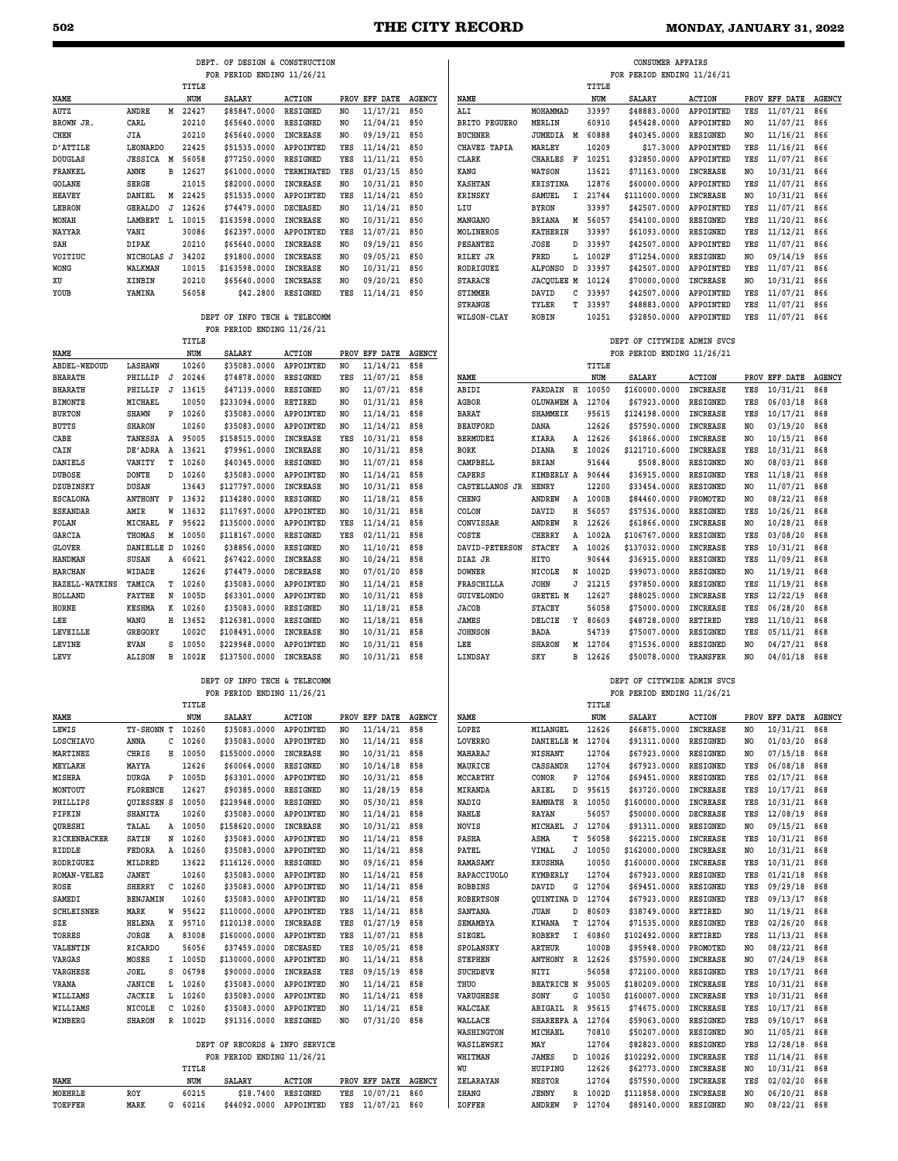**CONSUMER AFFAIRS**

|                       |                           |          |                    | DEPT. OF DESIGN & CONSTRUCTION<br>FOR PERIOD ENDING 11/26/21 |                             |                      |                                |               |                      |                               |
|-----------------------|---------------------------|----------|--------------------|--------------------------------------------------------------|-----------------------------|----------------------|--------------------------------|---------------|----------------------|-------------------------------|
|                       |                           |          | TITLE              |                                                              |                             |                      |                                |               |                      |                               |
| NAME                  |                           |          | NUM                | <b>SALARY</b>                                                | <b>ACTION</b>               |                      | PROV EFF DATE                  | <b>AGENCY</b> | NAME                 |                               |
| AUTZ                  | ANDRE                     |          | M 22427            | \$85847.0000                                                 | <b>RESIGNED</b>             | NO                   | 11/17/21                       | 850           | ALI                  | MOHAMMAD                      |
| BROWN JR.             | CARL                      |          | 20210              | \$65640.0000                                                 | RESIGNED                    | NO                   | 11/04/21                       | 850           | <b>BRITO PEGUERO</b> | MERLIN                        |
| CHEN                  | JIA                       |          | 20210              | \$65640.0000                                                 | INCREASE                    | NO                   | 09/19/21                       | 850           | <b>BUCHNER</b>       | JUMEDIA 1                     |
| D'ATTILE              | LEONARDO                  |          | 22425              | \$51535.0000                                                 | APPOINTED                   | YES                  | 11/14/21                       | 850           | CHAVEZ TAPIA         | MARLEY                        |
| <b>DOUGLAS</b>        | <b>JESSICA M</b>          |          | 56058              | \$77250.0000                                                 | RESIGNED                    | YES                  | 11/11/21                       | 850           | CLARK                | CHARLES<br>п                  |
| FRANKEL               | ANNE                      | в        | 12627              | \$61000.0000                                                 | TERMINATED                  | YES                  | 01/23/15                       | 850           | KANG                 | WATSON                        |
| GOLANE                | SERGE                     |          | 21015              | \$82000.0000                                                 | INCREASE                    | NO                   | 10/31/21                       | 850           | <b>KASHTAN</b>       | KRISTINA                      |
| <b>HEAVEY</b>         | DANIEL                    |          | M 22425<br>12626   | \$51535.0000                                                 | APPOINTED                   | YES                  | 11/14/21                       | 850           | <b>KRINSKY</b>       | <b>SAMUEL</b><br><b>BYRON</b> |
| LEBRON<br>MONAH       | <b>GERALDO</b><br>LAMBERT | J<br>- L | 10015              | \$74479.0000<br>\$163598.0000                                | <b>DECEASED</b><br>INCREASE | NO<br>N <sub>O</sub> | 11/14/21<br>10/31/21           | 850<br>850    | LIU<br>MANGANO       | BRIANA<br>э                   |
| NAYYAR                | VANI                      |          | 30086              | \$62397.0000                                                 | APPOINTED                   | YES                  | 11/07/21                       | 850           | MOLINEROS            | KATHERIN                      |
| SAH                   | DIPAK                     |          | 20210              | \$65640.0000                                                 | <b>INCREASE</b>             | NO.                  | 09/19/21                       | 850           | PESANTEZ             | <b>JOSE</b>                   |
| VOITIUC               | NICHOLAS J                |          | 34202              | \$91800.0000                                                 | <b>INCREASE</b>             | NO                   | 09/05/21                       | 850           | RILEY JR             | FRED                          |
| WONG                  | WALKMAN                   |          | 10015              | \$163598.0000                                                | INCREASE                    | N <sub>O</sub>       | 10/31/21                       | 850           | RODRIGUEZ            | <b>ALFONSO</b><br>I           |
| XU                    | XINBIN                    |          | 20210              | \$65640.0000                                                 | INCREASE                    | NO                   | 09/20/21                       | 850           | <b>STARACE</b>       | JACQULEE 1                    |
| YOUB                  | YAMINA                    |          | 56058              | \$42,2800                                                    | RESIGNED                    | YES                  | 11/14/21 850                   |               | STIMMER              | DAVID                         |
|                       |                           |          |                    |                                                              |                             |                      |                                |               | <b>STRANGE</b>       | TYLER                         |
|                       |                           |          |                    | DEPT OF INFO TECH & TELECOMM                                 |                             |                      |                                |               | <b>WILSON-CLAY</b>   | <b>ROBIN</b>                  |
|                       |                           |          |                    | FOR PERIOD ENDING 11/26/21                                   |                             |                      |                                |               |                      |                               |
|                       |                           |          | TITLE              |                                                              |                             |                      |                                |               |                      |                               |
| NAME<br>ABDEL-WEDOUD  |                           |          | NUM<br>10260       | <b>SALARY</b><br>\$35083.0000                                | <b>ACTION</b>               |                      | PROV EFF DATE<br>11/14/21      | <b>AGENCY</b> |                      |                               |
| <b>BHARATH</b>        | <b>LASHAWN</b><br>PHILLIP | J        | 20246              |                                                              | APPOINTED<br>RESIGNED       | NO<br>YES            |                                | 858<br>858    | NAME                 |                               |
| <b>BHARATH</b>        | PHILLIP                   | J        | 13615              | \$74878.0000<br>\$47139.0000                                 | RESIGNED                    | N <sub>O</sub>       | 11/07/21<br>11/07/21           | 858           | ABIDI                | FARDAIN H                     |
| <b>BIMONTE</b>        | MICHAEL                   |          | 10050              | \$233094.0000                                                | RETIRED                     | NO                   | 01/31/21                       | 858           | AGBOR                | OLUWAWEM 2                    |
| <b>BURTON</b>         | SHAWN                     | Ρ        | 10260              | \$35083.0000                                                 | APPOINTED                   | NO                   | 11/14/21                       | 858           | BARAT                | SHAMMEIK                      |
| <b>BUTTS</b>          | <b>SHARON</b>             |          | 10260              | \$35083.0000                                                 | APPOINTED                   | NO                   | 11/14/21                       | 858           | <b>BEAUFORD</b>      | DANA                          |
| CABE                  | TANESSA                   | A        | 95005              | \$158515.0000                                                | INCREASE                    | YES                  | 10/31/21                       | 858           | BERMUDEZ             | KIARA                         |
| CAIN                  | DE' ADRA                  | A        | 13621              | \$79961.0000                                                 | <b>INCREASE</b>             | NO                   | 10/31/21                       | 858           | BORK                 | DIANA<br>I                    |
| DANIELS               | VANITY                    | т        | 10260              | \$40345.0000                                                 | <b>RESIGNED</b>             | NO                   | 11/07/21                       | 858           | CAMPBELL             | BRIAN                         |
| <b>DUBOSE</b>         | <b>DONTE</b>              | D        | 10260              | \$35083.0000                                                 | APPOINTED                   | NO                   | 11/14/21                       | 858           | CAPERS               | KIMBERLY 1                    |
| DZUBINSKY             | DUSAN                     |          | 13643              | \$127797.0000                                                | INCREASE                    | NO                   | 10/31/21                       | 858           | CASTELLANOS JR       | HENRY                         |
| <b>ESCALONA</b>       | ANTHONY P                 |          | 13632              | \$134280.0000                                                | RESIGNED                    | NO                   | 11/18/21                       | 858           | CHENG                | ANDREW                        |
| <b>ESKANDAR</b>       | AMIR                      | W        | 13632              | \$117697.0000                                                | APPOINTED                   | NO                   | 10/31/21                       | 858           | COLON                | I<br>DAVID                    |
| FOLAN                 | MICHAEL                   | F        | 95622              | \$135000.0000                                                | APPOINTED                   | YES                  | 11/14/21                       | 858           | CONVISSAR            | ANDREW<br>I                   |
| GARCIA                | THOMAS                    | M        | 10050              | \$118167.0000                                                | RESIGNED                    | YES                  | 02/11/21                       | 858           | COSTE                | CHERRY                        |
| <b>GLOVER</b>         | DANIELLE D                |          | 10260              | \$38856.0000                                                 | RESIGNED                    | NO                   | 11/10/21                       | 858           | DAVID-PETERSON       | <b>STACEY</b>                 |
| HANDMAN               | SUSAN                     | А        | 60621              | \$67422.0000                                                 | INCREASE                    | NO                   | 10/24/21                       | 858           | DIAZ JR              | HITO                          |
| <b>HARCHAN</b>        | WIDADE                    |          | 12626              | \$74479.0000                                                 | <b>DECREASE</b>             | NO                   | 07/01/20                       | 858           | <b>DOWNER</b>        | <b>NICOLE</b>                 |
| <b>HAZELL-WATKINS</b> | TAMICA                    | т        | 10260              | \$35083.0000                                                 | <b>APPOINTED</b>            | NO                   | 11/14/21                       | 858           | <b>FRASCHILLA</b>    | JOHN                          |
| HOLLAND               | <b>FAYTHE</b>             | N        | 1005D              | \$63301.0000                                                 | APPOINTED                   | NO                   | 10/31/21                       | 858           | <b>GUIVELONDO</b>    | GRETEL M                      |
| HORNE                 | KESHMA                    | к        | 10260              | \$35083.0000                                                 | RESIGNED                    | NO                   | 11/18/21                       | 858           | JACOB                | <b>STACEY</b>                 |
| LEE                   | WANG                      | н        | 13652              | \$126381.0000                                                | RESIGNED                    | N <sub>O</sub>       | 11/18/21                       | 858           | JAMES                | DELCIE<br>١                   |
| <b>LEVEILLE</b>       | GREGORY                   |          | 1002C              | \$108491.0000                                                | INCREASE                    | NO                   | 10/31/21                       | 858           | <b>JOHNSON</b>       | BADA                          |
| LEVINE                | EVAN                      | s        | 10050              | \$229948.0000                                                | APPOINTED                   | N <sub>O</sub>       | 10/31/21                       | 858           | LEE                  | <b>SHARON</b><br>ı            |
| LEVY                  | <b>ALISON</b>             | в        | 1002E              | \$137500.0000                                                | INCREASE                    | NO                   | 10/31/21                       | 858           | <b>LINDSAY</b>       | I<br>SKY                      |
|                       |                           |          |                    | DEPT OF INFO TECH & TELECOMM                                 |                             |                      |                                |               |                      |                               |
|                       |                           |          | TITLE              | FOR PERIOD ENDING 11/26/21                                   |                             |                      |                                |               |                      |                               |
| NAME                  |                           |          | <b>NTTM</b>        | SALARY                                                       | <b>ACTION</b>               |                      | PROV EFF DATE AGENCY           |               | NAME                 |                               |
| LEWIS                 | TY-SHONN T 10260          |          |                    | \$35083.0000 APPOINTED                                       |                             | NO                   | $11/14/21$ 858                 |               | LOPEZ                | MILANGEL                      |
| LOSCHIAVO             | ANNA                      |          | $C$ 10260          | \$35083.0000 APPOINTED                                       |                             | NO                   | 11/14/21 858                   |               | LOVERRO              | DANIELLE 1                    |
| MARTINEZ              | CHRIS                     |          | H 10050            | \$155000.0000 INCREASE                                       |                             | NO                   | 10/31/21 858                   |               | MAHARAJ              | <b>NISHANT</b>                |
| <b>MEYLAKH</b>        | MAYYA                     |          | 12626              | \$60064.0000 RESIGNED                                        |                             | NO                   | $10/14/18$ 858                 |               | MAURICE              | CASSANDR                      |
| MISHRA                | DURGA                     |          | P 1005D            | \$63301.0000 APPOINTED                                       |                             | NO                   | 10/31/21 858                   |               | MCCARTHY             | CONOR<br>J                    |
| MONTOUT               | FLORENCE                  |          | 12627              | \$90385.0000 RESIGNED                                        |                             | NO                   | 11/28/19 858                   |               | MIRANDA              | ARIEL<br>I                    |
| PHILLIPS              | QUIESSEN S 10050          |          |                    | \$229948.0000 RESIGNED                                       |                             | NO                   | 05/30/21 858                   |               | NADIG                | RAMNATH I                     |
| PIPKIN                | SHANITA                   |          | 10260              | \$35083.0000 APPOINTED                                       |                             | NO                   | 11/14/21 858                   |               | NAHLE                | RAYAN                         |
| QURESHI               | TALAL                     |          | A 10050            | \$158620.0000 INCREASE                                       |                             | NO                   | 10/31/21 858                   |               | NOVIS                | MICHAEL                       |
| RICKENBACKER          | SATIN                     |          | N 10260            | \$35083.0000 APPOINTED                                       |                             | NO                   | 11/14/21 858                   |               | PASHA                | ASMA                          |
| RIDDLE                | FEDORA                    |          | A 10260            | \$35083.0000 APPOINTED                                       |                             | NO                   | 11/14/21 858                   |               | PATEL                | VIMAL                         |
| RODRIGUEZ             | MILDRED                   |          | 13622              | \$116126.0000 RESIGNED                                       |                             | NO                   | 09/16/21 858                   |               | RAMASAMY             | KRUSHNA                       |
| ROMAN-VELEZ           | JANET                     |          | 10260              | \$35083.0000 APPOINTED                                       |                             | NO                   | 11/14/21 858                   |               | RAPACCIUOLO          | KYMBERLY                      |
| ROSE                  | <b>SHERRY</b>             |          | $C$ 10260          | \$35083.0000 APPOINTED                                       |                             | NO                   | 11/14/21 858                   |               | ROBBINS              | DAVID<br>C                    |
| SAMEDI                | BENJAMIN                  |          | 10260              | \$35083.0000 APPOINTED                                       |                             | NO                   | 11/14/21 858                   |               | ROBERTSON            | QUINTINA I                    |
| SCHLEISNER            | MARK                      |          | W 95622            | \$110000.0000 APPOINTED                                      |                             |                      | YES 11/14/21 858               |               | <b>SANTANA</b>       | <b>JUAN</b><br>I              |
| SZE                   | HELENA                    |          | X 95710            | \$120138.0000                                                | INCREASE                    | YES                  | 01/27/19                       | 858           | SEMAMBYA             | KIWANA                        |
| TORRES                | JORGE                     |          | A 83008            | \$160000.0000 APPOINTED                                      |                             | YES                  | 11/07/21 858                   |               | SIEGEL               | ROBERT                        |
| VALENTIN              | RICARDO                   |          | 56056              | \$37459.0000 DECEASED                                        |                             | YES                  | 10/05/21 858                   |               | SPOLANSKY            | ARTHUR                        |
| VARGAS                | MOSES                     |          | I 1005D            | \$130000.0000 APPOINTED                                      |                             | NO                   | 11/14/21 858                   |               | STEPHEN              | ANTHONY I                     |
| VARGHESE              | JOEL                      |          | S 06798            | \$90000.0000 INCREASE                                        |                             | YES                  | 09/15/19 858                   |               | SUCHDEVE             | NITI                          |
| VRANA<br>WILLIAMS     | JANICE<br><b>JACKIE</b>   |          | L 10260<br>L 10260 | \$35083.0000 APPOINTED<br>\$35083.0000 APPOINTED             |                             | NO<br>NO             | $11/14/21$ 858                 |               | THUO<br>VARUGHESE    | <b>BEATRICE 1</b><br>SONY     |
| WILLIAMS              | NICOLE                    | с        | 10260              | \$35083.0000 APPOINTED                                       |                             | NO                   | 11/14/21 858<br>$11/14/21$ 858 |               | WALCZAK              | ABIGAIL I                     |
| WINBERG               | <b>SHARON</b>             |          | R 1002D            | \$91316.0000 RESIGNED                                        |                             | NO                   | 07/31/20 858                   |               | WALLACE              | SHAREEFA 2                    |
|                       |                           |          |                    |                                                              |                             |                      |                                |               | <b>WASHINGTON</b>    | MICHAEL                       |
|                       |                           |          |                    |                                                              |                             |                      |                                |               |                      |                               |

 **DEPT. OF DESIGN & CONSTRUCTION**

#### **DEPT OF RECORDS & INFO SERVICE FOR PERIOD ENDING 11/26/21**

|         |      |   | TTTLR |                        |                 |                  |        |
|---------|------|---|-------|------------------------|-----------------|------------------|--------|
| NAME    |      |   | NUM   | <b>SALARY</b>          | ACTION          | PROV EFF DATE    | AGENCY |
| MOEHRLE | ROY  |   | 60215 | \$18,7400              | <b>RESIGNED</b> | YES 10/07/21 860 |        |
| TOEPFER | MARK | G | 60216 | \$44092.0000 APPOINTED |                 | YES 11/07/21 860 |        |

|                          |                       |   |                | FOR PERIOD ENDING 11/26/21    |                                      |           |                           |               |
|--------------------------|-----------------------|---|----------------|-------------------------------|--------------------------------------|-----------|---------------------------|---------------|
|                          |                       |   | TITLE          |                               |                                      |           |                           |               |
| NAME                     | MOHAMMAD              |   | NUM            | <b>SALARY</b><br>\$48883.0000 | <b>ACTION</b>                        |           | PROV EFF DATE<br>11/07/21 | <b>AGENCY</b> |
| ALI<br>BRITO PEGUERO     | MERLIN                |   | 33997<br>60910 | \$45428.0000                  | <b>APPOINTED</b><br><b>APPOINTED</b> | YES<br>NO | 11/07/21                  | 866<br>866    |
| <b>BUCHNER</b>           | JUMEDIA               | Μ | 60888          | \$40345.0000                  | RESIGNED                             | NO        | 11/16/21                  | 866           |
| CHAVEZ TAPIA             | <b>MARLEY</b>         |   | 10209          | \$17.3000                     | <b>APPOINTED</b>                     | YES       | 11/16/21                  | 866           |
| CLARK                    | <b>CHARLES</b>        | F | 10251          | \$32850.0000                  | APPOINTED                            | YES       | 11/07/21                  | 866           |
| KANG                     | WATSON                |   | 13621          | \$71163.0000                  | INCREASE                             | NO        | 10/31/21                  | 866           |
| <b>KASHTAN</b>           | KRISTINA              |   | 12876          | \$60000.0000                  | <b>APPOINTED</b>                     | YES       | 11/07/21                  | 866           |
| <b>KRINSKY</b>           | SAMUEL                | I | 21744          | \$111000.0000                 | <b>INCREASE</b>                      | NO        | 10/31/21                  | 866           |
| LIU                      | <b>BYRON</b>          |   | 33997          | \$42507.0000                  | APPOINTED                            | YES       | 11/07/21                  | 866           |
| MANGANO                  | BRIANA                | м | 56057          | \$54100.0000                  | RESIGNED                             | YES       | 11/20/21                  | 866           |
| MOLINEROS                | KATHERIN              |   | 33997          | \$61093.0000                  | RESIGNED                             | YES       | 11/12/21                  | 866           |
| PESANTEZ                 | JOSE                  | D | 33997          | \$42507.0000                  | <b>APPOINTED</b>                     | YES       | 11/07/21                  | 866           |
| RILEY JR                 | FRED                  | L | 1002F          | \$71254.0000                  | RESIGNED                             | NO        | 09/14/19                  | 866           |
| RODRIGUEZ                | <b>ALFONSO</b>        | D | 33997          | \$42507.0000                  | <b>APPOINTED</b>                     | YES       | 11/07/21                  | 866           |
| <b>STARACE</b>           | <b>JACQULEE M</b>     |   | 10124          | \$70000.0000                  | INCREASE                             | NO        | 10/31/21                  | 866           |
| STIMMER                  | DAVID                 | с | 33997          | \$42507.0000                  | APPOINTED                            | YES       | 11/07/21                  | 866           |
| <b>STRANGE</b>           | TYLER                 | т | 33997          | \$48883.0000                  | APPOINTED                            | YES       | 11/07/21                  | 866           |
| <b>WILSON-CLAY</b>       | <b>ROBIN</b>          |   | 10251          | \$32850.0000                  | <b>APPOINTED</b>                     | YES       | 11/07/21                  | 866           |
|                          |                       |   |                | DEPT OF CITYWIDE ADMIN SVCS   |                                      |           |                           |               |
|                          |                       |   |                | FOR PERIOD ENDING 11/26/21    |                                      |           |                           |               |
|                          |                       |   | TITLE          |                               |                                      |           |                           |               |
| <b>NAME</b>              |                       |   | NUM            | <b>SALARY</b>                 | <b>ACTION</b>                        |           | PROV EFF DATE             | <b>AGENCY</b> |
| ABIDI                    | FARDAIN               | н | 10050          | \$160000.0000                 | INCREASE                             | YES       | 10/31/21                  | 868           |
| AGBOR                    | OLUWAWEM A            |   | 12704          | \$67923.0000                  | RESIGNED                             | YES       | 06/03/18                  | 868           |
| BARAT                    | SHAMMEIK              |   | 95615          | \$124198.0000                 | <b>INCREASE</b>                      | YES       | 10/17/21                  | 868           |
| <b>BEAUFORD</b>          | DANA                  |   | 12626          | \$57590.0000                  | <b>INCREASE</b>                      | NO        | 03/19/20                  | 868           |
| <b>BERMUDEZ</b>          | KIARA                 | Α | 12626          | \$61866.0000                  | <b>INCREASE</b>                      | NO        | 10/15/21                  | 868           |
| <b>BORK</b>              | DIANA                 | Е | 10026          | \$121710.6000                 | <b>INCREASE</b>                      | YES       | 10/31/21                  | 868           |
| CAMPBELL                 | BRIAN                 |   | 91644          | \$508.8000                    | RESIGNED                             | NO        | 08/03/21                  | 868           |
| <b>CAPERS</b>            | KIMBERLY A            |   | 90644          | \$36915.0000                  | RESIGNED                             | YES       | 11/18/21                  | 868           |
| CASTELLANOS JR           | HENRY                 |   | 12200          | \$33454.0000                  | RESIGNED                             | NO        | 11/07/21                  | 868           |
| CHENG                    | ANDREW                | А | 1000B          | \$84460.0000                  | PROMOTED                             | NO        | 08/22/21                  | 868           |
| COLON                    | DAVID                 | Η | 56057          | \$57536.0000                  | RESIGNED                             | YES       | 10/26/21                  | 868           |
| CONVISSAR                | ANDREW                | R | 12626          | \$61866.0000                  | INCREASE                             | NO        | 10/28/21                  | 868           |
| COSTE                    | <b>CHERRY</b>         | Α | 1002A          | \$106767.0000                 | RESIGNED                             | YES       | 03/08/20                  | 868           |
| DAVID-PETERSON           | <b>STACEY</b>         | A | 10026          | \$137032.0000                 | <b>INCREASE</b>                      | YES       | 10/31/21                  | 868           |
| DIAZ JR                  | HITO                  |   | 90644          | \$36915.0000                  | RESIGNED                             | YES       | 11/09/21                  | 868           |
| <b>DOWNER</b>            | NICOLE                | N | 1002D          | \$99073.0000                  | RESIGNED                             | NO        | 11/19/21                  | 868           |
| FRASCHILLA               | <b>JOHN</b>           | J | 21215          | \$97850.0000                  | RESIGNED                             | YES       | 11/19/21                  | 868           |
| <b>GUIVELONDO</b>        | GRETEL M              |   | 12627          | \$88025.0000                  | <b>INCREASE</b>                      | YES       | 12/22/19                  | 868           |
| JACOB                    | <b>STACEY</b>         |   | 56058          | \$75000.0000                  | INCREASE                             | YES       | 06/28/20                  | 868           |
| JAMES                    | DELCIE                | Υ | 80609          | \$48728.0000                  | RETIRED                              | YES       | 11/10/21                  | 868           |
| <b>JOHNSON</b>           | BADA                  |   | 54739          | \$75007.0000                  | RESIGNED                             | YES       | 05/11/21                  | 868           |
| LEE                      | <b>SHARON</b>         | м | 12704          | \$71536.0000                  | RESIGNED                             | NO        | 04/27/21                  | 868           |
| LINDSAY                  | SKY                   | в | 12626          | \$50078.0000                  | <b>TRANSFER</b>                      | NO        | 04/01/18                  | 868           |
|                          |                       |   |                | DEPT OF CITYWIDE ADMIN SVCS   |                                      |           |                           |               |
|                          |                       |   |                |                               |                                      |           |                           |               |
|                          |                       |   | TITLE          | FOR PERIOD ENDING 11/26/21    |                                      |           |                           |               |
| NAME                     |                       |   | NUM            | <b>SALARY</b>                 | <b>ACTION</b>                        |           | PROV EFF DATE             | <b>AGENCY</b> |
| LOPEZ                    | MILANGEL              |   | 12626          | \$66875.0000 INCREASE         |                                      | NO        | 10/31/21                  | 868           |
| LOVERRO                  | DANIELLE M            |   | 12704          | \$91311.0000                  | RESIGNED                             | NO        | 01/03/20                  | 868           |
| MAHARAJ                  | <b>NISHANT</b>        |   | 12704          | \$67923.0000                  | RESIGNED                             | NO        | 07/15/18                  | 868           |
| MAURICE                  | CASSANDR              |   | 12704          | \$67923.0000                  | RESIGNED                             | YES       | 06/08/18                  | 868           |
| <b>MCCARTHY</b>          | CONOR                 | P | 12704          | \$69451.0000                  | RESIGNED                             | YES       | 02/17/21                  | 868           |
| MIRANDA                  | ARIEL                 | D | 95615          | \$63720.0000                  | <b>INCREASE</b>                      | YES       | 10/17/21                  | 868           |
| NADIG                    | RAMNATH               | R | 10050          | \$160000.0000                 | <b>INCREASE</b>                      | YES       | 10/31/21                  | 868           |
| NAHLE                    | RAYAN                 |   | 56057          | \$50000.0000                  | DECREASE                             | YES       | 12/08/19                  | 868           |
| NOVIS                    | MICHAEL               | J | 12704          | \$91311.0000                  | RESIGNED                             | NO        | 09/15/21                  | 868           |
| PASHA                    | ASMA                  | т | 56058          | \$62215.0000                  | <b>INCREASE</b>                      | YES       | 10/31/21                  | 868           |
| PATEL                    | VIMAL                 | J | 10050          | \$162000.0000                 | INCREASE                             | NO        | 10/31/21                  | 868           |
| RAMASAMY                 | KRUSHNA               |   | 10050          | \$160000.0000                 | <b>INCREASE</b>                      | YES       | 10/31/21                  | 868           |
| RAPACCIUOLO              | KYMBERLY              |   | 12704          | \$67923.0000                  | RESIGNED                             | YES       | 01/21/18                  | 868           |
| <b>ROBBINS</b>           | DAVID                 | G | 12704          | \$69451.0000                  | RESIGNED                             | YES       | 09/29/18                  | 868           |
| <b>ROBERTSON</b>         | QUINTINA D            |   | 12704          | \$67923.0000                  | RESIGNED                             | YES       | 09/13/17                  | 868           |
| SANTANA                  | <b>JUAN</b>           | D | 80609          | \$38749.0000                  | RETIRED                              | NO        | 11/19/21                  | 868           |
| SEMAMBYA                 | KIWANA                | т | 12704          | \$71535.0000                  | RESIGNED                             | YES       | 02/26/20                  | 868           |
| SIEGEL                   | ROBERT                | I | 60860          | \$102492.0000                 | RETIRED                              | YES       | 11/13/21                  | 868           |
| SPOLANSKY                | ARTHUR                |   | 1000B          | \$95948.0000                  | PROMOTED                             | NO        | 08/22/21                  | 868           |
| <b>STEPHEN</b>           | <b>ANTHONY</b>        | R | 12626          | \$57590.0000                  | <b>INCREASE</b>                      | NO        | 07/24/19                  | 868           |
| SUCHDEVE                 | NITI                  |   | 56058          | \$72100.0000                  | RESIGNED                             | YES       | 10/17/21                  | 868           |
| THUO                     | <b>BEATRICE N</b>     |   | 95005          | \$180209.0000                 | <b>INCREASE</b>                      | YES       | 10/31/21                  | 868           |
| VARUGHESE                | SONY                  | G | 10050          | \$160007.0000                 | <b>INCREASE</b>                      | YES       | 10/31/21                  | 868           |
| WALCZAK                  | ABIGAIL<br>SHAREEFA A | R | 95615          | \$74675.0000<br>\$59063.0000  | <b>INCREASE</b>                      | YES       | 10/17/21<br>09/10/17      | 868           |
| WALLACE                  | MICHAEL               |   | 12704<br>70810 | \$50207.0000                  | RESIGNED<br>RESIGNED                 | YES<br>NO | 11/05/21                  | 868<br>868    |
| WASHINGTON<br>WASILEWSKI | MAY                   |   | 12704          | \$82823.0000                  | RESIGNED                             | YES       | 12/28/18                  | 868           |
| <b>WHITMAN</b>           | JAMES                 | D | 10026          | \$102292.0000                 | <b>INCREASE</b>                      | YES       | 11/14/21                  | 868           |
| WU                       | HUIPING               |   | 12626          | \$62773.0000                  | <b>INCREASE</b>                      | NO        | 10/31/21                  | 868           |
| ZELARAYAN                | <b>NESTOR</b>         |   | 12704          | \$57590.0000                  | INCREASE                             | YES       | 02/02/20                  | 868           |
| ZHANG                    | <b>JENNY</b>          | R | 1002D          | \$111858.0000                 | <b>INCREASE</b>                      | NO        | 06/20/21                  | 868           |

**ZOFFER ANDREW P 12704 \$89140.0000 RESIGNED NO 08/22/21 868**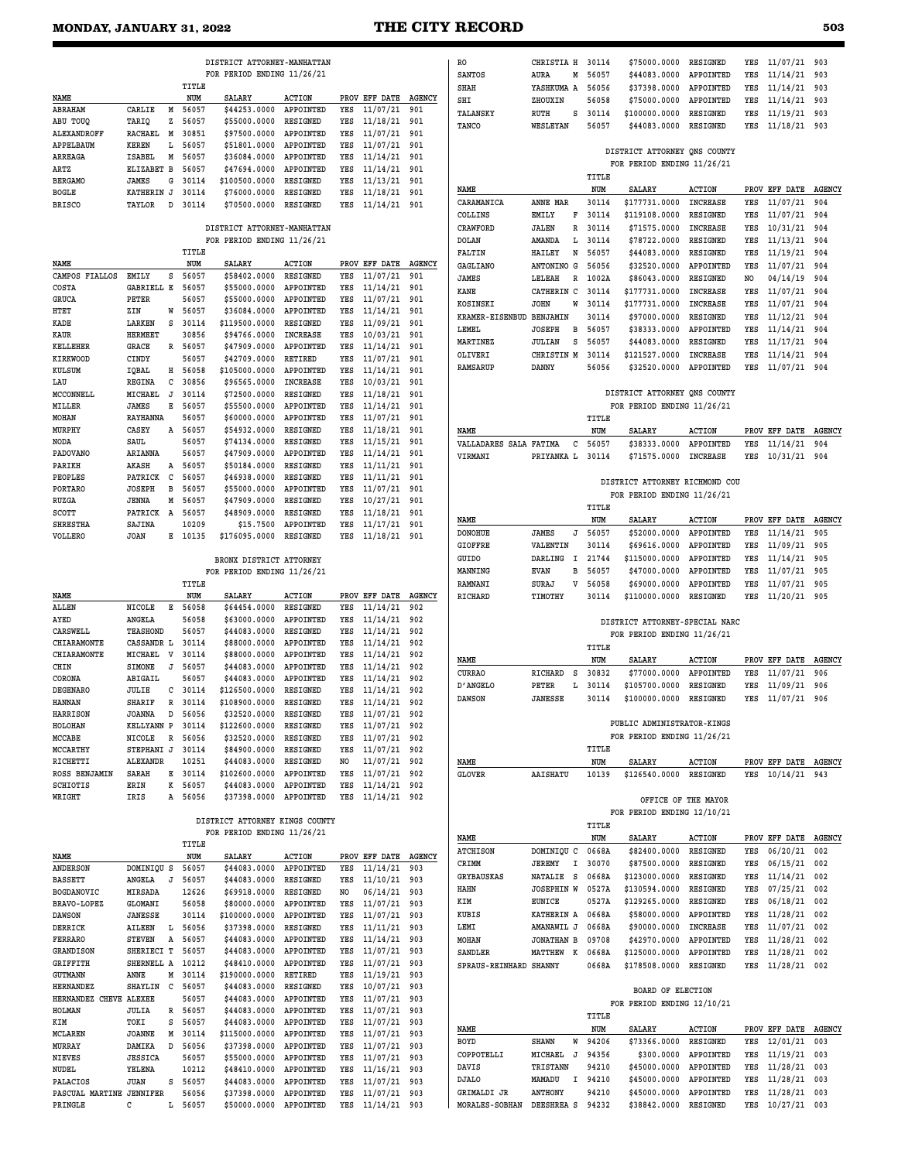#### **MONDAY, JANUARY 31, 2022 THE CITY RECORD 503**

|                        |                         |         | DISTRICT ATTORNEY-MANHATTAN    |                 |     |                      |               | <b>RO</b>              | CHRISTIA H         | 30114   | \$75000.0000                   | RESIGNED            | YES | 11/07/21 903      |     |
|------------------------|-------------------------|---------|--------------------------------|-----------------|-----|----------------------|---------------|------------------------|--------------------|---------|--------------------------------|---------------------|-----|-------------------|-----|
|                        |                         |         | FOR PERIOD ENDING 11/26/21     |                 |     |                      |               | SANTOS                 | AURA<br>М          | 56057   | \$44083.0000                   | APPOINTED           | YES | 11/14/21          | 903 |
|                        |                         | TITLE   |                                |                 |     |                      |               | SHAH                   | YASHKUMA A         | 56056   | \$37398.0000                   | APPOINTED           | YES | 11/14/21          | 903 |
| NAME                   |                         | NUM     | SALARY                         | <b>ACTION</b>   |     | PROV EFF DATE        | <b>AGENCY</b> | SHI                    | ZHOUXIN            | 56058   | \$75000.0000                   | APPOINTED           | YES | 11/14/21          | 903 |
| <b>ABRAHAM</b>         | M<br>CARLIE             | 56057   | \$44253.0000                   | APPOINTED       | YES | 11/07/21             | 901           |                        |                    |         |                                |                     |     |                   |     |
| ABU TOUQ               | TARIQ<br>z              | 56057   | \$55000.0000                   | RESIGNED        | YES | 11/18/21             | 901           | TALANSKY               | <b>RUTH</b><br>s   | 30114   | \$100000.0000                  | RESIGNED            | YES | 11/19/21          | 903 |
|                        |                         | 30851   |                                | APPOINTED       |     |                      | 901           | TANCO                  | WESLEYAN           | 56057   | \$44083.0000                   | RESIGNED            | YES | 11/18/21          | 903 |
| ALEXANDROFF            | RACHAEL<br>M            |         | \$97500.0000                   |                 | YES | 11/07/21             |               |                        |                    |         |                                |                     |     |                   |     |
| APPELBAUM              | <b>KEREN</b><br>Ŀ       | 56057   | \$51801.0000                   | APPOINTED       | YES | 11/07/21             | 901           |                        |                    |         | DISTRICT ATTORNEY ONS COUNTY   |                     |     |                   |     |
| ARREAGA                | ISABEL<br>Μ             | 56057   | \$36084.0000                   | APPOINTED       | YES | 11/14/21             | 901           |                        |                    |         | FOR PERIOD ENDING 11/26/21     |                     |     |                   |     |
| ARTZ                   | ELIZABET B              | 56057   | \$47694.0000                   | APPOINTED       | YES | 11/14/21             | 901           |                        |                    |         |                                |                     |     |                   |     |
| <b>BERGAMO</b>         | JAMES<br>G              | 30114   | \$100500.0000                  | RESIGNED        | YES | 11/13/21             | 901           |                        |                    | TITLE   |                                |                     |     |                   |     |
| <b>BOGLE</b>           | KATHERIN J              | 30114   | \$76000.0000                   | RESIGNED        | YES | 11/18/21             | 901           | NAME                   |                    | NUM     | <b>SALARY</b>                  | <b>ACTION</b>       |     | PROV EFF DATE AGE |     |
| <b>BRISCO</b>          | TAYLOR<br>D             | 30114   | \$70500.0000                   | RESIGNED        | YES | 11/14/21             | 901           | CARAMANICA             | ANNE MAR           | 30114   | \$177731.0000                  | <b>INCREASE</b>     | YES | 11/07/21          | 904 |
|                        |                         |         |                                |                 |     |                      |               | COLLINS                | <b>EMILY</b><br>F  | 30114   | \$119108.0000                  | RESIGNED            | YES | 11/07/21          | 904 |
|                        |                         |         |                                |                 |     |                      |               |                        | R                  | 30114   |                                | <b>INCREASE</b>     | YES |                   | 904 |
|                        |                         |         | DISTRICT ATTORNEY-MANHATTAN    |                 |     |                      |               | CRAWFORD               | JALEN              |         | \$71575.0000                   |                     |     | 10/31/21          |     |
|                        |                         |         | FOR PERIOD ENDING 11/26/21     |                 |     |                      |               | <b>DOLAN</b>           | AMANDA<br>L        | 30114   | \$78722.0000                   | RESIGNED            | YES | 11/13/21          | 904 |
|                        |                         | TITLE   |                                |                 |     |                      |               | FALTIN                 | N<br>HAILEY        | 56057   | \$44083.0000                   | RESIGNED            | YES | 11/19/21          | 904 |
| NAME                   |                         | NUM     | <b>SALARY</b>                  | <b>ACTION</b>   |     | PROV EFF DATE        | <b>AGENCY</b> | <b>GAGLIANO</b>        | G<br>ANTONINO      | 56056   | \$32520.0000                   | APPOINTED           | YES | 11/07/21          | 904 |
| CAMPOS FIALLOS         | EMILY<br>s              | 56057   | \$58402.0000                   | RESIGNED        | YES | 11/07/21             | 901           | <b>JAMES</b>           | LELEAH<br>R        | 1002A   | \$86043.0000                   | RESIGNED            | NO. | 04/14/19          | 904 |
| COSTA                  | <b>GABRIELL E</b>       | 56057   | \$55000.0000                   | APPOINTED       | YES | 11/14/21             | 901           |                        |                    |         |                                |                     |     |                   |     |
| <b>GRUCA</b>           | PETER                   | 56057   | \$55000.0000                   | APPOINTED       | YES | 11/07/21             | 901           | KANE                   | CATHERIN<br>c      | 30114   | \$177731.0000                  | <b>INCREASE</b>     | YES | 11/07/21          | 904 |
|                        | ZIN                     | 56057   | \$36084.0000                   | APPOINTED       |     |                      | 901           | KOSINSKI               | <b>JOHN</b><br>W   | 30114   | \$177731.0000                  | INCREASE            | YES | 11/07/21          | 904 |
| HTET                   | W                       |         |                                |                 | YES | 11/14/21             |               | KRAMER-EISENBUD        | BENJAMIN           | 30114   | \$97000.0000                   | RESIGNED            | YES | 11/12/21          | 904 |
| KADE                   | S<br>LARKEN             | 30114   | \$119500.0000                  | RESIGNED        | YES | 11/09/21             | 901           | LEMEL                  | <b>JOSEPH</b><br>в | 56057   | \$38333.0000                   | APPOINTED           | YES | 11/14/21          | 904 |
| KAUR                   | <b>HERMEET</b>          | 30856   | \$94766.0000                   | <b>INCREASE</b> | YES | 10/03/21             | 901           | MARTINEZ               | JULIAN<br>s        | 56057   | \$44083.0000                   | RESIGNED            | YES | 11/17/21          | 904 |
| <b>KELLEHER</b>        | GRACE                   | R 56057 | \$47909.0000                   | APPOINTED       | YES | 11/14/21             | 901           |                        |                    |         |                                |                     |     |                   |     |
| KIRKWOOD               | CINDY                   | 56057   | \$42709.0000                   | RETIRED         | YES | 11/07/21             | 901           | OLIVERI                | CHRISTIN M         | 30114   | \$121527.0000                  | <b>INCREASE</b>     | YES | 11/14/21          | 904 |
| KULSUM                 | IQBAL<br>н              | 56058   | \$105000.0000                  | APPOINTED       | YES | 11/14/21             | 901           | <b>RAMSARUP</b>        | DANNY              | 56056   | \$32520.0000                   | APPOINTED           | YES | 11/07/21          | 904 |
| LAU                    | REGINA<br>с             | 30856   | \$96565.0000                   | <b>INCREASE</b> | YES | 10/03/21             | 901           |                        |                    |         |                                |                     |     |                   |     |
| MCCONNELL              | MICHAEL<br>J            | 30114   | \$72500.0000                   | RESIGNED        | YES | 11/18/21             | 901           |                        |                    |         | DISTRICT ATTORNEY QNS COUNTY   |                     |     |                   |     |
|                        | <b>JAMES</b><br>Е       | 56057   |                                | APPOINTED       | YES |                      | 901           |                        |                    |         |                                |                     |     |                   |     |
| MILLER                 |                         |         | \$55500.0000                   |                 |     | 11/14/21             |               |                        |                    |         | FOR PERIOD ENDING 11/26/21     |                     |     |                   |     |
| MOHAN                  | RAYHANNA                | 56057   | \$60000.0000                   | APPOINTED       | YES | 11/07/21             | 901           |                        |                    | TITLE   |                                |                     |     |                   |     |
| MURPHY                 | CASEY<br>Α              | 56057   | \$54932.0000                   | RESIGNED        | YES | 11/18/21             | 901           | NAME                   |                    | NUM     | <b>SALARY</b>                  | <b>ACTION</b>       |     | PROV EFF DATE     | AGE |
| NODA                   | SAUL                    | 56057   | \$74134.0000                   | RESIGNED        | YES | 11/15/21             | 901           | VALLADARES SALA FATIMA | с                  | 56057   | \$38333.0000                   | APPOINTED           | YES | 11/14/21          | 904 |
| PADOVANO               | ARIANNA                 | 56057   | \$47909.0000                   | APPOINTED       | YES | 11/14/21             | 901           | VIRMANI                | PRIYANKA L         | 30114   | \$71575.0000                   | <b>INCREASE</b>     | YES | 10/31/21          | 904 |
| PARIKH                 | AKASH<br>Α              | 56057   | \$50184.0000                   | RESIGNED        | YES | 11/11/21             | 901           |                        |                    |         |                                |                     |     |                   |     |
| PEOPLES                | c<br>PATRICK            | 56057   | \$46938.0000                   | RESIGNED        | YES | 11/11/21             | 901           |                        |                    |         |                                |                     |     |                   |     |
|                        | в                       |         |                                | APPOINTED       | YES |                      |               |                        |                    |         | DISTRICT ATTORNEY RICHMOND COU |                     |     |                   |     |
| PORTARO                | <b>JOSEPH</b>           | 56057   | \$55000.0000                   |                 |     | 11/07/21             | 901           |                        |                    |         | FOR PERIOD ENDING 11/26/21     |                     |     |                   |     |
| RUZGA                  | <b>JENNA</b><br>М       | 56057   | \$47909.0000                   | RESIGNED        | YES | 10/27/21             | 901           |                        |                    | TITLE   |                                |                     |     |                   |     |
| SCOTT                  | PATRICK A               | 56057   | \$48909.0000                   | RESIGNED        | YES | 11/18/21             | 901           |                        |                    |         |                                |                     |     |                   |     |
| <b>SHRESTHA</b>        | SAJINA                  | 10209   | \$15.7500                      | APPOINTED       | YES | 11/17/21             | 901           | NAME                   |                    | NUM     | <b>SALARY</b>                  | <b>ACTION</b>       |     | PROV EFF DATE AGE |     |
| VOLLERO                | <b>JOAN</b>             | E 10135 | \$176095.0000                  | RESIGNED        | YES | 11/18/21             | 901           | <b>DONOHUE</b>         | <b>JAMES</b><br>J  | 56057   | \$52000.0000                   | APPOINTED           | YES | 11/14/21          | 905 |
|                        |                         |         |                                |                 |     |                      |               | <b>GIOFFRE</b>         | VALENTIN           | 30114   | \$69616.0000                   | APPOINTED           | YES | 11/09/21          | 905 |
|                        |                         |         | BRONX DISTRICT ATTORNEY        |                 |     |                      |               | GUIDO                  | DARLING<br>Ι.      | 21744   | \$115000.0000                  | APPOINTED           | YES | 11/14/21          | 905 |
|                        |                         |         | FOR PERIOD ENDING 11/26/21     |                 |     |                      |               | MANNING                | <b>EVAN</b><br>в   | 56057   | \$47000.0000                   | APPOINTED           | YES | 11/07/21          | 905 |
|                        |                         |         |                                |                 |     |                      |               |                        |                    |         |                                |                     |     |                   |     |
|                        |                         |         |                                |                 |     |                      |               |                        |                    |         |                                |                     |     |                   |     |
|                        |                         | TITLE   |                                |                 |     |                      |               | RAMNANI                | SURAJ<br>v         | 56058   | \$69000.0000                   | APPOINTED           | YES | 11/07/21          | 905 |
| NAME                   |                         | NUM     | <b>SALARY</b>                  | <b>ACTION</b>   |     | PROV EFF DATE        | <b>AGENCY</b> | RICHARD                | TIMOTHY            | 30114   | \$110000.0000                  | <b>RESIGNED</b>     | YES | 11/20/21          | 905 |
| ALLEN                  | Е<br>NICOLE             | 56058   | \$64454.0000                   | RESIGNED        | YES | 11/14/21             | 902           |                        |                    |         |                                |                     |     |                   |     |
| AYED                   | ANGELA                  | 56058   | \$63000.0000                   | APPOINTED       | YES | 11/14/21             | 902           |                        |                    |         |                                |                     |     |                   |     |
| CARSWELL               | <b>TEASHOND</b>         | 56057   | \$44083.0000                   | RESIGNED        | YES | 11/14/21             | 902           |                        |                    |         | DISTRICT ATTORNEY-SPECIAL NARC |                     |     |                   |     |
|                        |                         |         |                                | APPOINTED       | YES |                      | 902           |                        |                    |         | FOR PERIOD ENDING 11/26/21     |                     |     |                   |     |
| CHIARAMONTE            | CASSANDR L              | 30114   | \$88000.0000                   |                 |     | 11/14/21             |               |                        |                    | TITLE   |                                |                     |     |                   |     |
| CHIARAMONTE            | MICHAEL<br>v            | 30114   | \$88000.0000                   | APPOINTED       | YES | 11/14/21             | 902           | NAME                   |                    | NUM     | <b>SALARY</b>                  | <b>ACTION</b>       |     | PROV EFF DATE     | AGE |
| CHIN                   | <b>SIMONE</b><br>J      | 56057   | \$44083.0000                   | APPOINTED       | YES | 11/14/21             | 902           | <b>CURRAO</b>          | RICHARD<br>S       | 30832   | \$77000.0000                   | APPOINTED           | YES | 11/07/21          | 906 |
| CORONA                 | ABIGAIL                 | 56057   | \$44083.0000                   | APPOINTED       | YES | 11/14/21             | 902           |                        |                    |         |                                |                     |     |                   |     |
| <b>DEGENARO</b>        | JULIE<br>с              | 30114   | \$126500.0000                  | RESIGNED        | YES | 11/14/21             | 902           | D'ANGELO               | PETER<br>Ŀ         | 30114   | \$105700.0000                  | <b>RESIGNED</b>     | YES | 11/09/21          | 906 |
| <b>HANNAN</b>          | SHARIF                  | R 30114 | \$108900.0000                  | RESIGNED        | YES | 11/14/21             | 902           | <b>DAWSON</b>          | <b>JANESSE</b>     | 30114   | \$100000.0000                  | RESIGNED            | YES | 11/07/21          | 906 |
| <b>HARRISON</b>        | <b>JOANNA</b><br>D      | 56056   | \$32520.0000                   | RESIGNED        | YES | 11/07/21             | 902           |                        |                    |         |                                |                     |     |                   |     |
| HOLOHAN                | KELLYANN P              |         |                                | RESIGNED        | YES |                      | 902           |                        |                    |         | PUBLIC ADMINISTRATOR-KINGS     |                     |     |                   |     |
|                        |                         | 30114   | \$122600.0000                  |                 |     | 11/07/21             |               |                        |                    |         | FOR PERIOD ENDING 11/26/21     |                     |     |                   |     |
| MCCABE                 | NICOLE<br>R             | 56056   | \$32520.0000                   | RESIGNED        | YES | 11/07/21             | 902           |                        |                    |         |                                |                     |     |                   |     |
| MCCARTHY               | STEPHANI J              | 30114   | \$84900.0000                   | RESIGNED        | YES | 11/07/21             | 902           |                        |                    | TITLE   |                                |                     |     |                   |     |
| RICHETTI               | ALEXANDR                | 10251   | \$44083.0000                   | RESIGNED        | NO. | 11/07/21             | 902           | NAME                   |                    | NUM     | SALARY                         | <b>ACTION</b>       |     | PROV EFF DATE AGE |     |
| ROSS BENJAMIN          | SARAH<br>Е              | 30114   | \$102600.0000                  | APPOINTED       | YES | 11/07/21             | 902           | <b>GLOVER</b>          | AAISHATU           | 10139   | \$126540.0000                  | RESIGNED            |     | YES 10/14/21 943  |     |
| SCHIOTIS               | K<br>ERIN               | 56057   | \$44083.0000                   | APPOINTED       | YES | 11/14/21             | 902           |                        |                    |         |                                |                     |     |                   |     |
| WRIGHT                 | IRIS                    | A 56056 | \$37398.0000                   | APPOINTED       |     | YES 11/14/21 902     |               |                        |                    |         |                                |                     |     |                   |     |
|                        |                         |         |                                |                 |     |                      |               |                        |                    |         |                                | OFFICE OF THE MAYOR |     |                   |     |
|                        |                         |         | DISTRICT ATTORNEY KINGS COUNTY |                 |     |                      |               |                        |                    |         | FOR PERIOD ENDING 12/10/21     |                     |     |                   |     |
|                        |                         |         |                                |                 |     |                      |               |                        |                    | TITLE   |                                |                     |     |                   |     |
|                        |                         |         | FOR PERIOD ENDING 11/26/21     |                 |     |                      |               | NAME                   |                    | NUM     | SALARY                         | <b>ACTION</b>       |     | PROV EFF DATE AGE |     |
|                        |                         | TITLE   |                                |                 |     |                      |               | <b>ATCHISON</b>        | DOMINIQU C         | 0668A   | \$82400.0000                   | RESIGNED            | YES | 06/20/21          | 002 |
| NAME                   |                         | NUM     | SALARY                         | <b>ACTION</b>   |     | PROV EFF DATE AGENCY |               | CRIMM                  | Ι.                 |         |                                | RESIGNED            | YES |                   |     |
| <b>ANDERSON</b>        | DOMINIQU S              | 56057   | \$44083.0000                   | APPOINTED       | YES | 11/14/21             | 903           |                        | JEREMY             | 30070   | \$87500.0000                   |                     |     | 06/15/21          | 002 |
| <b>BASSETT</b>         | ANGELA<br>J             | 56057   | \$44083.0000                   | RESIGNED        | YES | 11/10/21             | 903           | GRYBAUSKAS             | S<br>NATALIE       | 0668A   | \$123000.0000                  | RESIGNED            | YES | 11/14/21          | 002 |
| BOGDANOVIC             | MIRSADA                 | 12626   | \$69918.0000                   | RESIGNED        | NO. | 06/14/21             | 903           | HAHN                   | JOSEPHIN W         | 0527A   | \$130594.0000                  | RESIGNED            | YES | 07/25/21 002      |     |
| BRAVO-LOPEZ            | <b>GLOMANI</b>          | 56058   | \$80000.0000                   | APPOINTED       | YES | 11/07/21             | 903           | KIM                    | EUNICE             | 0527A   | \$129265.0000                  | RESIGNED            | YES | 06/18/21          | 002 |
|                        |                         |         |                                |                 |     |                      |               | KUBIS                  | KATHERIN A         | 0668A   | \$58000.0000                   | APPOINTED           | YES | 11/28/21          | 002 |
| <b>DAWSON</b>          | <b>JANESSE</b>          | 30114   | \$100000.0000                  | APPOINTED       | YES | 11/07/21             | 903           |                        |                    |         |                                |                     |     |                   |     |
| DERRICK                | AILEEN<br>L             | 56056   | \$37398.0000                   | RESIGNED        | YES | 11/11/21             | 903           | LEMI                   | AMANAWIL J         | 0668A   | \$90000.0000                   | INCREASE            | YES | 11/07/21          | 002 |
| <b>FERRARO</b>         | Α<br><b>STEVEN</b>      | 56057   | \$44083.0000                   | APPOINTED       | YES | 11/14/21             | 903           | MOHAN                  | <b>JONATHAN B</b>  | 09708   | \$42970.0000                   | APPOINTED           | YES | 11/28/21 002      |     |
| GRANDISON              | SHERIECI T              | 56057   | \$44083.0000                   | APPOINTED       | YES | 11/07/21             | 903           | SANDLER                | MATTHEW K          | 0668A   | \$125000.0000                  | APPOINTED           | YES | 11/28/21          | 002 |
| GRIFFITH               | SHERNELL A              | 10212   | \$48410.0000                   | APPOINTED       | YES | 11/07/21             | 903           | SPRAUS-REINHARD SHANNY |                    | 0668A   | \$178508.0000                  | RESIGNED            | YES | 11/28/21 002      |     |
| GUTMANN                | ANNE<br>М               | 30114   | \$190000.0000                  | RETIRED         | YES | $11/19/21$ 903       |               |                        |                    |         |                                |                     |     |                   |     |
| <b>HERNANDEZ</b>       | SHAYLIN<br>$\mathbf{C}$ | 56057   | \$44083.0000                   | RESIGNED        | YES | 10/07/21             | 903           |                        |                    |         |                                |                     |     |                   |     |
|                        |                         | 56057   |                                |                 | YES |                      | 903           |                        |                    |         | BOARD OF ELECTION              |                     |     |                   |     |
| HERNANDEZ CHEVE ALEXEE |                         |         | \$44083.0000                   | APPOINTED       |     | 11/07/21             |               |                        |                    |         | FOR PERIOD ENDING 12/10/21     |                     |     |                   |     |
| HOLMAN                 | JULIA<br>R              | 56057   | \$44083.0000                   | APPOINTED       | YES | 11/07/21             | 903           |                        |                    | TITLE   |                                |                     |     |                   |     |
| KIM                    | TOKI<br>s               | 56057   | \$44083.0000                   | APPOINTED       | YES | 11/07/21             | 903           | NAME                   |                    | NUM     | SALARY                         | <b>ACTION</b>       |     | PROV EFF DATE AGE |     |
| MCLAREN                | <b>JOANNE</b><br>М      | 30114   | \$115000.0000                  | APPOINTED       | YES | 11/07/21             | 903           |                        |                    |         |                                |                     |     |                   |     |
| MURRAY                 | DAMIKA<br>D             | 56056   | \$37398.0000                   | APPOINTED       | YES | 11/07/21             | 903           | BOYD                   | <b>SHAWN</b>       | W 94206 | \$73366.0000                   | RESIGNED            | YES | 12/01/21          | 003 |
| <b>NIEVES</b>          | <b>JESSICA</b>          | 56057   | \$55000.0000                   | APPOINTED       | YES | 11/07/21             | 903           | COPPOTELLI             | J<br>MICHAEL       | 94356   | \$300.0000                     | APPOINTED           | YES | 11/19/21          | 003 |
| NUDEL                  | YELENA                  | 10212   | \$48410.0000                   | APPOINTED       | YES | 11/16/21 903         |               | DAVIS                  | TRISTANN           | 94210   | \$45000.0000                   | APPOINTED           | YES | 11/28/21          | 003 |
| PALACIOS               | <b>JUAN</b><br>s        | 56057   | \$44083.0000                   | APPOINTED       | YES | 11/07/21 903         |               | <b>DJALO</b>           | MAMADU             | I 94210 | \$45000.0000                   | APPOINTED           | YES | 11/28/21          | 003 |

**PRINGLE C L 56057 \$50000.0000 APPOINTED YES 11/14/21 903**

| SANTOS                   | AURA              | м | 56057   | \$44083.0000                   | <b>APPOINTED</b> | YES | 11/14/21      | 903           |
|--------------------------|-------------------|---|---------|--------------------------------|------------------|-----|---------------|---------------|
| SHAH                     | YASHKUMA A        |   | 56056   | \$37398.0000                   | APPOINTED        | YES | 11/14/21      | 903           |
| SHI                      | ZHOUXIN           |   | 56058   | \$75000.0000                   | APPOINTED        | YES | 11/14/21      | 903           |
| <b>TALANSKY</b>          | RUTH              | s | 30114   | \$100000.0000                  | RESIGNED         | YES | 11/19/21      | 903           |
| TANCO                    | WESLEYAN          |   | 56057   | \$44083.0000                   | RESIGNED         | YES | 11/18/21      | 903           |
|                          |                   |   |         |                                |                  |     |               |               |
|                          |                   |   |         | DISTRICT ATTORNEY ONS COUNTY   |                  |     |               |               |
|                          |                   |   |         | FOR PERIOD ENDING 11/26/21     |                  |     |               |               |
|                          |                   |   | TITLE   |                                |                  |     |               |               |
| NAME                     |                   |   | NUM     | <b>SALARY</b>                  | <b>ACTION</b>    |     | PROV EFF DATE | <b>AGENCY</b> |
| CARAMANICA               | ANNE MAR          |   | 30114   | \$177731.0000                  | <b>INCREASE</b>  | YES | 11/07/21      | 904           |
| COLLINS                  | EMILY             | F | 30114   | \$119108.0000                  | RESIGNED         | YES | 11/07/21      | 904           |
| CRAWFORD                 | JALEN             | R | 30114   | \$71575.0000                   | <b>INCREASE</b>  | YES | 10/31/21      | 904           |
| DOLAN                    | <b>AMANDA</b>     | L | 30114   | \$78722.0000                   | RESIGNED         | YES | 11/13/21      | 904           |
| <b>FALTIN</b>            | HAILEY            | N | 56057   | \$44083.0000                   | <b>RESIGNED</b>  | YES | 11/19/21      | 904           |
| <b>GAGLIANO</b>          | ANTONINO G        |   | 56056   | \$32520.0000                   | APPOINTED        | YES | 11/07/21      | 904           |
| <b>JAMES</b>             | LELEAH            | R | 1002A   | \$86043.0000                   | RESIGNED         | NO  | 04/14/19      | 904           |
| KANE                     | CATHERIN C        |   | 30114   | \$177731.0000                  | <b>INCREASE</b>  | YES | 11/07/21      | 904           |
| KOSINSKI                 | JOHN              | W | 30114   | \$177731.0000                  | <b>INCREASE</b>  | YES | 11/07/21      | 904           |
| KRAMER-EISENBUD BENJAMIN |                   |   | 30114   | \$97000.0000                   | RESIGNED         | YES | 11/12/21      | 904           |
| LEMEL                    | <b>JOSEPH</b>     | в | 56057   | \$38333.0000                   | APPOINTED        | YES | 11/14/21      | 904           |
| MARTINEZ                 | <b>JULIAN</b>     | s | 56057   | \$44083.0000                   | <b>RESIGNED</b>  | YES | 11/17/21      | 904           |
| OLIVERI                  | CHRISTIN M        |   | 30114   | \$121527.0000                  | INCREASE         | YES | 11/14/21      | 904           |
| RAMSARUP                 | DANNY             |   | 56056   | \$32520.0000                   | <b>APPOINTED</b> | YES | 11/07/21      | 904           |
|                          |                   |   |         |                                |                  |     |               |               |
|                          |                   |   |         | DISTRICT ATTORNEY QNS COUNTY   |                  |     |               |               |
|                          |                   |   |         | FOR PERIOD ENDING 11/26/21     |                  |     |               |               |
|                          |                   |   | TITLE   |                                |                  |     |               |               |
| NAME                     |                   |   | NUM     | <b>SALARY</b>                  | <b>ACTION</b>    |     | PROV EFF DATE | <b>AGENCY</b> |
| VALLADARES SALA FATIMA   |                   | C | 56057   | \$38333.0000                   | APPOINTED        | YES | 11/14/21      | 904           |
| <b>VIRMANI</b>           | PRIYANKA L        |   | 30114   | \$71575.0000                   | INCREASE         | YES | 10/31/21      | 904           |
|                          |                   |   |         |                                |                  |     |               |               |
|                          |                   |   |         | DISTRICT ATTORNEY RICHMOND COU |                  |     |               |               |
|                          |                   |   |         | FOR PERIOD ENDING 11/26/21     |                  |     |               |               |
|                          |                   |   | TITLE   |                                |                  |     |               |               |
| NAME                     |                   |   | NUM     | SALARY                         | <b>ACTION</b>    |     | PROV EFF DATE | <b>AGENCY</b> |
| <b>DONOHUE</b>           | JAMES             | J | 56057   | \$52000.0000                   | APPOINTED        | YES | 11/14/21      | 905           |
| <b>GIOFFRE</b>           | VALENTIN          |   | 30114   | \$69616.0000                   | APPOINTED        | YES | 11/09/21      | 905           |
| GUIDO                    | DARLING           | I | 21744   | \$115000.0000                  | APPOINTED        | YES | 11/14/21      | 905           |
| MANNING                  | EVAN              | в | 56057   | \$47000.0000                   | APPOINTED        | YES | 11/07/21      | 905           |
| RAMNANI                  | SURAJ             | v | 56058   | \$69000.0000                   | APPOINTED        | YES | 11/07/21      | 905           |
| RICHARD                  | TIMOTHY           |   | 30114   | \$110000.0000                  | RESIGNED         | YES | 11/20/21      | 905           |
|                          |                   |   |         |                                |                  |     |               |               |
|                          |                   |   |         | DISTRICT ATTORNEY-SPECIAL NARC |                  |     |               |               |
|                          |                   |   |         | FOR PERIOD ENDING 11/26/21     |                  |     |               |               |
|                          |                   |   | TITLE   |                                |                  |     |               |               |
| NAME                     |                   |   | NUM     | <b>SALARY</b>                  | <b>ACTION</b>    |     | PROV EFF DATE | <b>AGENCY</b> |
| <b>CURRAO</b>            | RICHARD           | s | 30832   | \$77000.0000                   | APPOINTED        | YES | 11/07/21      | 906           |
| <b>D'ANGELO</b>          | PETER             | L | 30114   | \$105700.0000                  | <b>RESIGNED</b>  | YES | 11/09/21      | 906           |
| <b>DAWSON</b>            | JANESSE           |   | 30114   | \$100000.0000                  | <b>RESIGNED</b>  | YES | 11/07/21      | 906           |
|                          |                   |   |         |                                |                  |     |               |               |
|                          |                   |   |         | PUBLIC ADMINISTRATOR-KINGS     |                  |     |               |               |
|                          |                   |   |         | FOR PERIOD ENDING 11/26/21     |                  |     |               |               |
|                          |                   |   | TITLE   |                                |                  |     |               |               |
| NAME                     |                   |   | NUM     | SALARY                         | <b>ACTION</b>    |     | PROV EFF DATE | <b>AGENCY</b> |
| <b>GLOVER</b>            | AAISHATU          |   | 10139   | \$126540.0000                  | <b>RESIGNED</b>  | YES | 10/14/21      | 943           |
|                          |                   |   |         | OFFICE OF THE MAYOR            |                  |     |               |               |
|                          |                   |   |         | FOR PERIOD ENDING 12/10/21     |                  |     |               |               |
|                          |                   |   |         |                                |                  |     |               |               |
|                          |                   |   | TITLE   |                                |                  |     |               |               |
| NAME                     |                   |   | NUM     | SALARY                         | <b>ACTION</b>    |     | PROV EFF DATE | <b>AGENCY</b> |
| <b>ATCHISON</b>          | DOMINIQU C        |   | 0668A   | \$82400.0000                   | RESIGNED         | YES | 06/20/21      | 002           |
| CRIMM                    | JEREMY            | I | 30070   | \$87500.0000                   | <b>RESIGNED</b>  |     | YES 06/15/21  | 002           |
| <b>GRYBAUSKAS</b>        | NATALIE S         |   | 0668A   | \$123000.0000 RESIGNED         |                  | YES | 11/14/21      | 002           |
| HAHN                     | JOSEPHIN W        |   | 0527A   | \$130594.0000 RESIGNED         |                  |     | YES 07/25/21  | 002           |
| KIM                      | <b>EUNICE</b>     |   | 0527A   | \$129265.0000                  | RESIGNED         |     | YES 06/18/21  | 002           |
| KUBIS                    | KATHERIN A 0668A  |   |         | \$58000.0000 APPOINTED         |                  |     | YES 11/28/21  | 002           |
| LEMI                     | AMANAWIL J        |   | 0668A   | \$90000.0000                   | INCREASE         |     | YES 11/07/21  | 002           |
| <b>MOHAN</b>             | <b>JONATHAN B</b> |   | 09708   | \$42970.0000                   | APPOINTED        |     | YES 11/28/21  | 002           |
| SANDLER                  | MATTHEW K         |   | 0668A   | \$125000.0000                  | APPOINTED        |     | YES 11/28/21  | 002           |
| SPRAUS-REINHARD SHANNY   |                   |   | 0668A   | \$178508.0000                  | RESIGNED         | YES | 11/28/21      | 002           |
|                          |                   |   |         |                                |                  |     |               |               |
|                          |                   |   |         | BOARD OF ELECTION              |                  |     |               |               |
|                          |                   |   |         | FOR PERIOD ENDING 12/10/21     |                  |     |               |               |
|                          |                   |   | TITLE   |                                |                  |     |               |               |
| NAME                     |                   |   | NUM     | SALARY                         | <b>ACTION</b>    |     | PROV EFF DATE | <b>AGENCY</b> |
| BOYD                     | SHAWN             | W | 94206   | \$73366.0000                   | <b>RESIGNED</b>  | YES | 12/01/21      | 003           |
| COPPOTELLI               | MICHAEL           | J | 94356   | \$300.0000                     | APPOINTED        |     | YES 11/19/21  | 003           |
| DAVIS                    | TRISTANN          |   | 94210   | \$45000.0000 APPOINTED         |                  |     | YES 11/28/21  | 003           |
| <b>DJALO</b>             | MAMADU            |   | I 94210 | \$45000.0000 APPOINTED         |                  |     | YES 11/28/21  | 003           |

**MORALES-SOBHAN DEESHREA S 94232 \$38842.0000 RESIGNED YES 10/27/21 003**